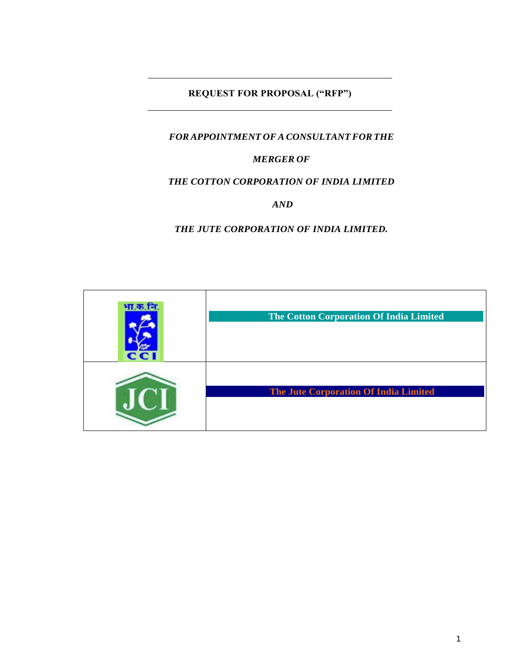# **REQUEST FOR PROPOSAL ("RFP")**

# *FOR APPOINTMENT OFA CONSULTANT FOR THE*

## *MERGER OF*

### *THE COTTON CORPORATION OF INDIA LIMITED*

*AND* 

*THE JUTE CORPORATION OF INDIA LIMITED.*

| भा.क.नि.<br><b>CCI</b> | The Cotton Corporation Of India Limited      |
|------------------------|----------------------------------------------|
|                        | <b>The Jute Corporation Of India Limited</b> |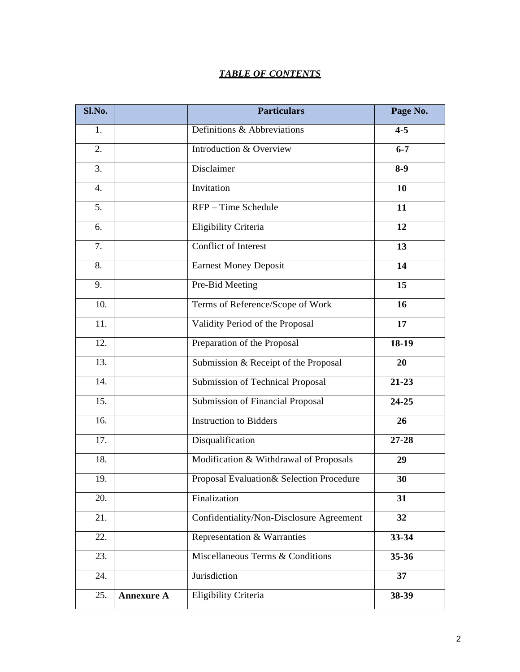## *TABLE OF CONTENTS*

| Sl.No. |                   | <b>Particulars</b>                       | Page No.  |
|--------|-------------------|------------------------------------------|-----------|
| 1.     |                   | Definitions & Abbreviations              | $4 - 5$   |
| 2.     |                   | Introduction & Overview                  | $6 - 7$   |
| 3.     |                   | Disclaimer                               | $8-9$     |
| 4.     |                   | Invitation                               | 10        |
| 5.     |                   | RFP - Time Schedule                      | 11        |
| 6.     |                   | <b>Eligibility Criteria</b>              | 12        |
| 7.     |                   | <b>Conflict of Interest</b>              | 13        |
| 8.     |                   | <b>Earnest Money Deposit</b>             | 14        |
| 9.     |                   | Pre-Bid Meeting                          | 15        |
| 10.    |                   | Terms of Reference/Scope of Work         | 16        |
| 11.    |                   | Validity Period of the Proposal          | 17        |
| 12.    |                   | Preparation of the Proposal              | 18-19     |
| 13.    |                   | Submission & Receipt of the Proposal     | 20        |
| 14.    |                   | Submission of Technical Proposal         | $21 - 23$ |
| 15.    |                   | <b>Submission of Financial Proposal</b>  | $24 - 25$ |
| 16.    |                   | <b>Instruction to Bidders</b>            | 26        |
| 17.    |                   | Disqualification                         | $27 - 28$ |
| 18.    |                   | Modification & Withdrawal of Proposals   | 29        |
| 19.    |                   | Proposal Evaluation& Selection Procedure | 30        |
| 20.    |                   | Finalization                             | 31        |
| 21.    |                   | Confidentiality/Non-Disclosure Agreement | 32        |
| 22.    |                   | Representation & Warranties              | 33-34     |
| 23.    |                   | Miscellaneous Terms & Conditions         | $35 - 36$ |
| 24.    |                   | Jurisdiction                             | 37        |
| 25.    | <b>Annexure A</b> | Eligibility Criteria                     | 38-39     |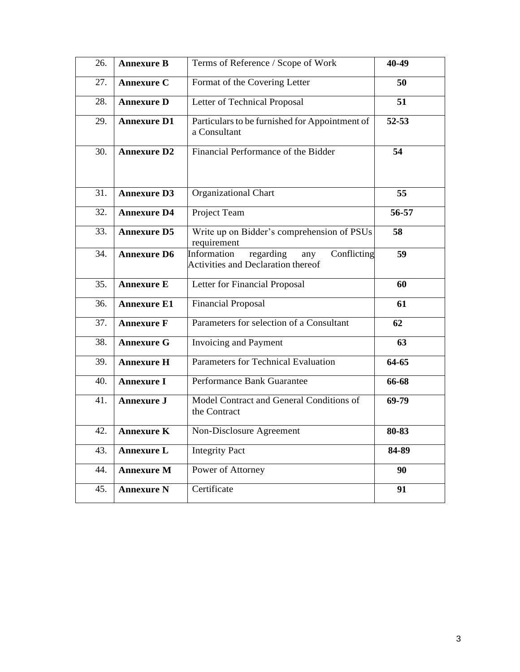| 26. | <b>Annexure B</b>  | Terms of Reference / Scope of Work<br>40-49                                                 |           |  |
|-----|--------------------|---------------------------------------------------------------------------------------------|-----------|--|
| 27. | <b>Annexure C</b>  | Format of the Covering Letter<br>50                                                         |           |  |
| 28. | <b>Annexure D</b>  | Letter of Technical Proposal<br>51                                                          |           |  |
| 29. | <b>Annexure D1</b> | Particulars to be furnished for Appointment of<br>a Consultant                              | $52 - 53$ |  |
| 30. | <b>Annexure D2</b> | Financial Performance of the Bidder<br>54                                                   |           |  |
| 31. | <b>Annexure D3</b> | Organizational Chart                                                                        | 55        |  |
| 32. | <b>Annexure D4</b> | Project Team                                                                                | 56-57     |  |
| 33. | <b>Annexure D5</b> | Write up on Bidder's comprehension of PSUs<br>requirement                                   | 58        |  |
| 34. | <b>Annexure D6</b> | Information<br>regarding<br>Conflicting<br>any<br><b>Activities and Declaration thereof</b> | 59        |  |
| 35. | <b>Annexure E</b>  | Letter for Financial Proposal                                                               | 60        |  |
| 36. | <b>Annexure E1</b> | <b>Financial Proposal</b>                                                                   | 61        |  |
| 37. | <b>Annexure F</b>  | Parameters for selection of a Consultant                                                    | 62        |  |
| 38. | <b>Annexure G</b>  | Invoicing and Payment                                                                       | 63        |  |
| 39. | <b>Annexure H</b>  | Parameters for Technical Evaluation                                                         | 64-65     |  |
| 40. | <b>Annexure I</b>  | Performance Bank Guarantee                                                                  | 66-68     |  |
|     |                    |                                                                                             |           |  |
| 41. | <b>Annexure J</b>  | Model Contract and General Conditions of<br>the Contract                                    | 69-79     |  |
| 42. | <b>Annexure K</b>  | Non-Disclosure Agreement                                                                    | 80-83     |  |
| 43. | <b>Annexure L</b>  | <b>Integrity Pact</b>                                                                       | 84-89     |  |
| 44. | <b>Annexure M</b>  | Power of Attorney                                                                           | 90        |  |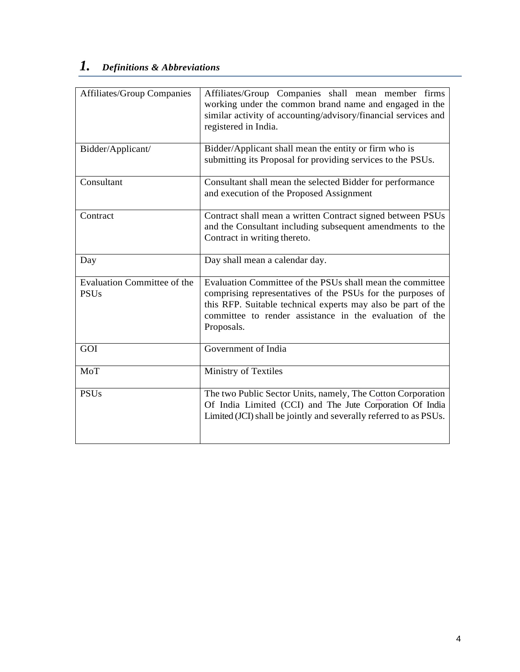# *1. Definitions & Abbreviations*

| <b>Affiliates/Group Companies</b>                 | Affiliates/Group Companies shall mean member firms<br>working under the common brand name and engaged in the<br>similar activity of accounting/advisory/financial services and<br>registered in India.                                                           |  |
|---------------------------------------------------|------------------------------------------------------------------------------------------------------------------------------------------------------------------------------------------------------------------------------------------------------------------|--|
| Bidder/Applicant/                                 | Bidder/Applicant shall mean the entity or firm who is<br>submitting its Proposal for providing services to the PSUs.                                                                                                                                             |  |
| Consultant                                        | Consultant shall mean the selected Bidder for performance<br>and execution of the Proposed Assignment                                                                                                                                                            |  |
| Contract                                          | Contract shall mean a written Contract signed between PSUs<br>and the Consultant including subsequent amendments to the<br>Contract in writing thereto.                                                                                                          |  |
| Day                                               | Day shall mean a calendar day.                                                                                                                                                                                                                                   |  |
| <b>Evaluation Committee of the</b><br><b>PSUs</b> | Evaluation Committee of the PSUs shall mean the committee<br>comprising representatives of the PSUs for the purposes of<br>this RFP. Suitable technical experts may also be part of the<br>committee to render assistance in the evaluation of the<br>Proposals. |  |
| GOI                                               | Government of India                                                                                                                                                                                                                                              |  |
| MoT                                               | Ministry of Textiles                                                                                                                                                                                                                                             |  |
| <b>PSUs</b>                                       | The two Public Sector Units, namely, The Cotton Corporation<br>Of India Limited (CCI) and The Jute Corporation Of India<br>Limited (JCI) shall be jointly and severally referred to as PSUs.                                                                     |  |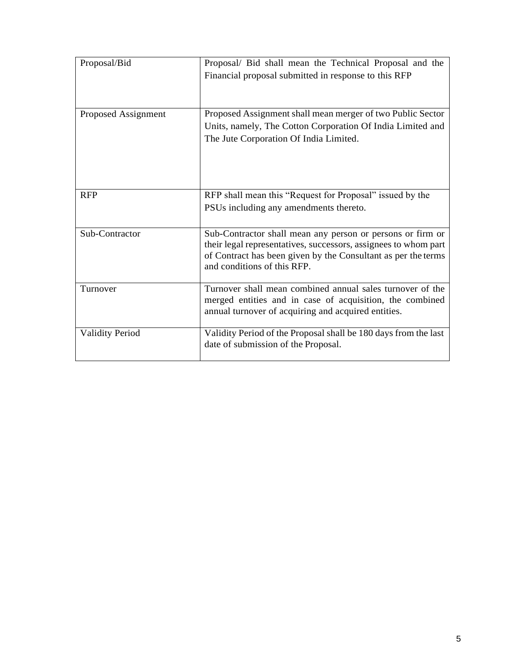| Proposal/Bid           | Proposal/ Bid shall mean the Technical Proposal and the<br>Financial proposal submitted in response to this RFP                                                                                                               |  |
|------------------------|-------------------------------------------------------------------------------------------------------------------------------------------------------------------------------------------------------------------------------|--|
| Proposed Assignment    | Proposed Assignment shall mean merger of two Public Sector<br>Units, namely, The Cotton Corporation Of India Limited and<br>The Jute Corporation Of India Limited.                                                            |  |
| <b>RFP</b>             | RFP shall mean this "Request for Proposal" issued by the<br>PSUs including any amendments thereto.                                                                                                                            |  |
| Sub-Contractor         | Sub-Contractor shall mean any person or persons or firm or<br>their legal representatives, successors, assignees to whom part<br>of Contract has been given by the Consultant as per the terms<br>and conditions of this RFP. |  |
| Turnover               | Turnover shall mean combined annual sales turnover of the<br>merged entities and in case of acquisition, the combined<br>annual turnover of acquiring and acquired entities.                                                  |  |
| <b>Validity Period</b> | Validity Period of the Proposal shall be 180 days from the last<br>date of submission of the Proposal.                                                                                                                        |  |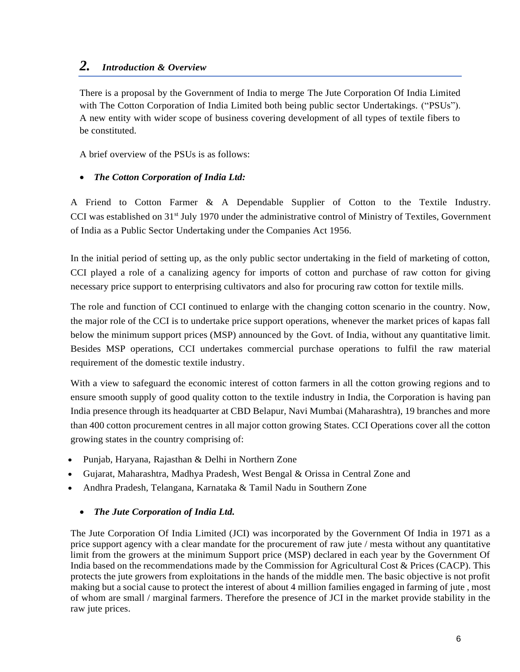# *2. Introduction & Overview*

There is a proposal by the Government of India to merge The Jute Corporation Of India Limited with The Cotton Corporation of India Limited both being public sector Undertakings. ("PSUs"). A new entity with wider scope of business covering development of all types of textile fibers to be constituted.

A brief overview of the PSUs is as follows:

## *The Cotton Corporation of India Ltd:*

A Friend to Cotton Farmer & A Dependable Supplier of Cotton to the Textile Industry. CCI was established on 31<sup>st</sup> July 1970 under the administrative control of Ministry of Textiles, Government of India as a Public Sector Undertaking under the Companies Act 1956.

In the initial period of setting up, as the only public sector undertaking in the field of marketing of cotton, CCI played a role of a canalizing agency for imports of cotton and purchase of raw cotton for giving necessary price support to enterprising cultivators and also for procuring raw cotton for textile mills.

The role and function of CCI continued to enlarge with the changing cotton scenario in the country. Now, the major role of the CCI is to undertake price support operations, whenever the market prices of kapas fall below the minimum support prices (MSP) announced by the Govt. of India, without any quantitative limit. Besides MSP operations, CCI undertakes commercial purchase operations to fulfil the raw material requirement of the domestic textile industry.

With a view to safeguard the economic interest of cotton farmers in all the cotton growing regions and to ensure smooth supply of good quality cotton to the textile industry in India, the Corporation is having pan India presence through its headquarter at CBD Belapur, Navi Mumbai (Maharashtra), 19 branches and more than 400 cotton procurement centres in all major cotton growing States. CCI Operations cover all the cotton growing states in the country comprising of:

- Punjab, Haryana, Rajasthan & Delhi in Northern Zone
- Gujarat, Maharashtra, Madhya Pradesh, West Bengal & Orissa in Central Zone and
- Andhra Pradesh, Telangana, Karnataka & Tamil Nadu in Southern Zone

### *The Jute Corporation of India Ltd.*

The Jute Corporation Of India Limited (JCI) was incorporated by the Government Of India in 1971 as a price support agency with a clear mandate for the procurement of raw jute / mesta without any quantitative limit from the growers at the minimum Support price (MSP) declared in each year by the Government Of India based on the recommendations made by the Commission for Agricultural Cost & Prices (CACP). This protects the jute growers from exploitations in the hands of the middle men. The basic objective is not profit making but a social cause to protect the interest of about 4 million families engaged in farming of jute , most of whom are small / marginal farmers. Therefore the presence of JCI in the market provide stability in the raw jute prices.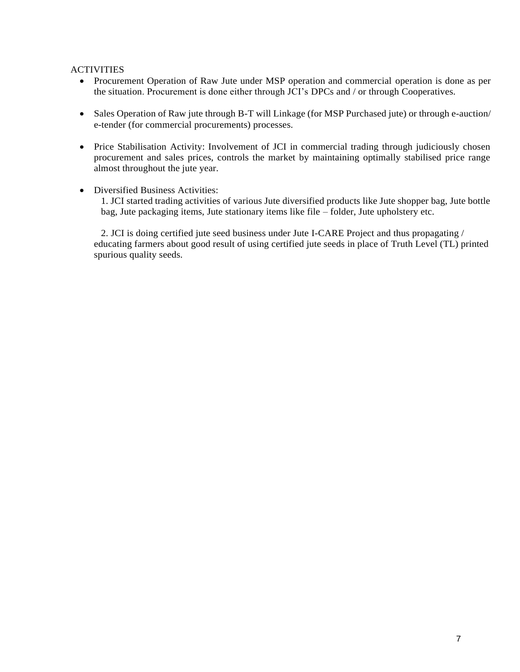### ACTIVITIES

- Procurement Operation of Raw Jute under MSP operation and commercial operation is done as per the situation. Procurement is done either through JCI's DPCs and / or through Cooperatives.
- Sales Operation of Raw jute through B-T will Linkage (for MSP Purchased jute) or through e-auction/ e-tender (for commercial procurements) processes.
- Price Stabilisation Activity: Involvement of JCI in commercial trading through judiciously chosen procurement and sales prices, controls the market by maintaining optimally stabilised price range almost throughout the jute year.
- Diversified Business Activities:

1. JCI started trading activities of various Jute diversified products like Jute shopper bag, Jute bottle bag, Jute packaging items, Jute stationary items like file – folder, Jute upholstery etc.

2. JCI is doing certified jute seed business under Jute I-CARE Project and thus propagating / educating farmers about good result of using certified jute seeds in place of Truth Level (TL) printed spurious quality seeds.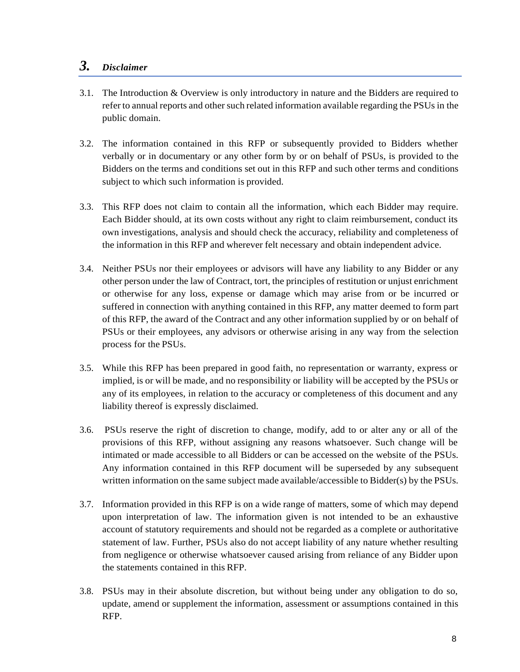# *3. Disclaimer*

- 3.1. The Introduction & Overview is only introductory in nature and the Bidders are required to refer to annual reports and other such related information available regarding the PSUs in the public domain.
- 3.2. The information contained in this RFP or subsequently provided to Bidders whether verbally or in documentary or any other form by or on behalf of PSUs, is provided to the Bidders on the terms and conditions set out in this RFP and such other terms and conditions subject to which such information is provided.
- 3.3. This RFP does not claim to contain all the information, which each Bidder may require. Each Bidder should, at its own costs without any right to claim reimbursement, conduct its own investigations, analysis and should check the accuracy, reliability and completeness of the information in this RFP and wherever felt necessary and obtain independent advice.
- 3.4. Neither PSUs nor their employees or advisors will have any liability to any Bidder or any other person under the law of Contract, tort, the principles of restitution or unjust enrichment or otherwise for any loss, expense or damage which may arise from or be incurred or suffered in connection with anything contained in this RFP, any matter deemed to form part of this RFP, the award of the Contract and any other information supplied by or on behalf of PSUs or their employees, any advisors or otherwise arising in any way from the selection process for the PSUs.
- 3.5. While this RFP has been prepared in good faith, no representation or warranty, express or implied, is or will be made, and no responsibility or liability will be accepted by the PSUs or any of its employees, in relation to the accuracy or completeness of this document and any liability thereof is expressly disclaimed.
- 3.6. PSUs reserve the right of discretion to change, modify, add to or alter any or all of the provisions of this RFP, without assigning any reasons whatsoever. Such change will be intimated or made accessible to all Bidders or can be accessed on the website of the PSUs. Any information contained in this RFP document will be superseded by any subsequent written information on the same subject made available/accessible to Bidder(s) by the PSUs.
- 3.7. Information provided in this RFP is on a wide range of matters, some of which may depend upon interpretation of law. The information given is not intended to be an exhaustive account of statutory requirements and should not be regarded as a complete or authoritative statement of law. Further, PSUs also do not accept liability of any nature whether resulting from negligence or otherwise whatsoever caused arising from reliance of any Bidder upon the statements contained in this RFP.
- 3.8. PSUs may in their absolute discretion, but without being under any obligation to do so, update, amend or supplement the information, assessment or assumptions contained in this RFP.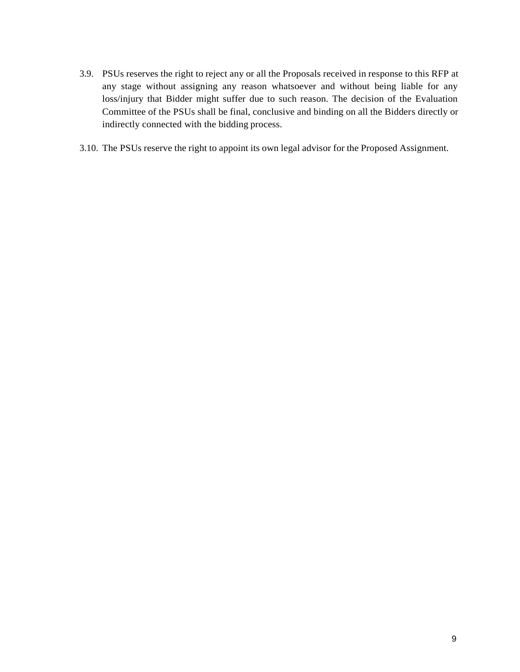- 3.9. PSUs reserves the right to reject any or all the Proposals received in response to this RFP at any stage without assigning any reason whatsoever and without being liable for any loss/injury that Bidder might suffer due to such reason. The decision of the Evaluation Committee of the PSUs shall be final, conclusive and binding on all the Bidders directly or indirectly connected with the bidding process.
- 3.10. The PSUs reserve the right to appoint its own legal advisor for the Proposed Assignment.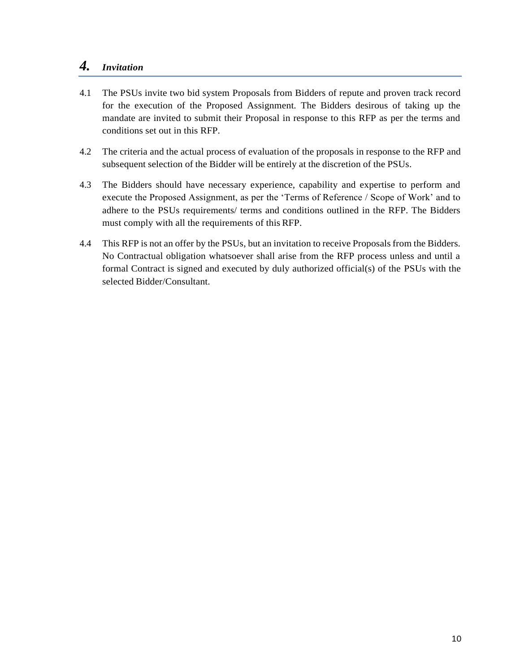# *4. Invitation*

- 4.1 The PSUs invite two bid system Proposals from Bidders of repute and proven track record for the execution of the Proposed Assignment. The Bidders desirous of taking up the mandate are invited to submit their Proposal in response to this RFP as per the terms and conditions set out in this RFP.
- 4.2 The criteria and the actual process of evaluation of the proposals in response to the RFP and subsequent selection of the Bidder will be entirely at the discretion of the PSUs.
- 4.3 The Bidders should have necessary experience, capability and expertise to perform and execute the Proposed Assignment, as per the 'Terms of Reference / Scope of Work' and to adhere to the PSUs requirements/ terms and conditions outlined in the RFP. The Bidders must comply with all the requirements of this RFP.
- 4.4 This RFP is not an offer by the PSUs, but an invitation to receive Proposals from the Bidders. No Contractual obligation whatsoever shall arise from the RFP process unless and until a formal Contract is signed and executed by duly authorized official(s) of the PSUs with the selected Bidder/Consultant.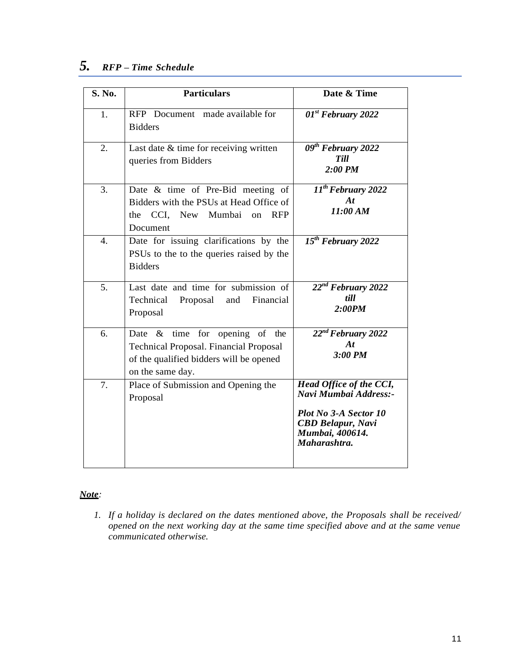# *5. RFP – Time Schedule*

| S. No.           | <b>Particulars</b>                                                                                                                                | Date & Time                                                                                                                              |
|------------------|---------------------------------------------------------------------------------------------------------------------------------------------------|------------------------------------------------------------------------------------------------------------------------------------------|
| $\mathbf{1}$ .   | RFP Document made available for<br><b>Bidders</b>                                                                                                 | $01^{st}$ February 2022                                                                                                                  |
| 2.               | Last date & time for receiving written<br>queries from Bidders                                                                                    | 09 <sup>th</sup> February 2022<br><b>Till</b><br>$2:00$ PM                                                                               |
| 3.               | Date & time of Pre-Bid meeting of<br>Bidders with the PSUs at Head Office of<br>the CCI, New Mumbai on<br><b>RFP</b><br>Document                  | $11^{th}$ February 2022<br>At<br>11:00 AM                                                                                                |
| $\overline{4}$ . | Date for issuing clarifications by the<br>PSUs to the to the queries raised by the<br><b>Bidders</b>                                              | $15th$ February 2022                                                                                                                     |
| 5.               | Last date and time for submission of<br>Technical<br>Financial<br>Proposal<br>and<br>Proposal                                                     | $22^{nd}$ February 2022<br>till<br>2:00PM                                                                                                |
| 6.               | Date $\&$ time for opening of the<br><b>Technical Proposal. Financial Proposal</b><br>of the qualified bidders will be opened<br>on the same day. | $22^{nd}$ February 2022<br>At<br>$3:00$ PM                                                                                               |
| 7.               | Place of Submission and Opening the<br>Proposal                                                                                                   | Head Office of the CCI,<br>Navi Mumbai Address:-<br>Plot No 3-A Sector 10<br><b>CBD Belapur, Navi</b><br>Mumbai, 400614.<br>Maharashtra. |

### *Note:*

*1. If a holiday is declared on the dates mentioned above, the Proposals shall be received/ opened on the next working day at the same time specified above and at the same venue communicated otherwise.*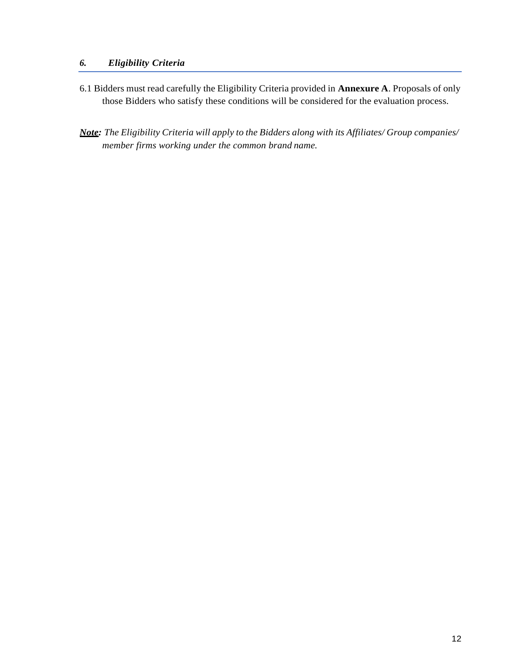### *6. Eligibility Criteria*

- 6.1 Bidders must read carefully the Eligibility Criteria provided in **Annexure A**. Proposals of only those Bidders who satisfy these conditions will be considered for the evaluation process.
- *Note: The Eligibility Criteria will apply to the Bidders along with its Affiliates/ Group companies/ member firms working under the common brand name.*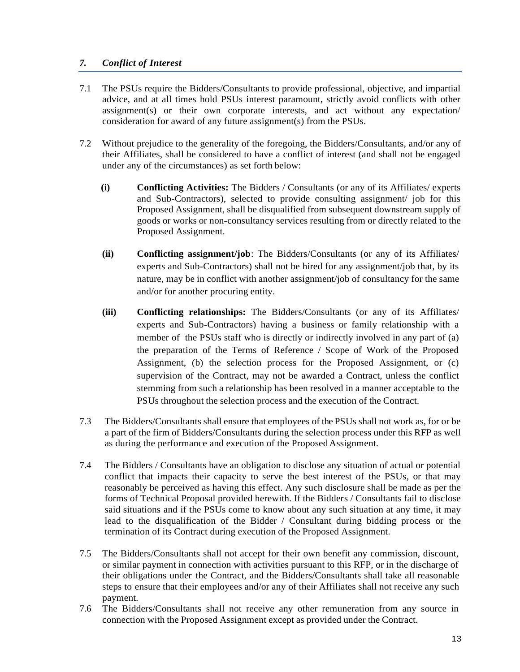### *7. Conflict of Interest*

- 7.1 The PSUs require the Bidders/Consultants to provide professional, objective, and impartial advice, and at all times hold PSUs interest paramount, strictly avoid conflicts with other assignment(s) or their own corporate interests, and act without any expectation/ consideration for award of any future assignment(s) from the PSUs.
- 7.2 Without prejudice to the generality of the foregoing, the Bidders/Consultants, and/or any of their Affiliates, shall be considered to have a conflict of interest (and shall not be engaged under any of the circumstances) as set forth below:
	- **(i) Conflicting Activities:** The Bidders / Consultants (or any of its Affiliates/ experts and Sub-Contractors), selected to provide consulting assignment/ job for this Proposed Assignment, shall be disqualified from subsequent downstream supply of goods or works or non-consultancy services resulting from or directly related to the Proposed Assignment.
	- **(ii) Conflicting assignment/job**: The Bidders/Consultants (or any of its Affiliates/ experts and Sub-Contractors) shall not be hired for any assignment/job that, by its nature, may be in conflict with another assignment/job of consultancy for the same and/or for another procuring entity.
	- **(iii) Conflicting relationships:** The Bidders/Consultants (or any of its Affiliates/ experts and Sub-Contractors) having a business or family relationship with a member of the PSUs staff who is directly or indirectly involved in any part of (a) the preparation of the Terms of Reference / Scope of Work of the Proposed Assignment, (b) the selection process for the Proposed Assignment, or (c) supervision of the Contract, may not be awarded a Contract, unless the conflict stemming from such a relationship has been resolved in a manner acceptable to the PSUs throughout the selection process and the execution of the Contract.
- 7.3 The Bidders/Consultants shall ensure that employees of the PSUs shall not work as, for or be a part of the firm of Bidders/Consultants during the selection process under this RFP as well as during the performance and execution of the ProposedAssignment.
- 7.4 The Bidders / Consultants have an obligation to disclose any situation of actual or potential conflict that impacts their capacity to serve the best interest of the PSUs, or that may reasonably be perceived as having this effect. Any such disclosure shall be made as per the forms of Technical Proposal provided herewith. If the Bidders / Consultants fail to disclose said situations and if the PSUs come to know about any such situation at any time, it may lead to the disqualification of the Bidder / Consultant during bidding process or the termination of its Contract during execution of the Proposed Assignment.
- 7.5 The Bidders/Consultants shall not accept for their own benefit any commission, discount, or similar payment in connection with activities pursuant to this RFP, or in the discharge of their obligations under the Contract, and the Bidders/Consultants shall take all reasonable steps to ensure that their employees and/or any of their Affiliates shall not receive any such payment.
- 7.6 The Bidders/Consultants shall not receive any other remuneration from any source in connection with the Proposed Assignment except as provided under the Contract.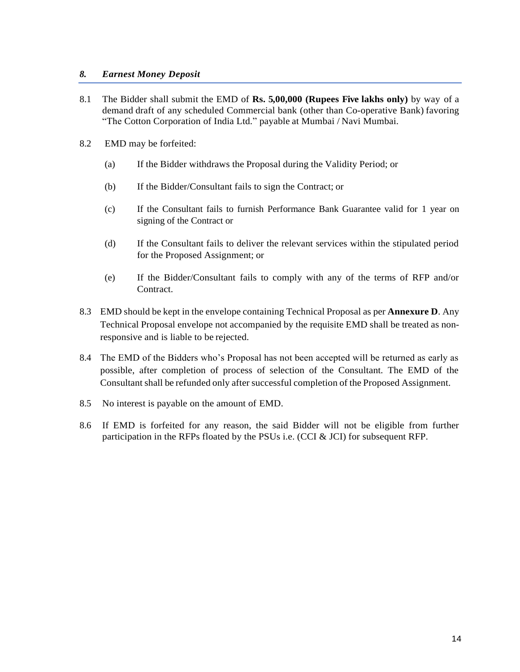### *8. Earnest Money Deposit*

- 8.1 The Bidder shall submit the EMD of **Rs. 5,00,000 (Rupees Five lakhs only)** by way of a demand draft of any scheduled Commercial bank (other than Co-operative Bank) favoring "The Cotton Corporation of India Ltd." payable at Mumbai / Navi Mumbai.
- 8.2 EMD may be forfeited:
	- (a) If the Bidder withdraws the Proposal during the Validity Period; or
	- (b) If the Bidder/Consultant fails to sign the Contract; or
	- (c) If the Consultant fails to furnish Performance Bank Guarantee valid for 1 year on signing of the Contract or
	- (d) If the Consultant fails to deliver the relevant services within the stipulated period for the Proposed Assignment; or
	- (e) If the Bidder/Consultant fails to comply with any of the terms of RFP and/or Contract.
- 8.3 EMD should be kept in the envelope containing Technical Proposal as per **Annexure D**. Any Technical Proposal envelope not accompanied by the requisite EMD shall be treated as nonresponsive and is liable to be rejected.
- 8.4 The EMD of the Bidders who's Proposal has not been accepted will be returned as early as possible, after completion of process of selection of the Consultant. The EMD of the Consultant shall be refunded only after successful completion of the Proposed Assignment.
- 8.5 No interest is payable on the amount of EMD.
- 8.6 If EMD is forfeited for any reason, the said Bidder will not be eligible from further participation in the RFPs floated by the PSUs i.e. (CCI & JCI) for subsequent RFP.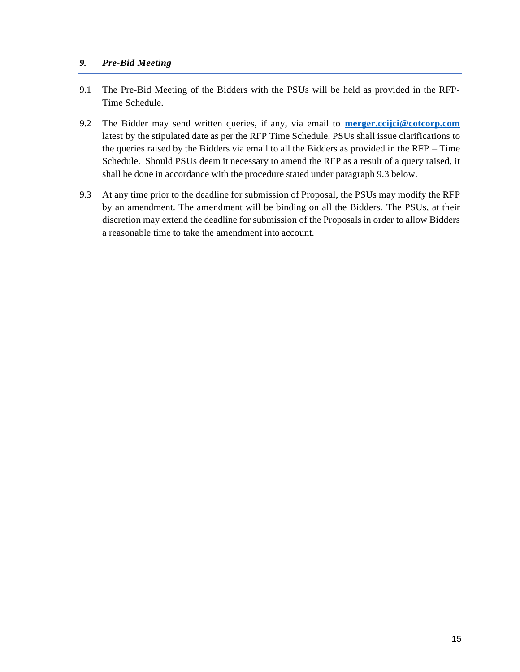### *9. Pre-Bid Meeting*

- 9.1 The Pre-Bid Meeting of the Bidders with the PSUs will be held as provided in the RFP-Time Schedule.
- 9.2 The Bidder may send written queries, if any, via email to **merger.ccijci@cotcorp.com** latest by the stipulated date as per the RFP Time Schedule. PSUs shall issue clarifications to the queries raised by the Bidders via email to all the Bidders as provided in the RFP – Time Schedule. Should PSUs deem it necessary to amend the RFP as a result of a query raised, it shall be done in accordance with the procedure stated under paragraph 9.3 below.
- 9.3 At any time prior to the deadline for submission of Proposal, the PSUs may modify the RFP by an amendment. The amendment will be binding on all the Bidders. The PSUs, at their discretion may extend the deadline for submission of the Proposals in order to allow Bidders a reasonable time to take the amendment into account.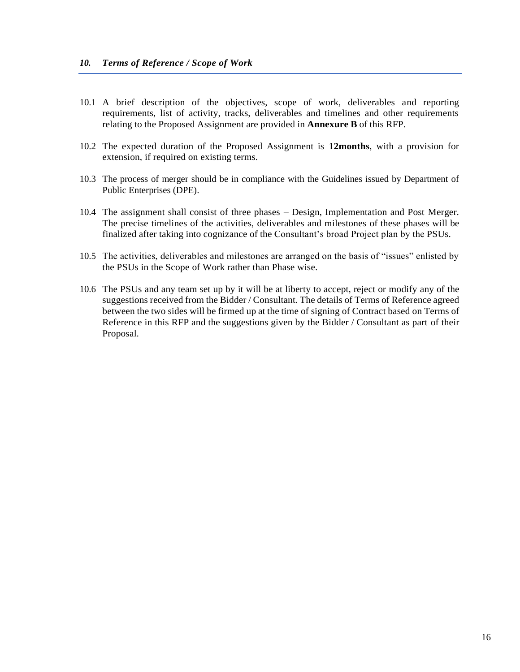- 10.1 A brief description of the objectives, scope of work, deliverables and reporting requirements, list of activity, tracks, deliverables and timelines and other requirements relating to the Proposed Assignment are provided in **Annexure B** of this RFP.
- 10.2 The expected duration of the Proposed Assignment is **12months**, with a provision for extension, if required on existing terms.
- 10.3 The process of merger should be in compliance with the Guidelines issued by Department of Public Enterprises (DPE).
- 10.4 The assignment shall consist of three phases Design, Implementation and Post Merger. The precise timelines of the activities, deliverables and milestones of these phases will be finalized after taking into cognizance of the Consultant's broad Project plan by the PSUs.
- 10.5 The activities, deliverables and milestones are arranged on the basis of "issues" enlisted by the PSUs in the Scope of Work rather than Phase wise.
- 10.6 The PSUs and any team set up by it will be at liberty to accept, reject or modify any of the suggestions received from the Bidder / Consultant. The details of Terms of Reference agreed between the two sides will be firmed up at the time of signing of Contract based on Terms of Reference in this RFP and the suggestions given by the Bidder / Consultant as part of their Proposal.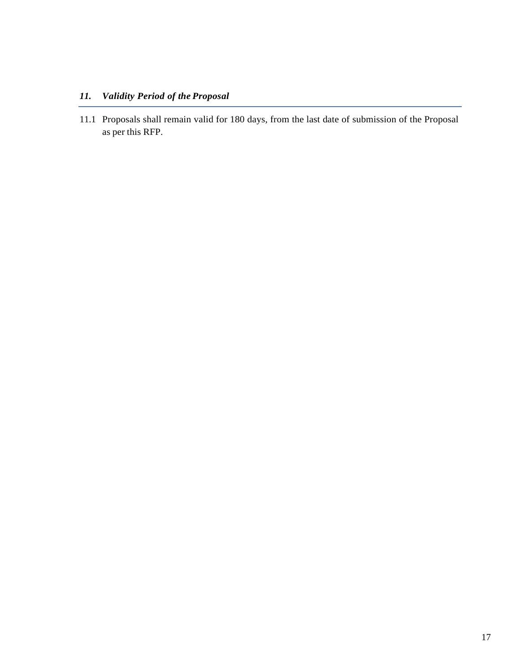# *11. Validity Period of the Proposal*

11.1 Proposals shall remain valid for 180 days, from the last date of submission of the Proposal as per this RFP.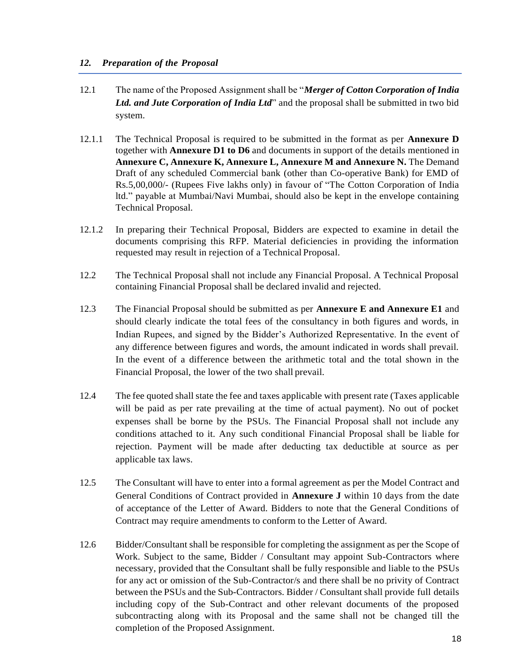### *12. Preparation of the Proposal*

- 12.1 The name of the Proposed Assignment shall be "*Merger of Cotton Corporation of India Ltd. and Jute Corporation of India Ltd*" and the proposal shall be submitted in two bid system.
- 12.1.1 The Technical Proposal is required to be submitted in the format as per **Annexure D**  together with **Annexure D1 to D6** and documents in support of the details mentioned in **Annexure C, Annexure K, Annexure L, Annexure M and Annexure N.** The Demand Draft of any scheduled Commercial bank (other than Co-operative Bank) for EMD of Rs.5,00,000/- (Rupees Five lakhs only) in favour of "The Cotton Corporation of India ltd." payable at Mumbai/Navi Mumbai, should also be kept in the envelope containing Technical Proposal.
- 12.1.2 In preparing their Technical Proposal, Bidders are expected to examine in detail the documents comprising this RFP. Material deficiencies in providing the information requested may result in rejection of a Technical Proposal.
- 12.2 The Technical Proposal shall not include any Financial Proposal. A Technical Proposal containing Financial Proposal shall be declared invalid and rejected.
- 12.3 The Financial Proposal should be submitted as per **Annexure E and Annexure E1** and should clearly indicate the total fees of the consultancy in both figures and words, in Indian Rupees, and signed by the Bidder's Authorized Representative. In the event of any difference between figures and words, the amount indicated in words shall prevail. In the event of a difference between the arithmetic total and the total shown in the Financial Proposal, the lower of the two shall prevail.
- 12.4 The fee quoted shall state the fee and taxes applicable with present rate (Taxes applicable will be paid as per rate prevailing at the time of actual payment). No out of pocket expenses shall be borne by the PSUs. The Financial Proposal shall not include any conditions attached to it. Any such conditional Financial Proposal shall be liable for rejection. Payment will be made after deducting tax deductible at source as per applicable tax laws.
- 12.5 The Consultant will have to enter into a formal agreement as per the Model Contract and General Conditions of Contract provided in **Annexure J** within 10 days from the date of acceptance of the Letter of Award. Bidders to note that the General Conditions of Contract may require amendments to conform to the Letter of Award.
- 12.6 Bidder/Consultant shall be responsible for completing the assignment as per the Scope of Work. Subject to the same, Bidder / Consultant may appoint Sub-Contractors where necessary, provided that the Consultant shall be fully responsible and liable to the PSUs for any act or omission of the Sub-Contractor/s and there shall be no privity of Contract between the PSUs and the Sub-Contractors. Bidder / Consultant shall provide full details including copy of the Sub-Contract and other relevant documents of the proposed subcontracting along with its Proposal and the same shall not be changed till the completion of the Proposed Assignment.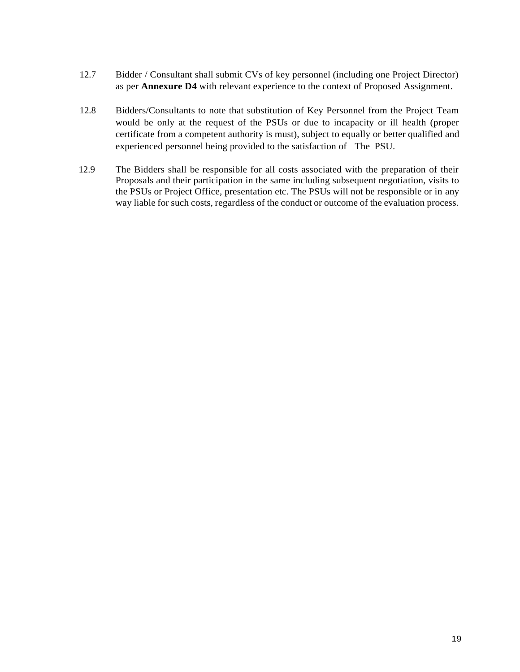- 12.7 Bidder / Consultant shall submit CVs of key personnel (including one Project Director) as per **Annexure D4** with relevant experience to the context of Proposed Assignment.
- 12.8 Bidders/Consultants to note that substitution of Key Personnel from the Project Team would be only at the request of the PSUs or due to incapacity or ill health (proper certificate from a competent authority is must), subject to equally or better qualified and experienced personnel being provided to the satisfaction of The PSU.
- 12.9 The Bidders shall be responsible for all costs associated with the preparation of their Proposals and their participation in the same including subsequent negotiation, visits to the PSUs or Project Office, presentation etc. The PSUs will not be responsible or in any way liable for such costs, regardless of the conduct or outcome of the evaluation process.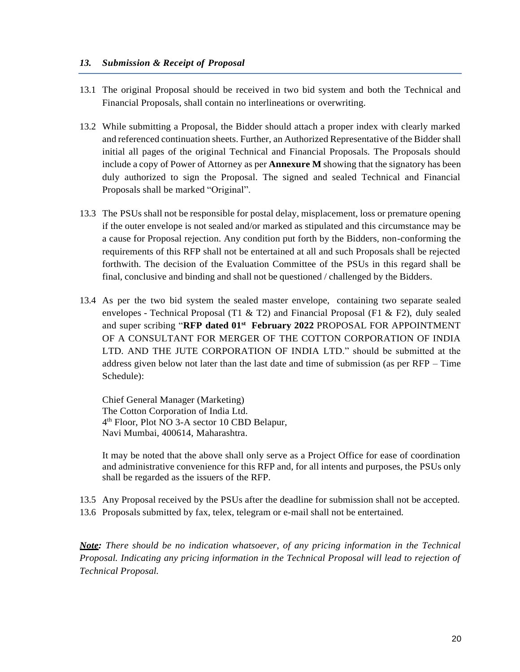### *13. Submission & Receipt of Proposal*

- 13.1 The original Proposal should be received in two bid system and both the Technical and Financial Proposals, shall contain no interlineations or overwriting.
- 13.2 While submitting a Proposal, the Bidder should attach a proper index with clearly marked and referenced continuation sheets. Further, an Authorized Representative of the Bidder shall initial all pages of the original Technical and Financial Proposals. The Proposals should include a copy of Power of Attorney as per **Annexure M** showing that the signatory has been duly authorized to sign the Proposal. The signed and sealed Technical and Financial Proposals shall be marked "Original".
- 13.3 The PSUs shall not be responsible for postal delay, misplacement, loss or premature opening if the outer envelope is not sealed and/or marked as stipulated and this circumstance may be a cause for Proposal rejection. Any condition put forth by the Bidders, non-conforming the requirements of this RFP shall not be entertained at all and such Proposals shall be rejected forthwith. The decision of the Evaluation Committee of the PSUs in this regard shall be final, conclusive and binding and shall not be questioned / challenged by the Bidders.
- 13.4 As per the two bid system the sealed master envelope, containing two separate sealed envelopes - Technical Proposal (T1 & T2) and Financial Proposal (F1 & F2), duly sealed and super scribing "**RFP dated 01st February 2022** PROPOSAL FOR APPOINTMENT OF A CONSULTANT FOR MERGER OF THE COTTON CORPORATION OF INDIA LTD. AND THE JUTE CORPORATION OF INDIA LTD." should be submitted at the address given below not later than the last date and time of submission (as per RFP – Time Schedule):

Chief General Manager (Marketing) The Cotton Corporation of India Ltd. 4 th Floor, Plot NO 3-A sector 10 CBD Belapur, Navi Mumbai, 400614, Maharashtra.

It may be noted that the above shall only serve as a Project Office for ease of coordination and administrative convenience for this RFP and, for all intents and purposes, the PSUs only shall be regarded as the issuers of the RFP.

13.5 Any Proposal received by the PSUs after the deadline for submission shall not be accepted. 13.6 Proposals submitted by fax, telex, telegram or e-mail shall not be entertained.

*Note: There should be no indication whatsoever, of any pricing information in the Technical Proposal. Indicating any pricing information in the Technical Proposal will lead to rejection of Technical Proposal.*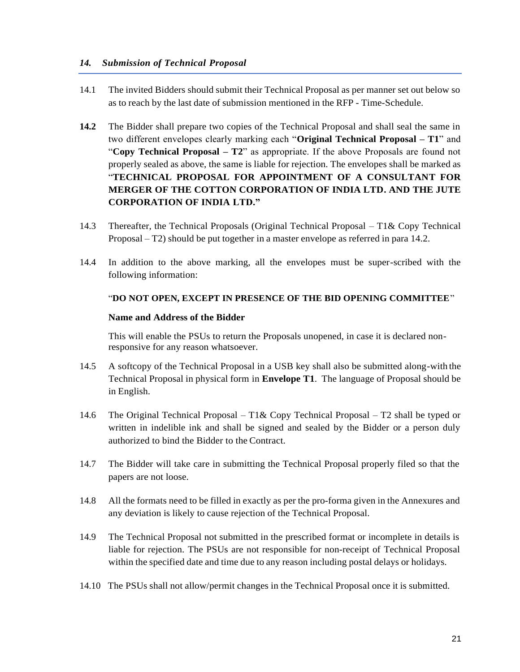- 14.1 The invited Bidders should submit their Technical Proposal as per manner set out below so as to reach by the last date of submission mentioned in the RFP - Time-Schedule.
- **14.2** The Bidder shall prepare two copies of the Technical Proposal and shall seal the same in two different envelopes clearly marking each "**Original Technical Proposal – T1**" and "**Copy Technical Proposal – T2**" as appropriate. If the above Proposals are found not properly sealed as above, the same is liable for rejection. The envelopes shall be marked as "**TECHNICAL PROPOSAL FOR APPOINTMENT OF A CONSULTANT FOR MERGER OF THE COTTON CORPORATION OF INDIA LTD. AND THE JUTE CORPORATION OF INDIA LTD."**
- 14.3 Thereafter, the Technical Proposals (Original Technical Proposal T1& Copy Technical Proposal – T2) should be put together in a master envelope as referred in para 14.2.
- 14.4 In addition to the above marking, all the envelopes must be super-scribed with the following information:

### "**DO NOT OPEN, EXCEPT IN PRESENCE OF THE BID OPENING COMMITTEE**"

### **Name and Address of the Bidder**

This will enable the PSUs to return the Proposals unopened, in case it is declared nonresponsive for any reason whatsoever.

- 14.5 A softcopy of the Technical Proposal in a USB key shall also be submitted along-with the Technical Proposal in physical form in **Envelope T1**. The language of Proposal should be in English.
- 14.6 The Original Technical Proposal T1& Copy Technical Proposal T2 shall be typed or written in indelible ink and shall be signed and sealed by the Bidder or a person duly authorized to bind the Bidder to the Contract.
- 14.7 The Bidder will take care in submitting the Technical Proposal properly filed so that the papers are not loose.
- 14.8 All the formats need to be filled in exactly as per the pro-forma given in the Annexures and any deviation is likely to cause rejection of the Technical Proposal.
- 14.9 The Technical Proposal not submitted in the prescribed format or incomplete in details is liable for rejection. The PSUs are not responsible for non-receipt of Technical Proposal within the specified date and time due to any reason including postal delays or holidays.
- 14.10 The PSUs shall not allow/permit changes in the Technical Proposal once it is submitted.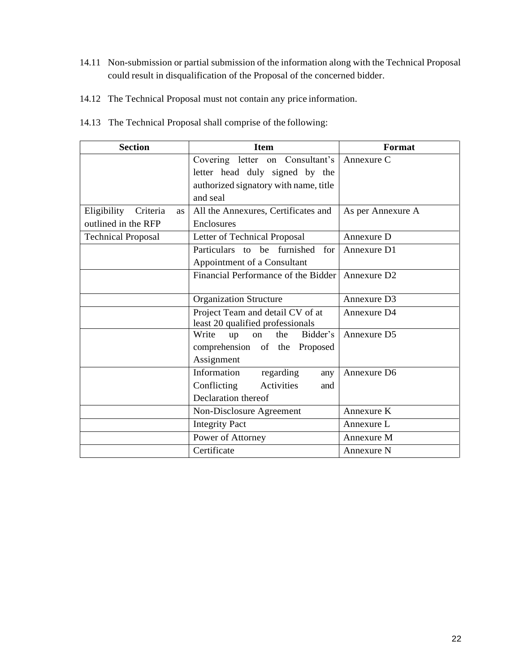- 14.11 Non-submission or partial submission of the information along with the Technical Proposal could result in disqualification of the Proposal of the concerned bidder.
- 14.12 The Technical Proposal must not contain any price information.
- 14.13 The Technical Proposal shall comprise of the following:

| <b>Section</b>                    | <b>Item</b>                           | Format                  |
|-----------------------------------|---------------------------------------|-------------------------|
|                                   | Covering letter on Consultant's       | Annexure C              |
|                                   | letter head duly signed by the        |                         |
|                                   | authorized signatory with name, title |                         |
|                                   | and seal                              |                         |
| Eligibility Criteria<br><b>as</b> | All the Annexures, Certificates and   | As per Annexure A       |
| outlined in the RFP               | Enclosures                            |                         |
| <b>Technical Proposal</b>         | Letter of Technical Proposal          | Annexure D              |
|                                   | Particulars to be furnished<br>for    | Annexure D1             |
|                                   | Appointment of a Consultant           |                         |
|                                   | Financial Performance of the Bidder   | Annexure D <sub>2</sub> |
|                                   |                                       |                         |
|                                   | <b>Organization Structure</b>         | Annexure D3             |
|                                   | Project Team and detail CV of at      | Annexure D4             |
|                                   | least 20 qualified professionals      |                         |
|                                   | Write<br>Bidder's<br>the<br>up<br>on  | Annexure D5             |
|                                   | comprehension of the Proposed         |                         |
|                                   | Assignment                            |                         |
|                                   | Information<br>regarding<br>any       | Annexure D6             |
|                                   | Conflicting<br>Activities<br>and      |                         |
|                                   | Declaration thereof                   |                         |
|                                   | Non-Disclosure Agreement              | Annexure K              |
|                                   | <b>Integrity Pact</b>                 | Annexure L              |
|                                   | Power of Attorney                     | Annexure M              |
|                                   | Certificate                           | Annexure N              |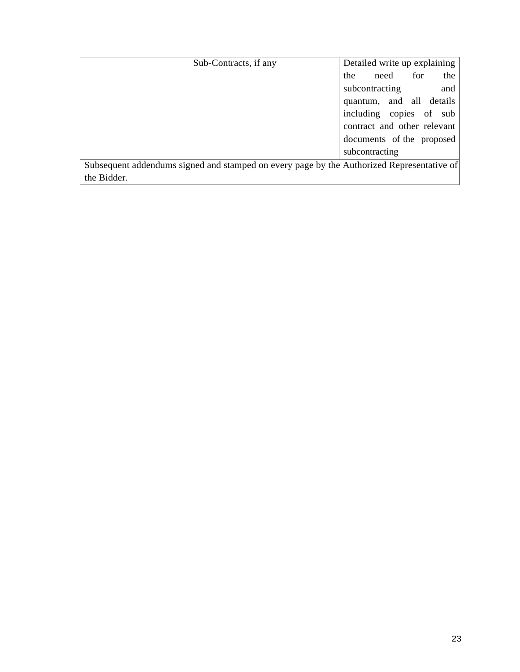|                                                                                           | Sub-Contracts, if any | Detailed write up explaining |
|-------------------------------------------------------------------------------------------|-----------------------|------------------------------|
|                                                                                           |                       | for<br>the<br>the<br>need    |
|                                                                                           |                       | subcontracting<br>and        |
|                                                                                           |                       | quantum, and all details     |
|                                                                                           |                       | including copies of sub      |
|                                                                                           |                       | contract and other relevant  |
|                                                                                           |                       | documents of the proposed    |
|                                                                                           |                       | subcontracting               |
| Subsequent addendums signed and stamped on every page by the Authorized Representative of |                       |                              |
| the Bidder.                                                                               |                       |                              |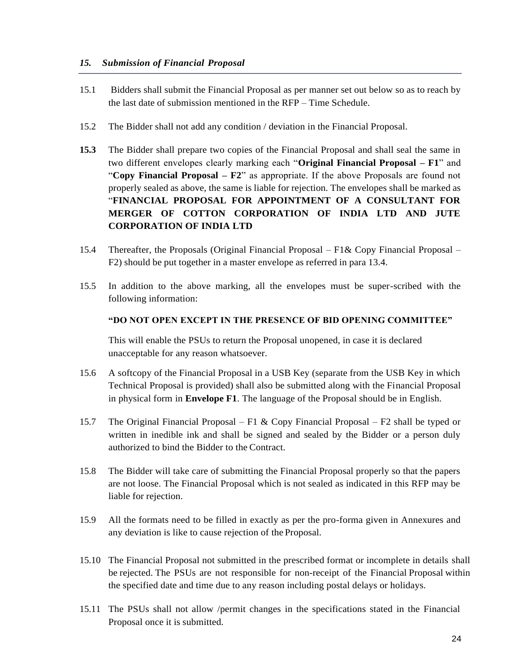### *15. Submission of Financial Proposal*

- 15.1 Bidders shall submit the Financial Proposal as per manner set out below so as to reach by the last date of submission mentioned in the RFP – Time Schedule.
- 15.2 The Bidder shall not add any condition / deviation in the Financial Proposal.
- **15.3** The Bidder shall prepare two copies of the Financial Proposal and shall seal the same in two different envelopes clearly marking each "**Original Financial Proposal – F1**" and "**Copy Financial Proposal – F2**" as appropriate. If the above Proposals are found not properly sealed as above, the same is liable for rejection. The envelopes shall be marked as "**FINANCIAL PROPOSAL FOR APPOINTMENT OF A CONSULTANT FOR MERGER OF COTTON CORPORATION OF INDIA LTD AND JUTE CORPORATION OF INDIA LTD**
- 15.4 Thereafter, the Proposals (Original Financial Proposal F1& Copy Financial Proposal F2) should be put together in a master envelope as referred in para 13.4.
- 15.5 In addition to the above marking, all the envelopes must be super-scribed with the following information:

### **"DO NOT OPEN EXCEPT IN THE PRESENCE OF BID OPENING COMMITTEE"**

This will enable the PSUs to return the Proposal unopened, in case it is declared unacceptable for any reason whatsoever.

- 15.6 A softcopy of the Financial Proposal in a USB Key (separate from the USB Key in which Technical Proposal is provided) shall also be submitted along with the Financial Proposal in physical form in **Envelope F1**. The language of the Proposal should be in English.
- 15.7 The Original Financial Proposal F1 & Copy Financial Proposal F2 shall be typed or written in inedible ink and shall be signed and sealed by the Bidder or a person duly authorized to bind the Bidder to the Contract.
- 15.8 The Bidder will take care of submitting the Financial Proposal properly so that the papers are not loose. The Financial Proposal which is not sealed as indicated in this RFP may be liable for rejection.
- 15.9 All the formats need to be filled in exactly as per the pro-forma given in Annexures and any deviation is like to cause rejection of the Proposal.
- 15.10 The Financial Proposal not submitted in the prescribed format or incomplete in details shall be rejected. The PSUs are not responsible for non-receipt of the Financial Proposal within the specified date and time due to any reason including postal delays or holidays.
- 15.11 The PSUs shall not allow /permit changes in the specifications stated in the Financial Proposal once it is submitted.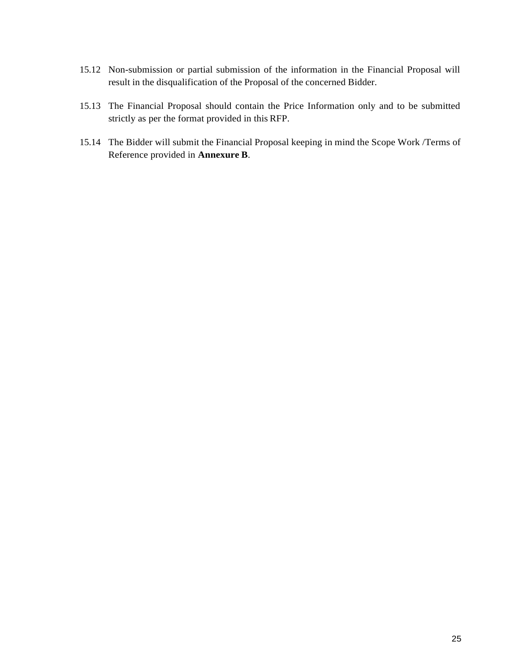- 15.12 Non-submission or partial submission of the information in the Financial Proposal will result in the disqualification of the Proposal of the concerned Bidder.
- 15.13 The Financial Proposal should contain the Price Information only and to be submitted strictly as per the format provided in this RFP.
- 15.14 The Bidder will submit the Financial Proposal keeping in mind the Scope Work /Terms of Reference provided in **Annexure B**.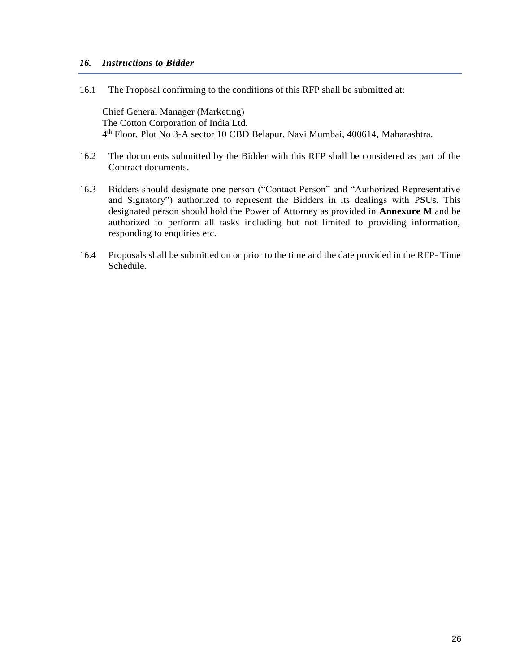### *16. Instructions to Bidder*

16.1 The Proposal confirming to the conditions of this RFP shall be submitted at:

Chief General Manager (Marketing) The Cotton Corporation of India Ltd. 4 th Floor, Plot No 3-A sector 10 CBD Belapur, Navi Mumbai, 400614, Maharashtra.

- 16.2 The documents submitted by the Bidder with this RFP shall be considered as part of the Contract documents.
- 16.3 Bidders should designate one person ("Contact Person" and "Authorized Representative and Signatory") authorized to represent the Bidders in its dealings with PSUs. This designated person should hold the Power of Attorney as provided in **Annexure M** and be authorized to perform all tasks including but not limited to providing information, responding to enquiries etc.
- 16.4 Proposals shall be submitted on or prior to the time and the date provided in the RFP- Time Schedule.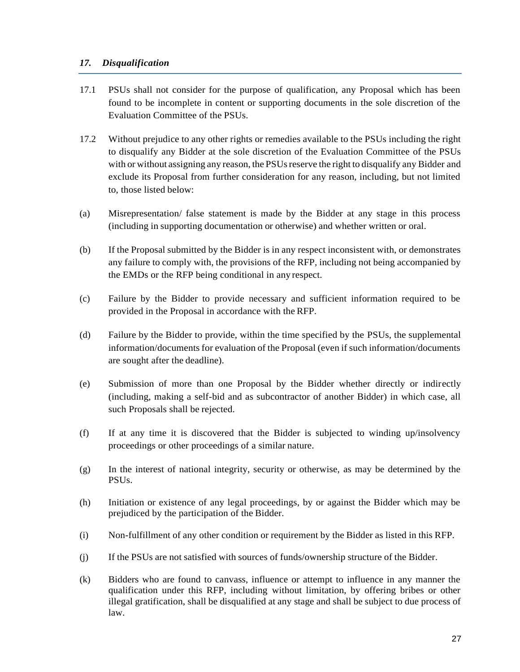### *17. Disqualification*

- 17.1 PSUs shall not consider for the purpose of qualification, any Proposal which has been found to be incomplete in content or supporting documents in the sole discretion of the Evaluation Committee of the PSUs.
- 17.2 Without prejudice to any other rights or remedies available to the PSUs including the right to disqualify any Bidder at the sole discretion of the Evaluation Committee of the PSUs with or without assigning any reason, the PSUsreserve the right to disqualify any Bidder and exclude its Proposal from further consideration for any reason, including, but not limited to, those listed below:
- (a) Misrepresentation/ false statement is made by the Bidder at any stage in this process (including in supporting documentation or otherwise) and whether written or oral.
- (b) If the Proposal submitted by the Bidder is in any respect inconsistent with, or demonstrates any failure to comply with, the provisions of the RFP, including not being accompanied by the EMDs or the RFP being conditional in any respect.
- (c) Failure by the Bidder to provide necessary and sufficient information required to be provided in the Proposal in accordance with the RFP.
- (d) Failure by the Bidder to provide, within the time specified by the PSUs, the supplemental information/documents for evaluation of the Proposal (even if such information/documents are sought after the deadline).
- (e) Submission of more than one Proposal by the Bidder whether directly or indirectly (including, making a self-bid and as subcontractor of another Bidder) in which case, all such Proposals shall be rejected.
- (f) If at any time it is discovered that the Bidder is subjected to winding up/insolvency proceedings or other proceedings of a similar nature.
- (g) In the interest of national integrity, security or otherwise, as may be determined by the PSUs.
- (h) Initiation or existence of any legal proceedings, by or against the Bidder which may be prejudiced by the participation of the Bidder.
- (i) Non-fulfillment of any other condition or requirement by the Bidder as listed in this RFP.
- (j) If the PSUs are not satisfied with sources of funds/ownership structure of the Bidder.
- (k) Bidders who are found to canvass, influence or attempt to influence in any manner the qualification under this RFP, including without limitation, by offering bribes or other illegal gratification, shall be disqualified at any stage and shall be subject to due process of law.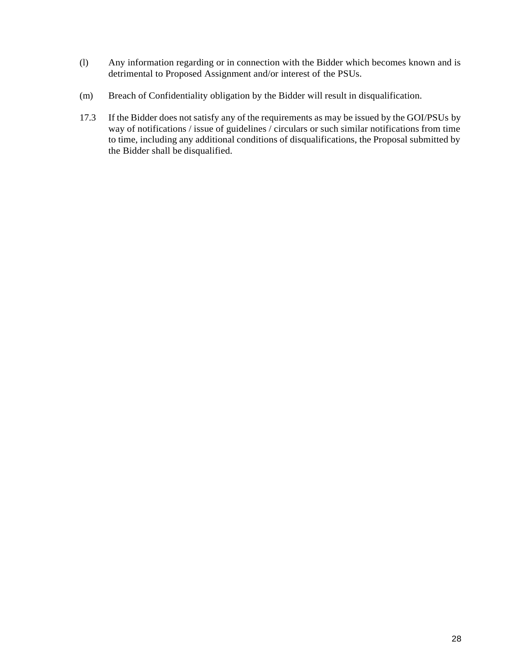- (l) Any information regarding or in connection with the Bidder which becomes known and is detrimental to Proposed Assignment and/or interest of the PSUs.
- (m) Breach of Confidentiality obligation by the Bidder will result in disqualification.
- 17.3 If the Bidder does not satisfy any of the requirements as may be issued by the GOI/PSUs by way of notifications / issue of guidelines / circulars or such similar notifications from time to time, including any additional conditions of disqualifications, the Proposal submitted by the Bidder shall be disqualified.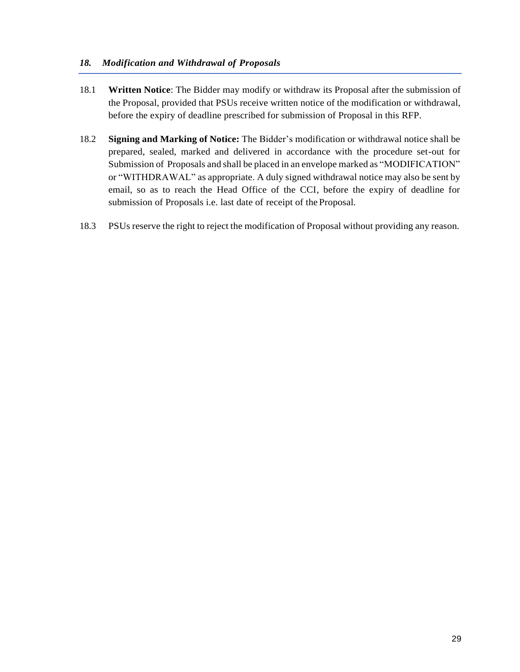### *18. Modification and Withdrawal of Proposals*

- 18.1 **Written Notice**: The Bidder may modify or withdraw its Proposal after the submission of the Proposal, provided that PSUs receive written notice of the modification or withdrawal, before the expiry of deadline prescribed for submission of Proposal in this RFP.
- 18.2 **Signing and Marking of Notice:** The Bidder's modification or withdrawal notice shall be prepared, sealed, marked and delivered in accordance with the procedure set-out for Submission of Proposals and shall be placed in an envelope marked as "MODIFICATION" or "WITHDRAWAL" as appropriate. A duly signed withdrawal notice may also be sent by email, so as to reach the Head Office of the CCI, before the expiry of deadline for submission of Proposals i.e. last date of receipt of the Proposal.
- 18.3 PSUs reserve the right to reject the modification of Proposal without providing any reason.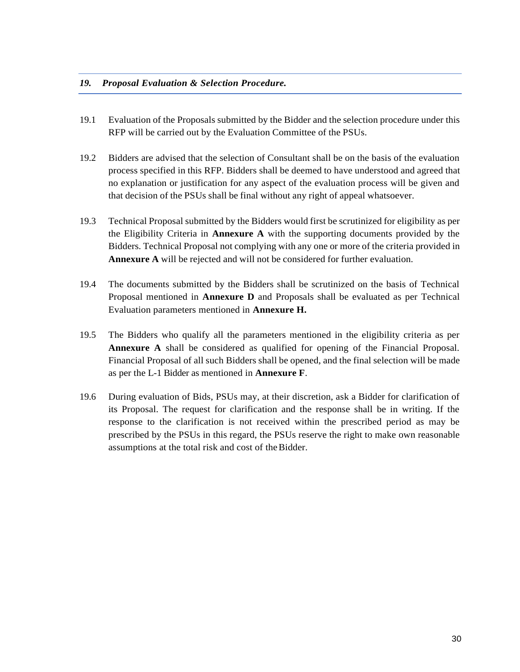#### *19. Proposal Evaluation & Selection Procedure.*

- 19.1 Evaluation of the Proposals submitted by the Bidder and the selection procedure under this RFP will be carried out by the Evaluation Committee of the PSUs.
- 19.2 Bidders are advised that the selection of Consultant shall be on the basis of the evaluation process specified in this RFP. Bidders shall be deemed to have understood and agreed that no explanation or justification for any aspect of the evaluation process will be given and that decision of the PSUs shall be final without any right of appeal whatsoever.
- 19.3 Technical Proposal submitted by the Bidders would first be scrutinized for eligibility as per the Eligibility Criteria in **Annexure A** with the supporting documents provided by the Bidders. Technical Proposal not complying with any one or more of the criteria provided in **Annexure A** will be rejected and will not be considered for further evaluation.
- 19.4 The documents submitted by the Bidders shall be scrutinized on the basis of Technical Proposal mentioned in **Annexure D** and Proposals shall be evaluated as per Technical Evaluation parameters mentioned in **Annexure H.**
- 19.5 The Bidders who qualify all the parameters mentioned in the eligibility criteria as per **Annexure A** shall be considered as qualified for opening of the Financial Proposal. Financial Proposal of all such Bidders shall be opened, and the final selection will be made as per the L-1 Bidder as mentioned in **Annexure F**.
- 19.6 During evaluation of Bids, PSUs may, at their discretion, ask a Bidder for clarification of its Proposal. The request for clarification and the response shall be in writing. If the response to the clarification is not received within the prescribed period as may be prescribed by the PSUs in this regard, the PSUs reserve the right to make own reasonable assumptions at the total risk and cost of theBidder.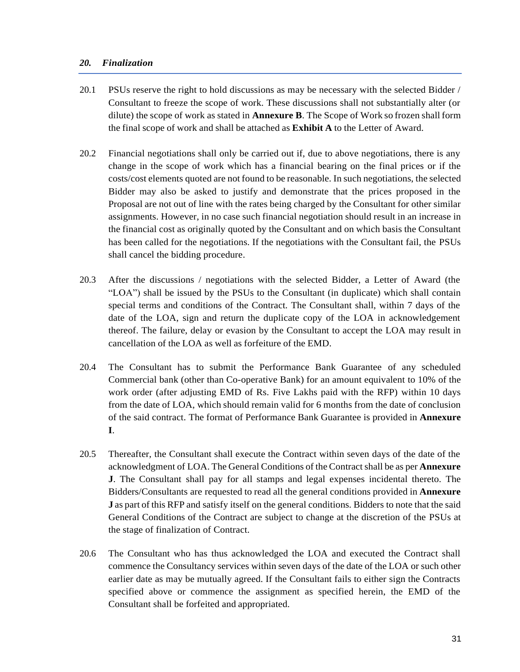### *20. Finalization*

- 20.1 PSUs reserve the right to hold discussions as may be necessary with the selected Bidder / Consultant to freeze the scope of work. These discussions shall not substantially alter (or dilute) the scope of work as stated in **Annexure B**. The Scope of Work so frozen shall form the final scope of work and shall be attached as **Exhibit A** to the Letter of Award.
- 20.2 Financial negotiations shall only be carried out if, due to above negotiations, there is any change in the scope of work which has a financial bearing on the final prices or if the costs/cost elements quoted are not found to be reasonable. In such negotiations, the selected Bidder may also be asked to justify and demonstrate that the prices proposed in the Proposal are not out of line with the rates being charged by the Consultant for other similar assignments. However, in no case such financial negotiation should result in an increase in the financial cost as originally quoted by the Consultant and on which basis the Consultant has been called for the negotiations. If the negotiations with the Consultant fail, the PSUs shall cancel the bidding procedure.
- 20.3 After the discussions / negotiations with the selected Bidder, a Letter of Award (the "LOA") shall be issued by the PSUs to the Consultant (in duplicate) which shall contain special terms and conditions of the Contract. The Consultant shall, within 7 days of the date of the LOA, sign and return the duplicate copy of the LOA in acknowledgement thereof. The failure, delay or evasion by the Consultant to accept the LOA may result in cancellation of the LOA as well as forfeiture of the EMD.
- 20.4 The Consultant has to submit the Performance Bank Guarantee of any scheduled Commercial bank (other than Co-operative Bank) for an amount equivalent to 10% of the work order (after adjusting EMD of Rs. Five Lakhs paid with the RFP) within 10 days from the date of LOA, which should remain valid for 6 months from the date of conclusion of the said contract. The format of Performance Bank Guarantee is provided in **Annexure I**.
- 20.5 Thereafter, the Consultant shall execute the Contract within seven days of the date of the acknowledgment of LOA. The General Conditions of the Contractshall be as per **Annexure J**. The Consultant shall pay for all stamps and legal expenses incidental thereto. The Bidders/Consultants are requested to read all the general conditions provided in **Annexure J** as part of this RFP and satisfy itself on the general conditions. Bidders to note that the said General Conditions of the Contract are subject to change at the discretion of the PSUs at the stage of finalization of Contract.
- 20.6 The Consultant who has thus acknowledged the LOA and executed the Contract shall commence the Consultancy services within seven days of the date of the LOA or such other earlier date as may be mutually agreed. If the Consultant fails to either sign the Contracts specified above or commence the assignment as specified herein, the EMD of the Consultant shall be forfeited and appropriated.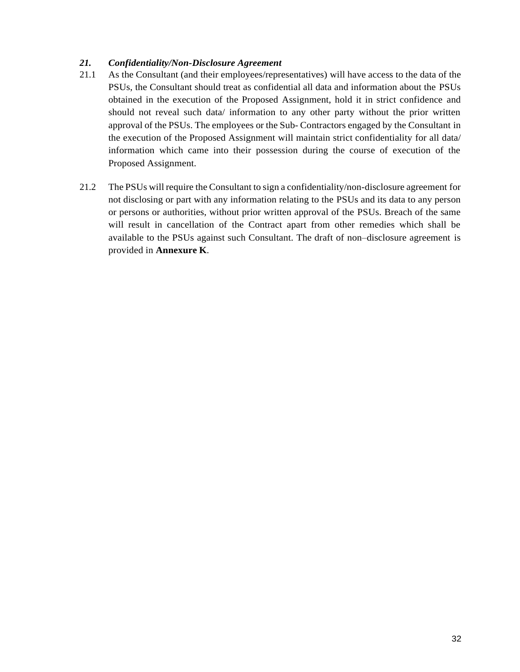## *21. Confidentiality/Non-Disclosure Agreement*

- 21.1 As the Consultant (and their employees/representatives) will have access to the data of the PSUs, the Consultant should treat as confidential all data and information about the PSUs obtained in the execution of the Proposed Assignment, hold it in strict confidence and should not reveal such data/ information to any other party without the prior written approval of the PSUs. The employees or the Sub- Contractors engaged by the Consultant in the execution of the Proposed Assignment will maintain strict confidentiality for all data/ information which came into their possession during the course of execution of the Proposed Assignment.
- 21.2 The PSUs will require the Consultant to sign a confidentiality/non-disclosure agreement for not disclosing or part with any information relating to the PSUs and its data to any person or persons or authorities, without prior written approval of the PSUs. Breach of the same will result in cancellation of the Contract apart from other remedies which shall be available to the PSUs against such Consultant. The draft of non–disclosure agreement is provided in **Annexure K**.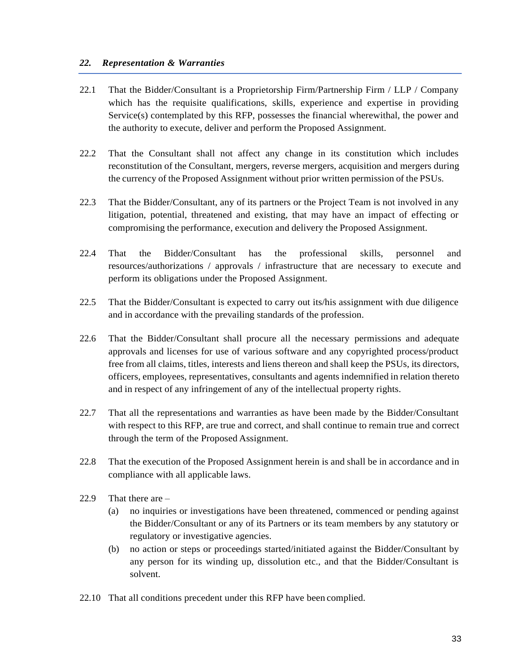### *22. Representation & Warranties*

- 22.1 That the Bidder/Consultant is a Proprietorship Firm/Partnership Firm / LLP / Company which has the requisite qualifications, skills, experience and expertise in providing Service(s) contemplated by this RFP, possesses the financial wherewithal, the power and the authority to execute, deliver and perform the Proposed Assignment.
- 22.2 That the Consultant shall not affect any change in its constitution which includes reconstitution of the Consultant, mergers, reverse mergers, acquisition and mergers during the currency of the Proposed Assignment without prior written permission of the PSUs.
- 22.3 That the Bidder/Consultant, any of its partners or the Project Team is not involved in any litigation, potential, threatened and existing, that may have an impact of effecting or compromising the performance, execution and delivery the Proposed Assignment.
- 22.4 That the Bidder/Consultant has the professional skills, personnel and resources/authorizations / approvals / infrastructure that are necessary to execute and perform its obligations under the Proposed Assignment.
- 22.5 That the Bidder/Consultant is expected to carry out its/his assignment with due diligence and in accordance with the prevailing standards of the profession.
- 22.6 That the Bidder/Consultant shall procure all the necessary permissions and adequate approvals and licenses for use of various software and any copyrighted process/product free from all claims, titles, interests and liens thereon and shall keep the PSUs, its directors, officers, employees, representatives, consultants and agents indemnified in relation thereto and in respect of any infringement of any of the intellectual property rights.
- 22.7 That all the representations and warranties as have been made by the Bidder/Consultant with respect to this RFP, are true and correct, and shall continue to remain true and correct through the term of the Proposed Assignment.
- 22.8 That the execution of the Proposed Assignment herein is and shall be in accordance and in compliance with all applicable laws.
- 22.9 That there are
	- (a) no inquiries or investigations have been threatened, commenced or pending against the Bidder/Consultant or any of its Partners or its team members by any statutory or regulatory or investigative agencies.
	- (b) no action or steps or proceedings started/initiated against the Bidder/Consultant by any person for its winding up, dissolution etc., and that the Bidder/Consultant is solvent.
- 22.10 That all conditions precedent under this RFP have been complied.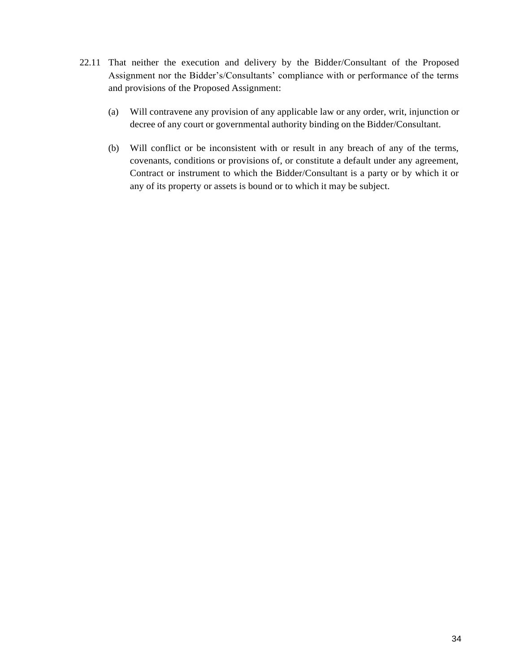- 22.11 That neither the execution and delivery by the Bidder/Consultant of the Proposed Assignment nor the Bidder's/Consultants' compliance with or performance of the terms and provisions of the Proposed Assignment:
	- (a) Will contravene any provision of any applicable law or any order, writ, injunction or decree of any court or governmental authority binding on the Bidder/Consultant.
	- (b) Will conflict or be inconsistent with or result in any breach of any of the terms, covenants, conditions or provisions of, or constitute a default under any agreement, Contract or instrument to which the Bidder/Consultant is a party or by which it or any of its property or assets is bound or to which it may be subject.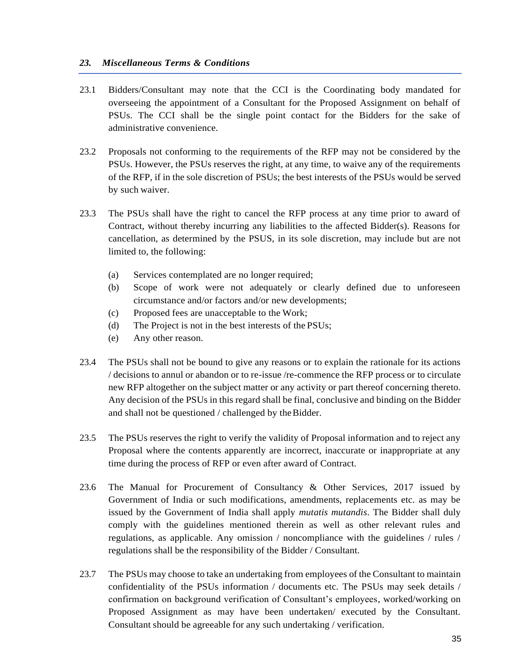### *23. Miscellaneous Terms & Conditions*

- 23.1 Bidders/Consultant may note that the CCI is the Coordinating body mandated for overseeing the appointment of a Consultant for the Proposed Assignment on behalf of PSUs. The CCI shall be the single point contact for the Bidders for the sake of administrative convenience.
- 23.2 Proposals not conforming to the requirements of the RFP may not be considered by the PSUs. However, the PSUs reserves the right, at any time, to waive any of the requirements of the RFP, if in the sole discretion of PSUs; the best interests of the PSUs would be served by such waiver.
- 23.3 The PSUs shall have the right to cancel the RFP process at any time prior to award of Contract, without thereby incurring any liabilities to the affected Bidder(s). Reasons for cancellation, as determined by the PSUS, in its sole discretion, may include but are not limited to, the following:
	- (a) Services contemplated are no longer required;
	- (b) Scope of work were not adequately or clearly defined due to unforeseen circumstance and/or factors and/or new developments;
	- (c) Proposed fees are unacceptable to the Work;
	- (d) The Project is not in the best interests of the PSUs;
	- (e) Any other reason.
- 23.4 The PSUs shall not be bound to give any reasons or to explain the rationale for its actions / decisions to annul or abandon or to re-issue /re-commence the RFP process or to circulate new RFP altogether on the subject matter or any activity or part thereof concerning thereto. Any decision of the PSUs in this regard shall be final, conclusive and binding on the Bidder and shall not be questioned / challenged by theBidder.
- 23.5 The PSUs reserves the right to verify the validity of Proposal information and to reject any Proposal where the contents apparently are incorrect, inaccurate or inappropriate at any time during the process of RFP or even after award of Contract.
- 23.6 The Manual for Procurement of Consultancy & Other Services, 2017 issued by Government of India or such modifications, amendments, replacements etc. as may be issued by the Government of India shall apply *mutatis mutandis*. The Bidder shall duly comply with the guidelines mentioned therein as well as other relevant rules and regulations, as applicable. Any omission / noncompliance with the guidelines / rules / regulations shall be the responsibility of the Bidder / Consultant.
- 23.7 The PSUs may choose to take an undertaking from employees of the Consultant to maintain confidentiality of the PSUs information / documents etc. The PSUs may seek details / confirmation on background verification of Consultant's employees, worked/working on Proposed Assignment as may have been undertaken/ executed by the Consultant. Consultant should be agreeable for any such undertaking / verification.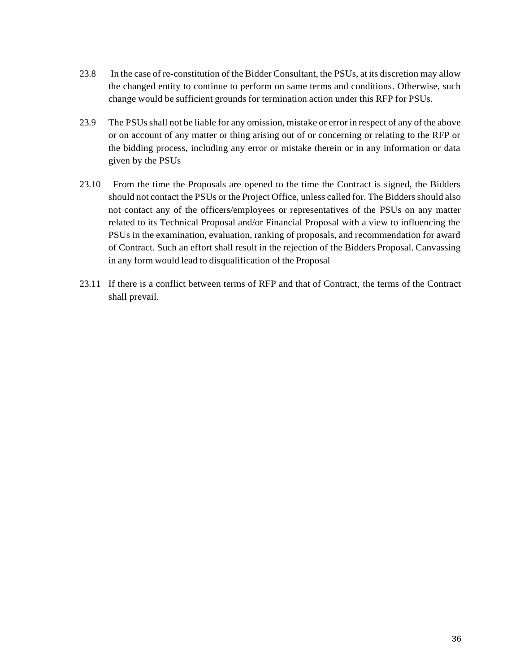- 23.8 In the case of re-constitution of the Bidder Consultant, the PSUs, at its discretion may allow the changed entity to continue to perform on same terms and conditions. Otherwise, such change would be sufficient grounds for termination action under this RFP for PSUs.
- 23.9 The PSUsshall not be liable for any omission, mistake or error in respect of any of the above or on account of any matter or thing arising out of or concerning or relating to the RFP or the bidding process, including any error or mistake therein or in any information or data given by the PSUs
- 23.10 From the time the Proposals are opened to the time the Contract is signed, the Bidders should not contact the PSUs or the Project Office, unless called for. The Biddersshould also not contact any of the officers/employees or representatives of the PSUs on any matter related to its Technical Proposal and/or Financial Proposal with a view to influencing the PSUs in the examination, evaluation, ranking of proposals, and recommendation for award of Contract. Such an effort shall result in the rejection of the Bidders Proposal. Canvassing in any form would lead to disqualification of the Proposal
- 23.11 If there is a conflict between terms of RFP and that of Contract, the terms of the Contract shall prevail.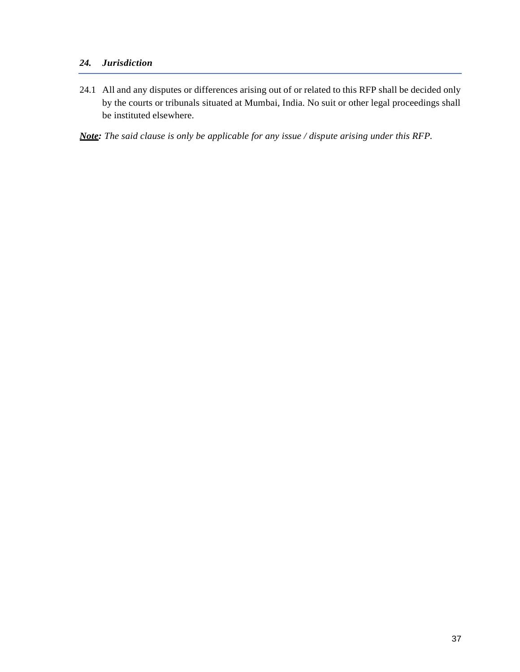# *24. Jurisdiction*

24.1 All and any disputes or differences arising out of or related to this RFP shall be decided only by the courts or tribunals situated at Mumbai, India. No suit or other legal proceedings shall be instituted elsewhere.

*Note: The said clause is only be applicable for any issue / dispute arising under this RFP.*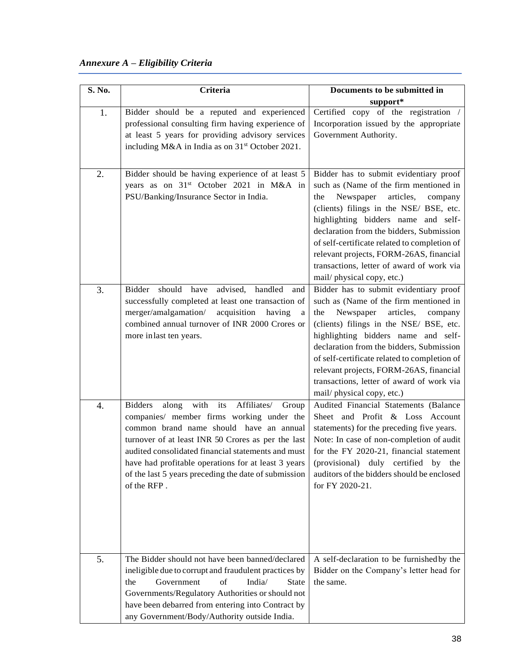# *Annexure A – Eligibility Criteria*

| S. No. | Criteria                                                                                                                                                                                                                                                                                                                                                                                         | Documents to be submitted in                                                                                                                                                                                                                                                                                                                                                                                                    |
|--------|--------------------------------------------------------------------------------------------------------------------------------------------------------------------------------------------------------------------------------------------------------------------------------------------------------------------------------------------------------------------------------------------------|---------------------------------------------------------------------------------------------------------------------------------------------------------------------------------------------------------------------------------------------------------------------------------------------------------------------------------------------------------------------------------------------------------------------------------|
|        |                                                                                                                                                                                                                                                                                                                                                                                                  | support*                                                                                                                                                                                                                                                                                                                                                                                                                        |
| 1.     | Bidder should be a reputed and experienced<br>professional consulting firm having experience of<br>at least 5 years for providing advisory services<br>including M&A in India as on 31 <sup>st</sup> October 2021.                                                                                                                                                                               | Certified copy of the registration /<br>Incorporation issued by the appropriate<br>Government Authority.                                                                                                                                                                                                                                                                                                                        |
| 2.     | Bidder should be having experience of at least 5<br>years as on 31 <sup>st</sup> October 2021 in M&A in<br>PSU/Banking/Insurance Sector in India.                                                                                                                                                                                                                                                | Bidder has to submit evidentiary proof<br>such as (Name of the firm mentioned in<br>Newspaper<br>articles,<br>the<br>company<br>(clients) filings in the NSE/ BSE, etc.<br>highlighting bidders name and self-<br>declaration from the bidders, Submission<br>of self-certificate related to completion of<br>relevant projects, FORM-26AS, financial<br>transactions, letter of award of work via<br>mail/physical copy, etc.) |
| 3.     | should<br>have<br>advised,<br>handled<br>Bidder<br>and<br>successfully completed at least one transaction of<br>merger/amalgamation/<br>acquisition<br>having<br>a<br>combined annual turnover of INR 2000 Crores or<br>more inlast ten years.                                                                                                                                                   | Bidder has to submit evidentiary proof<br>such as (Name of the firm mentioned in<br>Newspaper<br>articles,<br>the<br>company<br>(clients) filings in the NSE/ BSE, etc.<br>highlighting bidders name and self-<br>declaration from the bidders, Submission<br>of self-certificate related to completion of<br>relevant projects, FORM-26AS, financial<br>transactions, letter of award of work via<br>mail/physical copy, etc.) |
| 4.     | with<br>its<br><b>Bidders</b><br>Affiliates/<br>along<br>Group<br>companies/ member firms working under the<br>common brand name should have an annual<br>turnover of at least INR 50 Crores as per the last<br>audited consolidated financial statements and must<br>have had profitable operations for at least 3 years<br>of the last 5 years preceding the date of submission<br>of the RFP. | Audited Financial Statements (Balance<br>Sheet and Profit & Loss Account<br>statements) for the preceding five years.<br>Note: In case of non-completion of audit<br>for the FY 2020-21, financial statement<br>(provisional)<br>duly certified<br>by the<br>auditors of the bidders should be enclosed<br>for FY 2020-21.                                                                                                      |
| 5.     | The Bidder should not have been banned/declared<br>ineligible due to corrupt and fraudulent practices by<br>of<br>India/<br>Government<br><b>State</b><br>the<br>Governments/Regulatory Authorities or should not<br>have been debarred from entering into Contract by<br>any Government/Body/Authority outside India.                                                                           | A self-declaration to be furnished by the<br>Bidder on the Company's letter head for<br>the same.                                                                                                                                                                                                                                                                                                                               |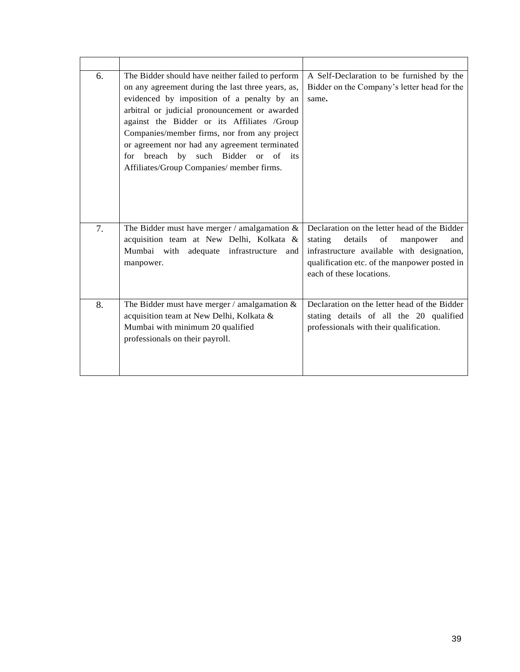| 6. | The Bidder should have neither failed to perform                                            | A Self-Declaration to be furnished by the                                                  |
|----|---------------------------------------------------------------------------------------------|--------------------------------------------------------------------------------------------|
|    | on any agreement during the last three years, as,                                           | Bidder on the Company's letter head for the                                                |
|    | evidenced by imposition of a penalty by an                                                  | same.                                                                                      |
|    | arbitral or judicial pronouncement or awarded                                               |                                                                                            |
|    | against the Bidder or its Affiliates /Group<br>Companies/member firms, nor from any project |                                                                                            |
|    | or agreement nor had any agreement terminated                                               |                                                                                            |
|    | for breach by such Bidder or<br>of<br>its                                                   |                                                                                            |
|    | Affiliates/Group Companies/ member firms.                                                   |                                                                                            |
|    |                                                                                             |                                                                                            |
|    |                                                                                             |                                                                                            |
|    |                                                                                             |                                                                                            |
|    |                                                                                             |                                                                                            |
| 7. | The Bidder must have merger / amalgamation $\&$                                             | Declaration on the letter head of the Bidder                                               |
|    | acquisition team at New Delhi, Kolkata &                                                    | stating<br>of<br>details<br>manpower<br>and                                                |
|    | Mumbai with adequate infrastructure<br>and<br>manpower.                                     | infrastructure available with designation,<br>qualification etc. of the manpower posted in |
|    |                                                                                             | each of these locations.                                                                   |
|    |                                                                                             |                                                                                            |
|    |                                                                                             |                                                                                            |
| 8. | The Bidder must have merger / amalgamation $&$                                              | Declaration on the letter head of the Bidder                                               |
|    | acquisition team at New Delhi, Kolkata &                                                    | stating details of all the 20 qualified                                                    |
|    | Mumbai with minimum 20 qualified<br>professionals on their payroll.                         | professionals with their qualification.                                                    |
|    |                                                                                             |                                                                                            |
|    |                                                                                             |                                                                                            |
|    |                                                                                             |                                                                                            |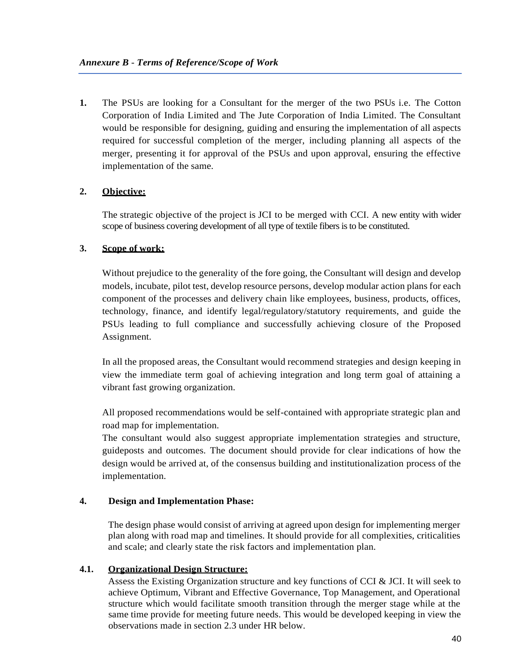**1.** The PSUs are looking for a Consultant for the merger of the two PSUs i.e. The Cotton Corporation of India Limited and The Jute Corporation of India Limited. The Consultant would be responsible for designing, guiding and ensuring the implementation of all aspects required for successful completion of the merger, including planning all aspects of the merger, presenting it for approval of the PSUs and upon approval, ensuring the effective implementation of the same.

# **2. Objective:**

The strategic objective of the project is JCI to be merged with CCI. A new entity with wider scope of business covering development of all type of textile fibers is to be constituted.

# **3. Scope of work:**

Without prejudice to the generality of the fore going, the Consultant will design and develop models, incubate, pilot test, develop resource persons, develop modular action plans for each component of the processes and delivery chain like employees, business, products, offices, technology, finance, and identify legal/regulatory/statutory requirements, and guide the PSUs leading to full compliance and successfully achieving closure of the Proposed Assignment.

In all the proposed areas, the Consultant would recommend strategies and design keeping in view the immediate term goal of achieving integration and long term goal of attaining a vibrant fast growing organization.

All proposed recommendations would be self-contained with appropriate strategic plan and road map for implementation.

The consultant would also suggest appropriate implementation strategies and structure, guideposts and outcomes. The document should provide for clear indications of how the design would be arrived at, of the consensus building and institutionalization process of the implementation.

## **4. Design and Implementation Phase:**

The design phase would consist of arriving at agreed upon design for implementing merger plan along with road map and timelines. It should provide for all complexities, criticalities and scale; and clearly state the risk factors and implementation plan.

## **4.1. Organizational Design Structure:**

Assess the Existing Organization structure and key functions of CCI & JCI. It will seek to achieve Optimum, Vibrant and Effective Governance, Top Management, and Operational structure which would facilitate smooth transition through the merger stage while at the same time provide for meeting future needs. This would be developed keeping in view the observations made in section 2.3 under HR below.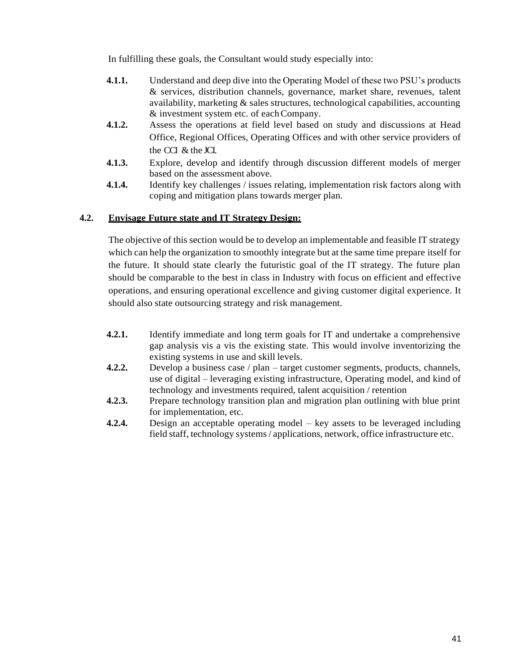In fulfilling these goals, the Consultant would study especially into:

- **4.1.1.** Understand and deep dive into the Operating Model of these two PSU's products & services, distribution channels, governance, market share, revenues, talent availability, marketing & sales structures, technological capabilities, accounting & investment system etc. of eachCompany.
- **4.1.2.** Assess the operations at field level based on study and discussions at Head Office, Regional Offices, Operating Offices and with other service providers of the CCI & the JCI.
- **4.1.3.** Explore, develop and identify through discussion different models of merger based on the assessment above.
- **4.1.4.** Identify key challenges / issues relating, implementation risk factors along with coping and mitigation plans towards merger plan.

## **4.2. Envisage Future state and IT Strategy Design:**

The objective of this section would be to develop an implementable and feasible IT strategy which can help the organization to smoothly integrate but at the same time prepare itself for the future. It should state clearly the futuristic goal of the IT strategy. The future plan should be comparable to the best in class in Industry with focus on efficient and effective operations, and ensuring operational excellence and giving customer digital experience. It should also state outsourcing strategy and risk management.

- **4.2.1.** Identify immediate and long term goals for IT and undertake a comprehensive gap analysis vis a vis the existing state. This would involve inventorizing the existing systems in use and skill levels.
- **4.2.2.** Develop a business case / plan target customer segments, products, channels, use of digital – leveraging existing infrastructure, Operating model, and kind of technology and investments required, talent acquisition / retention
- **4.2.3.** Prepare technology transition plan and migration plan outlining with blue print for implementation, etc.
- **4.2.4.** Design an acceptable operating model key assets to be leveraged including field staff, technology systems / applications, network, office infrastructure etc.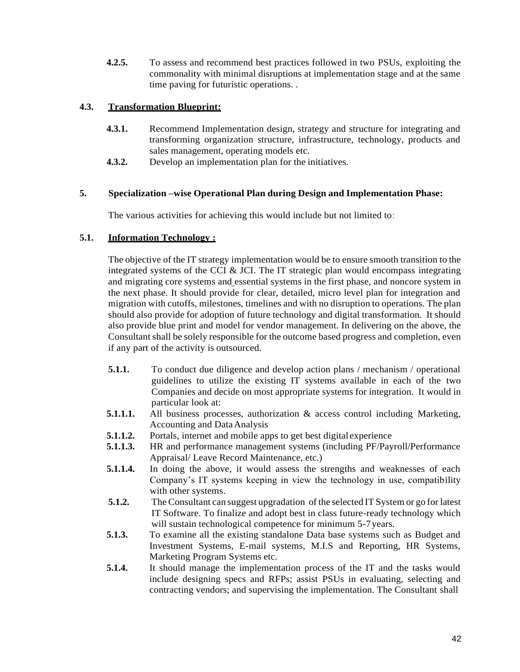**4.2.5.** To assess and recommend best practices followed in two PSUs, exploiting the commonality with minimal disruptions at implementation stage and at the same time paving for futuristic operations. .

## **4.3. Transformation Blueprint:**

- **4.3.1.** Recommend Implementation design, strategy and structure for integrating and transforming organization structure, infrastructure, technology, products and sales management, operating models etc.
- **4.3.2.** Develop an implementation plan for the initiatives.

## **5. Specialization –wise Operational Plan during Design and Implementation Phase:**

The various activities for achieving this would include but not limited to:

### **5.1. Information Technology :**

The objective of the IT strategy implementation would be to ensure smooth transition to the integrated systems of the CCI & JCI. The IT strategic plan would encompass integrating and migrating core systems and essential systems in the first phase, and noncore system in the next phase. It should provide for clear, detailed, micro level plan for integration and migration with cutoffs, milestones, timelines and with no disruption to operations. The plan should also provide for adoption of future technology and digital transformation. It should also provide blue print and model for vendor management. In delivering on the above, the Consultant shall be solely responsible for the outcome based progress and completion, even if any part of the activity is outsourced.

- **5.1.1.** To conduct due diligence and develop action plans / mechanism / operational guidelines to utilize the existing IT systems available in each of the two Companies and decide on most appropriate systems for integration. It would in particular look at:
- **5.1.1.1.** All business processes, authorization & access control including Marketing, Accounting and DataAnalysis
- **5.1.1.2.** Portals, internet and mobile apps to get best digital experience
- **5.1.1.3.** HR and performance management systems (including PF/Payroll/Performance Appraisal/ Leave Record Maintenance, etc.)
- **5.1.1.4.** In doing the above, it would assess the strengths and weaknesses of each Company's IT systems keeping in view the technology in use, compatibility with other systems.
- **5.1.2.** The Consultant can suggest upgradation of the selected IT System or go for latest IT Software. To finalize and adopt best in class future-ready technology which will sustain technological competence for minimum 5-7 years.
- **5.1.3.** To examine all the existing standalone Data base systems such as Budget and Investment Systems, E-mail systems, M.I.S and Reporting, HR Systems, Marketing Program Systems etc.
- **5.1.4.** It should manage the implementation process of the IT and the tasks would include designing specs and RFPs; assist PSUs in evaluating, selecting and contracting vendors; and supervising the implementation. The Consultant shall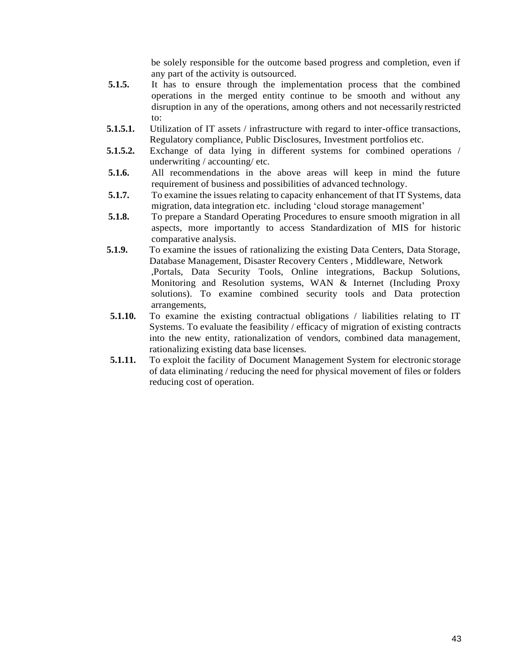be solely responsible for the outcome based progress and completion, even if any part of the activity is outsourced.

- **5.1.5.** It has to ensure through the implementation process that the combined operations in the merged entity continue to be smooth and without any disruption in any of the operations, among others and not necessarily restricted to:
- **5.1.5.1.** Utilization of IT assets / infrastructure with regard to inter-office transactions, Regulatory compliance, Public Disclosures, Investment portfolios etc.
- **5.1.5.2.** Exchange of data lying in different systems for combined operations / underwriting / accounting/ etc.
- **5.1.6.** All recommendations in the above areas will keep in mind the future requirement of business and possibilities of advanced technology.
- **5.1.7.** To examine the issues relating to capacity enhancement of that IT Systems, data migration, data integration etc. including 'cloud storage management'
- **5.1.8.** To prepare a Standard Operating Procedures to ensure smooth migration in all aspects, more importantly to access Standardization of MIS for historic comparative analysis.
- **5.1.9.** To examine the issues of rationalizing the existing Data Centers, Data Storage, Database Management, Disaster Recovery Centers , Middleware, Network ,Portals, Data Security Tools, Online integrations, Backup Solutions, Monitoring and Resolution systems, WAN & Internet (Including Proxy solutions). To examine combined security tools and Data protection arrangements,
- **5.1.10.** To examine the existing contractual obligations / liabilities relating to IT Systems. To evaluate the feasibility / efficacy of migration of existing contracts into the new entity, rationalization of vendors, combined data management, rationalizing existing data base licenses.
- **5.1.11.** To exploit the facility of Document Management System for electronic storage of data eliminating / reducing the need for physical movement of files or folders reducing cost of operation.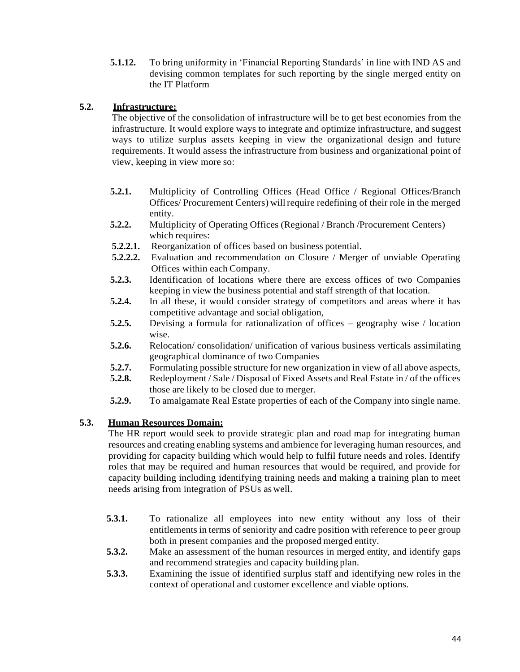**5.1.12.** To bring uniformity in 'Financial Reporting Standards' in line with IND AS and devising common templates for such reporting by the single merged entity on the IT Platform

## **5.2. Infrastructure:**

The objective of the consolidation of infrastructure will be to get best economies from the infrastructure. It would explore ways to integrate and optimize infrastructure, and suggest ways to utilize surplus assets keeping in view the organizational design and future requirements. It would assess the infrastructure from business and organizational point of view, keeping in view more so:

- **5.2.1.** Multiplicity of Controlling Offices (Head Office / Regional Offices/Branch Offices/ Procurement Centers) willrequire redefining of their role in the merged entity.
- **5.2.2.** Multiplicity of Operating Offices (Regional / Branch /Procurement Centers) which requires:
- **5.2.2.1.** Reorganization of offices based on business potential.
- **5.2.2.2.** Evaluation and recommendation on Closure / Merger of unviable Operating Offices within each Company.
- **5.2.3.** Identification of locations where there are excess offices of two Companies keeping in view the business potential and staff strength of that location.
- **5.2.4.** In all these, it would consider strategy of competitors and areas where it has competitive advantage and social obligation,
- **5.2.5.** Devising a formula for rationalization of offices geography wise / location wise.
- **5.2.6.** Relocation/ consolidation/ unification of various business verticals assimilating geographical dominance of two Companies
- **5.2.7.** Formulating possible structure for new organization in view of all above aspects,
- **5.2.8.** Redeployment / Sale / Disposal of Fixed Assets and Real Estate in / of the offices those are likely to be closed due to merger.
- **5.2.9.** To amalgamate Real Estate properties of each of the Company into single name.

## **5.3. Human Resources Domain:**

The HR report would seek to provide strategic plan and road map for integrating human resources and creating enabling systems and ambience for leveraging human resources, and providing for capacity building which would help to fulfil future needs and roles. Identify roles that may be required and human resources that would be required, and provide for capacity building including identifying training needs and making a training plan to meet needs arising from integration of PSUs as well.

- **5.3.1.** To rationalize all employees into new entity without any loss of their entitlements in terms of seniority and cadre position with reference to peer group both in present companies and the proposed merged entity.
- **5.3.2.** Make an assessment of the human resources in merged entity, and identify gaps and recommend strategies and capacity building plan.
- **5.3.3.** Examining the issue of identified surplus staff and identifying new roles in the context of operational and customer excellence and viable options.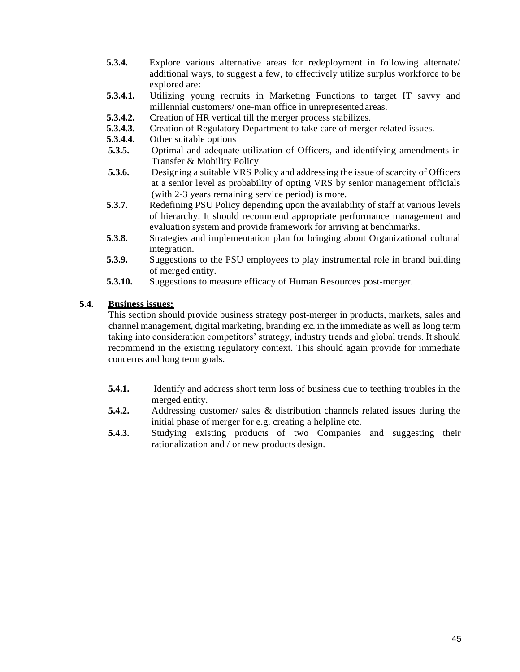- **5.3.4.** Explore various alternative areas for redeployment in following alternate/ additional ways, to suggest a few, to effectively utilize surplus workforce to be explored are:
- **5.3.4.1.** Utilizing young recruits in Marketing Functions to target IT savvy and millennial customers/ one-man office in unrepresentedareas.
- **5.3.4.2.** Creation of HR vertical till the merger process stabilizes.
- **5.3.4.3.** Creation of Regulatory Department to take care of merger related issues.
- **5.3.4.4.** Other suitable options
- **5.3.5.** Optimal and adequate utilization of Officers, and identifying amendments in Transfer & Mobility Policy
- **5.3.6.** Designing a suitable VRS Policy and addressing the issue of scarcity of Officers at a senior level as probability of opting VRS by senior management officials (with 2-3 years remaining service period) is more.
- **5.3.7.** Redefining PSU Policy depending upon the availability of staff at various levels of hierarchy. It should recommend appropriate performance management and evaluation system and provide framework for arriving at benchmarks.
- **5.3.8.** Strategies and implementation plan for bringing about Organizational cultural integration.
- **5.3.9.** Suggestions to the PSU employees to play instrumental role in brand building of merged entity.
- **5.3.10.** Suggestions to measure efficacy of Human Resources post-merger.

## **5.4. Business issues:**

This section should provide business strategy post-merger in products, markets, sales and channel management, digital marketing, branding etc. in the immediate as well as long term taking into consideration competitors' strategy, industry trends and global trends. It should recommend in the existing regulatory context. This should again provide for immediate concerns and long term goals.

- **5.4.1.** Identify and address short term loss of business due to teething troubles in the merged entity.
- **5.4.2.** Addressing customer/ sales & distribution channels related issues during the initial phase of merger for e.g. creating a helpline etc.
- **5.4.3.** Studying existing products of two Companies and suggesting their rationalization and / or new products design.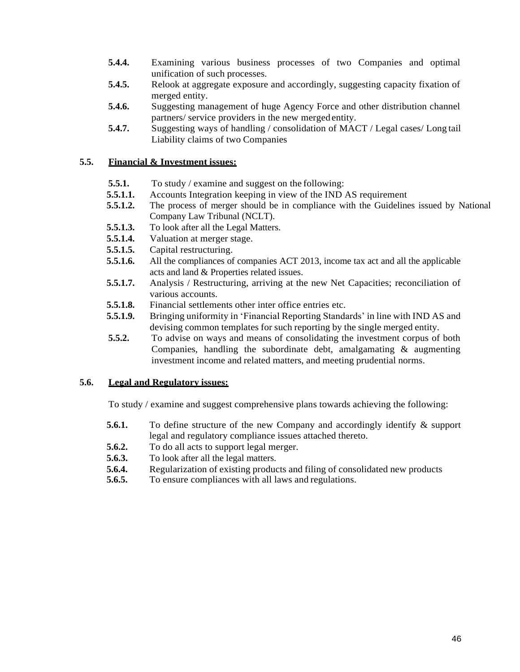- **5.4.4.** Examining various business processes of two Companies and optimal unification of such processes.
- **5.4.5.** Relook at aggregate exposure and accordingly, suggesting capacity fixation of merged entity.
- **5.4.6.** Suggesting management of huge Agency Force and other distribution channel partners/ service providers in the new merged entity.
- **5.4.7.** Suggesting ways of handling / consolidation of MACT / Legal cases / Long tail Liability claims of two Companies

### **5.5. Financial & Investment issues:**

- **5.5.1.** To study / examine and suggest on the following:
- **5.5.1.1.** Accounts Integration keeping in view of the IND AS requirement
- **5.5.1.2.** The process of merger should be in compliance with the Guidelines issued by National Company Law Tribunal (NCLT).
- **5.5.1.3.** To look after all the Legal Matters.
- **5.5.1.4.** Valuation at merger stage.
- **5.5.1.5.** Capital restructuring.
- **5.5.1.6.** All the compliances of companies ACT 2013, income tax act and all the applicable acts and land & Properties related issues.
- **5.5.1.7.** Analysis / Restructuring, arriving at the new Net Capacities; reconciliation of various accounts.
- **5.5.1.8.** Financial settlements other inter office entries etc.
- **5.5.1.9.** Bringing uniformity in 'Financial Reporting Standards' in line with IND AS and devising common templates for such reporting by the single merged entity.
- **5.5.2.** To advise on ways and means of consolidating the investment corpus of both Companies, handling the subordinate debt, amalgamating & augmenting investment income and related matters, and meeting prudential norms.

## **5.6. Legal and Regulatory issues:**

To study / examine and suggest comprehensive plans towards achieving the following:

- **5.6.1.** To define structure of the new Company and accordingly identify & support legal and regulatory compliance issues attached thereto.
- **5.6.2.** To do all acts to support legal merger.
- **5.6.3.** To look after all the legal matters.
- **5.6.4.** Regularization of existing products and filing of consolidated new products
- **5.6.5.** To ensure compliances with all laws and regulations.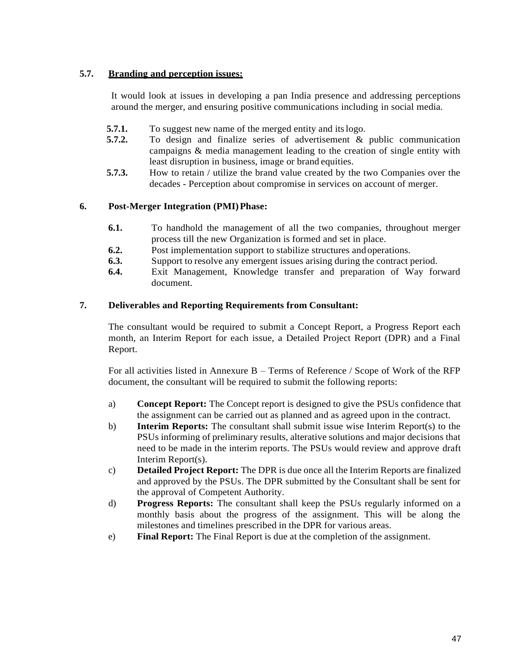## **5.7. Branding and perception issues:**

It would look at issues in developing a pan India presence and addressing perceptions around the merger, and ensuring positive communications including in social media.

- **5.7.1.** To suggest new name of the merged entity and its logo.
- **5.7.2.** To design and finalize series of advertisement & public communication campaigns & media management leading to the creation of single entity with least disruption in business, image or brand equities.
- **5.7.3.** How to retain / utilize the brand value created by the two Companies over the decades - Perception about compromise in services on account of merger.

## **6. Post-Merger Integration (PMI)Phase:**

- **6.1.** To handhold the management of all the two companies, throughout merger process till the new Organization is formed and set in place.
- **6.2.** Post implementation support to stabilize structures and operations.
- **6.3.** Support to resolve any emergent issues arising during the contract period.
- **6.4.** Exit Management, Knowledge transfer and preparation of Way forward document.

### **7. Deliverables and Reporting Requirements from Consultant:**

The consultant would be required to submit a Concept Report, a Progress Report each month, an Interim Report for each issue, a Detailed Project Report (DPR) and a Final Report.

For all activities listed in Annexure B – Terms of Reference / Scope of Work of the RFP document, the consultant will be required to submit the following reports:

- a) **Concept Report:** The Concept report is designed to give the PSUs confidence that the assignment can be carried out as planned and as agreed upon in the contract.
- b) **Interim Reports:** The consultant shall submit issue wise Interim Report(s) to the PSUs informing of preliminary results, alterative solutions and major decisions that need to be made in the interim reports. The PSUs would review and approve draft Interim Report(s).
- c) **Detailed Project Report:** The DPR is due once all the Interim Reports are finalized and approved by the PSUs. The DPR submitted by the Consultant shall be sent for the approval of Competent Authority.
- d) **Progress Reports:** The consultant shall keep the PSUs regularly informed on a monthly basis about the progress of the assignment. This will be along the milestones and timelines prescribed in the DPR for various areas.
- e) **Final Report:** The Final Report is due at the completion of the assignment.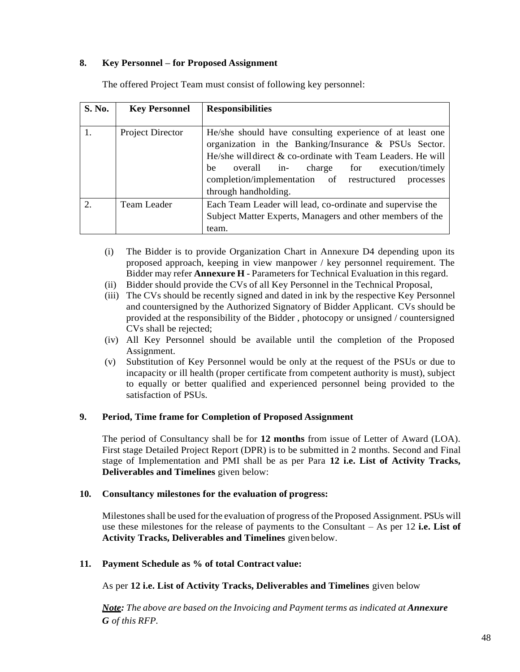### **8. Key Personnel – for Proposed Assignment**

| <b>S. No.</b>    | <b>Key Personnel</b> | <b>Responsibilities</b>                                                                                                                                                                                                                                                                                            |
|------------------|----------------------|--------------------------------------------------------------------------------------------------------------------------------------------------------------------------------------------------------------------------------------------------------------------------------------------------------------------|
|                  |                      |                                                                                                                                                                                                                                                                                                                    |
| 1.               | Project Director     | He/she should have consulting experience of at least one<br>organization in the Banking/Insurance & PSUs Sector.<br>He/she will direct & co-ordinate with Team Leaders. He will<br>overall in- charge for execution/timely<br>he<br>completion/implementation of restructured<br>processes<br>through handholding. |
| $\overline{2}$ . | Team Leader          | Each Team Leader will lead, co-ordinate and supervise the<br>Subject Matter Experts, Managers and other members of the<br>team.                                                                                                                                                                                    |

The offered Project Team must consist of following key personnel:

- (i) The Bidder is to provide Organization Chart in Annexure D4 depending upon its proposed approach, keeping in view manpower / key personnel requirement. The Bidder may refer **Annexure H** - Parameters for Technical Evaluation in this regard.
- (ii) Bidder should provide the CVs of all Key Personnel in the Technical Proposal,
- (iii) The CVs should be recently signed and dated in ink by the respective Key Personnel and countersigned by the Authorized Signatory of Bidder Applicant. CVs should be provided at the responsibility of the Bidder , photocopy or unsigned / countersigned CVs shall be rejected;
- (iv) All Key Personnel should be available until the completion of the Proposed Assignment.
- (v) Substitution of Key Personnel would be only at the request of the PSUs or due to incapacity or ill health (proper certificate from competent authority is must), subject to equally or better qualified and experienced personnel being provided to the satisfaction of PSUs.

### **9. Period, Time frame for Completion of Proposed Assignment**

The period of Consultancy shall be for **12 months** from issue of Letter of Award (LOA). First stage Detailed Project Report (DPR) is to be submitted in 2 months. Second and Final stage of Implementation and PMI shall be as per Para **12 i.e. List of Activity Tracks, Deliverables and Timelines** given below:

### **10. Consultancy milestones for the evaluation of progress:**

Milestonesshall be used for the evaluation of progress of the Proposed Assignment. PSUs will use these milestones for the release of payments to the Consultant – As per 12 **i.e. List of Activity Tracks, Deliverables and Timelines** given below.

### **11. Payment Schedule as % of total Contract value:**

As per **12 i.e. List of Activity Tracks, Deliverables and Timelines** given below

*Note: The above are based on the Invoicing and Payment terms as indicated at Annexure G of this RFP.*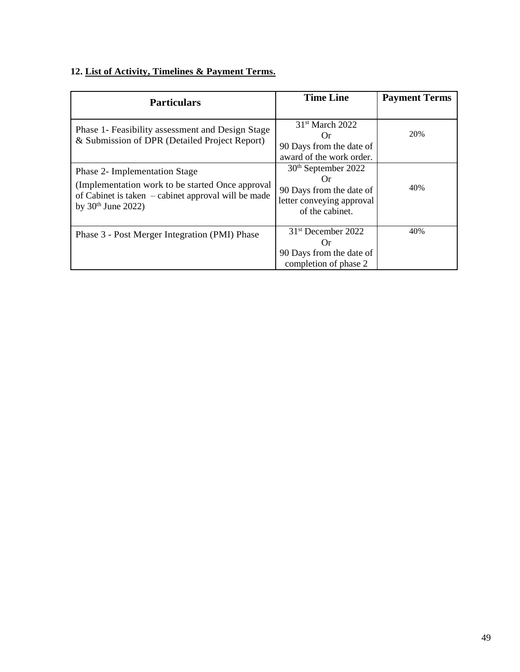# **12. List of Activity, Timelines & Payment Terms.**

| <b>Particulars</b>                                                                                                                                                | <b>Time Line</b>                                                                                                                 | <b>Payment Terms</b> |
|-------------------------------------------------------------------------------------------------------------------------------------------------------------------|----------------------------------------------------------------------------------------------------------------------------------|----------------------|
| Phase 1- Feasibility assessment and Design Stage<br>& Submission of DPR (Detailed Project Report)                                                                 | 31 <sup>st</sup> March 2022<br>Or<br>90 Days from the date of<br>award of the work order.                                        | 20%                  |
| Phase 2- Implementation Stage<br>(Implementation work to be started Once approval)<br>of Cabinet is taken – cabinet approval will be made<br>by $30th$ June 2022) | 30 <sup>th</sup> September 2022<br>$\mathfrak{c}$ )r<br>90 Days from the date of<br>letter conveying approval<br>of the cabinet. | 40%                  |
| Phase 3 - Post Merger Integration (PMI) Phase                                                                                                                     | 31 <sup>st</sup> December 2022<br>()r<br>90 Days from the date of<br>completion of phase 2                                       | 40%                  |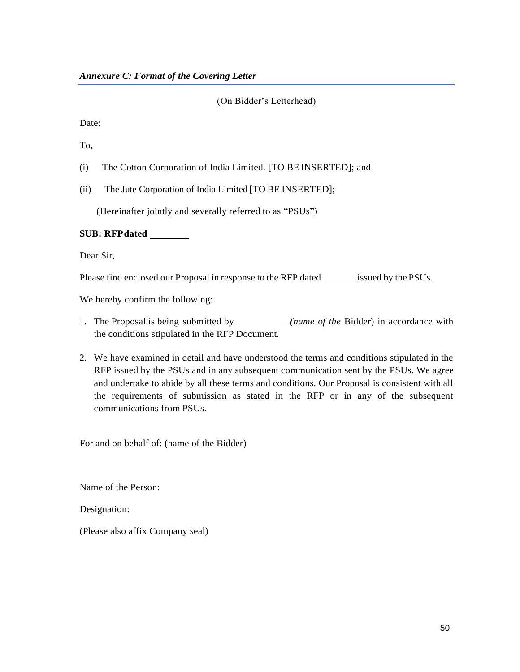### (On Bidder's Letterhead)

Date:

To,

- (i) The Cotton Corporation of India Limited. [TO BE INSERTED]; and
- (ii) The Jute Corporation of India Limited [TO BE INSERTED];

(Hereinafter jointly and severally referred to as "PSUs")

### **SUB: RFPdated**

Dear Sir,

Please find enclosed our Proposal in response to the RFP dated issued by the PSUs.

We hereby confirm the following:

- 1. The Proposal is being submitted by *(name of the* Bidder) in accordance with the conditions stipulated in the RFP Document.
- 2. We have examined in detail and have understood the terms and conditions stipulated in the RFP issued by the PSUs and in any subsequent communication sent by the PSUs. We agree and undertake to abide by all these terms and conditions. Our Proposal is consistent with all the requirements of submission as stated in the RFP or in any of the subsequent communications from PSUs.

For and on behalf of: (name of the Bidder)

Name of the Person:

Designation:

(Please also affix Company seal)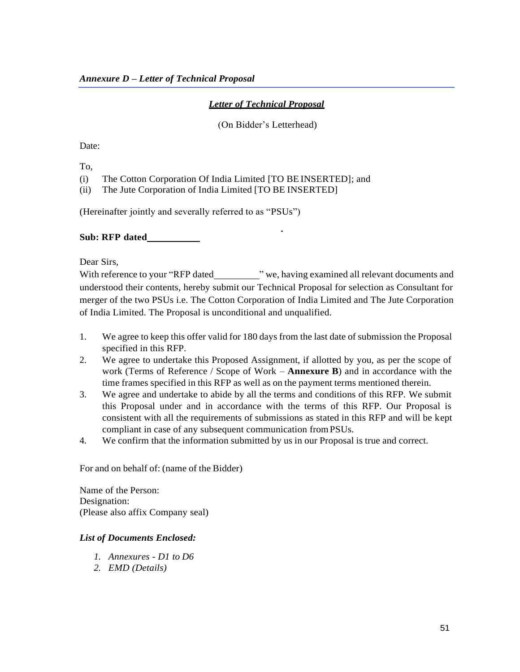# *Letter of Technical Proposal*

### (On Bidder's Letterhead)

Date:

To,

(i) The Cotton Corporation Of India Limited [TO BE INSERTED]; and

(ii) The Jute Corporation of India Limited [TO BE INSERTED]

(Hereinafter jointly and severally referred to as "PSUs")

## **Sub: RFP dated**

Dear Sirs,

With reference to your "RFP dated " we, having examined all relevant documents and understood their contents, hereby submit our Technical Proposal for selection as Consultant for merger of the two PSUs i.e. The Cotton Corporation of India Limited and The Jute Corporation of India Limited. The Proposal is unconditional and unqualified.

- 1. We agree to keep this offer valid for 180 days from the last date of submission the Proposal specified in this RFP.
- 2. We agree to undertake this Proposed Assignment, if allotted by you, as per the scope of work (Terms of Reference / Scope of Work – **Annexure B**) and in accordance with the time frames specified in this RFP as well as on the payment terms mentioned therein.
- 3. We agree and undertake to abide by all the terms and conditions of this RFP. We submit this Proposal under and in accordance with the terms of this RFP. Our Proposal is consistent with all the requirements of submissions as stated in this RFP and will be kept compliant in case of any subsequent communication fromPSUs.
- 4. We confirm that the information submitted by us in our Proposal is true and correct.

For and on behalf of: (name of the Bidder)

Name of the Person: Designation: (Please also affix Company seal)

## *List of Documents Enclosed:*

- *1. Annexures - D1 to D6*
- *2. EMD (Details)*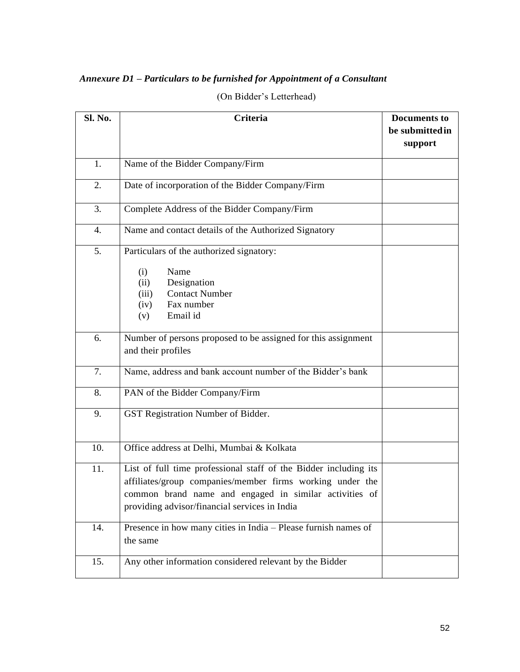# *Annexure D1 – Particulars to be furnished for Appointment of a Consultant*

| Sl. No. | Criteria                                                                                                                                                                                                                                 | <b>Documents to</b><br>be submitted in<br>support |
|---------|------------------------------------------------------------------------------------------------------------------------------------------------------------------------------------------------------------------------------------------|---------------------------------------------------|
| 1.      | Name of the Bidder Company/Firm                                                                                                                                                                                                          |                                                   |
| 2.      | Date of incorporation of the Bidder Company/Firm                                                                                                                                                                                         |                                                   |
| 3.      | Complete Address of the Bidder Company/Firm                                                                                                                                                                                              |                                                   |
| 4.      | Name and contact details of the Authorized Signatory                                                                                                                                                                                     |                                                   |
| 5.      | Particulars of the authorized signatory:<br>Name<br>(i)<br>Designation<br>(ii)<br><b>Contact Number</b><br>(iii)<br>Fax number<br>(iv)<br>Email id<br>(v)                                                                                |                                                   |
| 6.      | Number of persons proposed to be assigned for this assignment<br>and their profiles                                                                                                                                                      |                                                   |
| 7.      | Name, address and bank account number of the Bidder's bank                                                                                                                                                                               |                                                   |
| 8.      | PAN of the Bidder Company/Firm                                                                                                                                                                                                           |                                                   |
| 9.      | GST Registration Number of Bidder.                                                                                                                                                                                                       |                                                   |
| 10.     | Office address at Delhi, Mumbai & Kolkata                                                                                                                                                                                                |                                                   |
| 11.     | List of full time professional staff of the Bidder including its<br>affiliates/group companies/member firms working under the<br>common brand name and engaged in similar activities of<br>providing advisor/financial services in India |                                                   |
| 14.     | Presence in how many cities in India - Please furnish names of<br>the same                                                                                                                                                               |                                                   |
| 15.     | Any other information considered relevant by the Bidder                                                                                                                                                                                  |                                                   |

(On Bidder's Letterhead)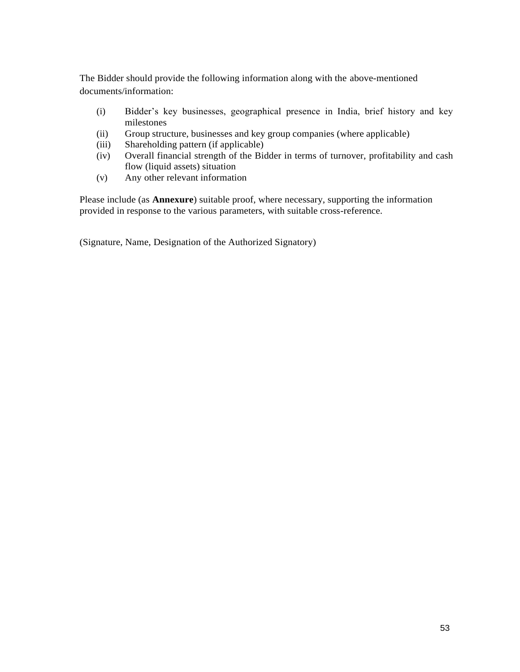The Bidder should provide the following information along with the above-mentioned documents/information:

- (i) Bidder's key businesses, geographical presence in India, brief history and key milestones
- (ii) Group structure, businesses and key group companies (where applicable)
- (iii) Shareholding pattern (if applicable)
- (iv) Overall financial strength of the Bidder in terms of turnover, profitability and cash flow (liquid assets) situation
- (v) Any other relevant information

Please include (as **Annexure**) suitable proof, where necessary, supporting the information provided in response to the various parameters, with suitable cross-reference.

(Signature, Name, Designation of the Authorized Signatory)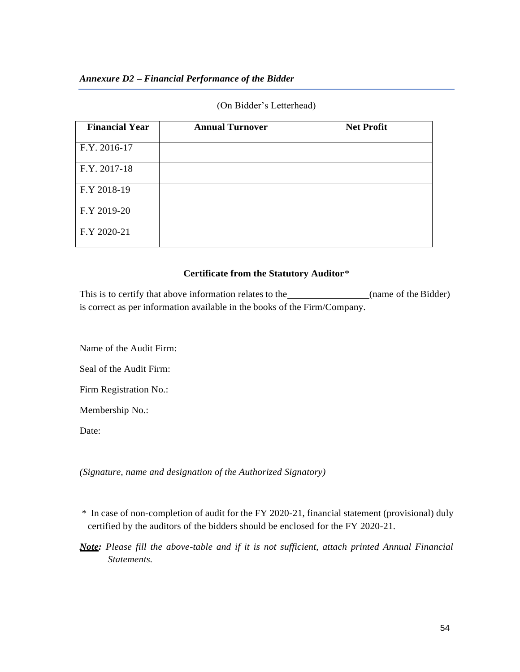### (On Bidder's Letterhead)

| <b>Financial Year</b> | <b>Annual Turnover</b> | <b>Net Profit</b> |
|-----------------------|------------------------|-------------------|
| F.Y. 2016-17          |                        |                   |
| F.Y. 2017-18          |                        |                   |
| F.Y 2018-19           |                        |                   |
| F.Y 2019-20           |                        |                   |
| F.Y 2020-21           |                        |                   |

### **Certificate from the Statutory Auditor**\*

This is to certify that above information relates to the *(name of the Bidder)* is correct as per information available in the books of the Firm/Company.

Name of the Audit Firm:

Seal of the Audit Firm:

Firm Registration No.:

Membership No.:

Date:

*(Signature, name and designation of the Authorized Signatory)*

- \* In case of non-completion of audit for the FY 2020-21, financial statement (provisional) duly certified by the auditors of the bidders should be enclosed for the FY 2020-21.
- *Note: Please fill the above-table and if it is not sufficient, attach printed Annual Financial Statements.*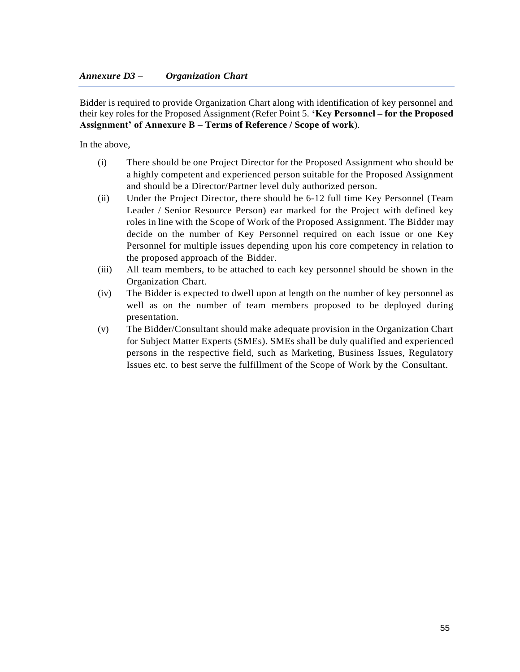Bidder is required to provide Organization Chart along with identification of key personnel and their key roles for the Proposed Assignment (Refer Point 5. **'Key Personnel – for the Proposed Assignment' of Annexure B – Terms of Reference / Scope of work**).

In the above,

- (i) There should be one Project Director for the Proposed Assignment who should be a highly competent and experienced person suitable for the Proposed Assignment and should be a Director/Partner level duly authorized person.
- (ii) Under the Project Director, there should be 6-12 full time Key Personnel (Team Leader / Senior Resource Person) ear marked for the Project with defined key roles in line with the Scope of Work of the Proposed Assignment. The Bidder may decide on the number of Key Personnel required on each issue or one Key Personnel for multiple issues depending upon his core competency in relation to the proposed approach of the Bidder.
- (iii) All team members, to be attached to each key personnel should be shown in the Organization Chart.
- (iv) The Bidder is expected to dwell upon at length on the number of key personnel as well as on the number of team members proposed to be deployed during presentation.
- (v) The Bidder/Consultant should make adequate provision in the Organization Chart for Subject Matter Experts (SMEs). SMEs shall be duly qualified and experienced persons in the respective field, such as Marketing, Business Issues, Regulatory Issues etc. to best serve the fulfillment of the Scope of Work by the Consultant.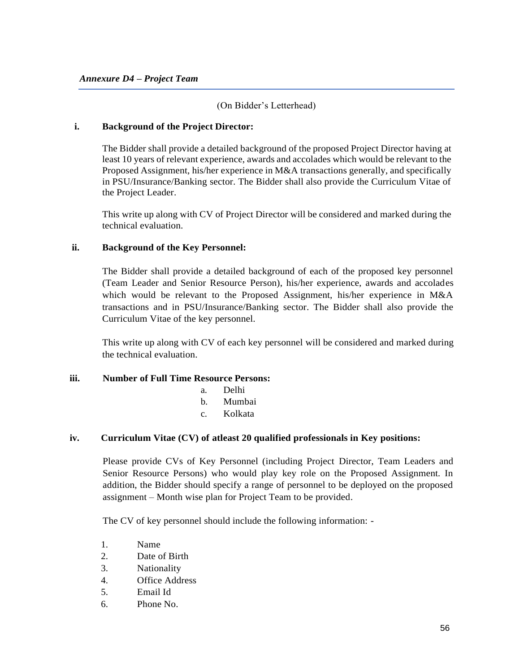### (On Bidder's Letterhead)

#### **i. Background of the Project Director:**

The Bidder shall provide a detailed background of the proposed Project Director having at least 10 years of relevant experience, awards and accolades which would be relevant to the Proposed Assignment, his/her experience in M&A transactions generally, and specifically in PSU/Insurance/Banking sector. The Bidder shall also provide the Curriculum Vitae of the Project Leader.

This write up along with CV of Project Director will be considered and marked during the technical evaluation.

### **ii. Background of the Key Personnel:**

The Bidder shall provide a detailed background of each of the proposed key personnel (Team Leader and Senior Resource Person), his/her experience, awards and accolades which would be relevant to the Proposed Assignment, his/her experience in M&A transactions and in PSU/Insurance/Banking sector. The Bidder shall also provide the Curriculum Vitae of the key personnel.

This write up along with CV of each key personnel will be considered and marked during the technical evaluation.

#### **iii. Number of Full Time Resource Persons:**

- a. Delhi
- b. Mumbai
- c. Kolkata

### **iv. Curriculum Vitae (CV) of atleast 20 qualified professionals in Key positions:**

Please provide CVs of Key Personnel (including Project Director, Team Leaders and Senior Resource Persons) who would play key role on the Proposed Assignment. In addition, the Bidder should specify a range of personnel to be deployed on the proposed assignment – Month wise plan for Project Team to be provided.

The CV of key personnel should include the following information: -

- 1. Name
- 2. Date of Birth
- 3. Nationality
- 4. Office Address
- 5. Email Id
- 6. Phone No.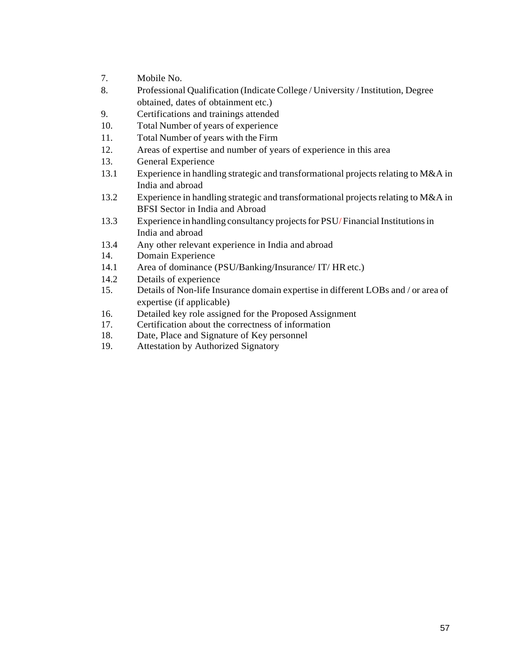- 7. Mobile No.
- 8. Professional Qualification (Indicate College / University /Institution, Degree obtained, dates of obtainment etc.)
- 9. Certifications and trainings attended
- 10. Total Number of years of experience
- 11. Total Number of years with the Firm
- 12. Areas of expertise and number of years of experience in this area
- 13. General Experience
- 13.1 Experience in handling strategic and transformational projects relating to M&A in India and abroad
- 13.2 Experience in handling strategic and transformational projects relating to M&A in BFSI Sector in India and Abroad
- 13.3 Experience in handling consultancy projects for PSU/Financial Institutions in India and abroad
- 13.4 Any other relevant experience in India and abroad
- 14. Domain Experience
- 14.1 Area of dominance (PSU/Banking/Insurance/ IT/ HRetc.)
- 14.2 Details of experience
- 15. Details of Non-life Insurance domain expertise in different LOBs and / or area of expertise (if applicable)
- 16. Detailed key role assigned for the Proposed Assignment
- 17. Certification about the correctness of information
- 18. Date, Place and Signature of Key personnel
- 19. Attestation by Authorized Signatory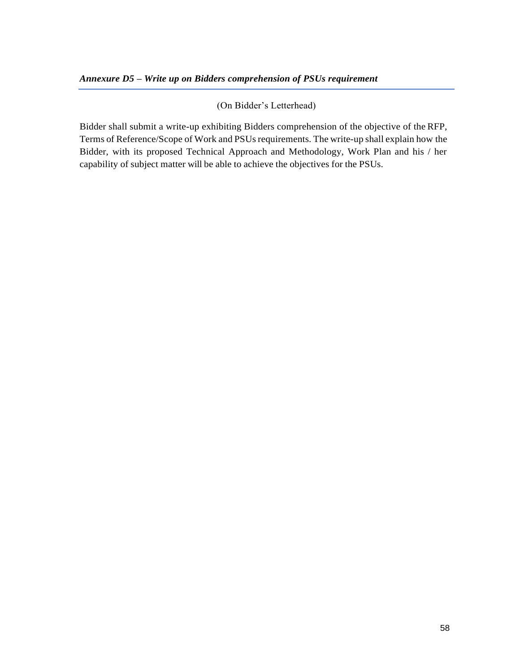## (On Bidder's Letterhead)

Bidder shall submit a write-up exhibiting Bidders comprehension of the objective of the RFP, Terms of Reference/Scope of Work and PSUsrequirements. The write-up shall explain how the Bidder, with its proposed Technical Approach and Methodology, Work Plan and his / her capability of subject matter will be able to achieve the objectives for the PSUs.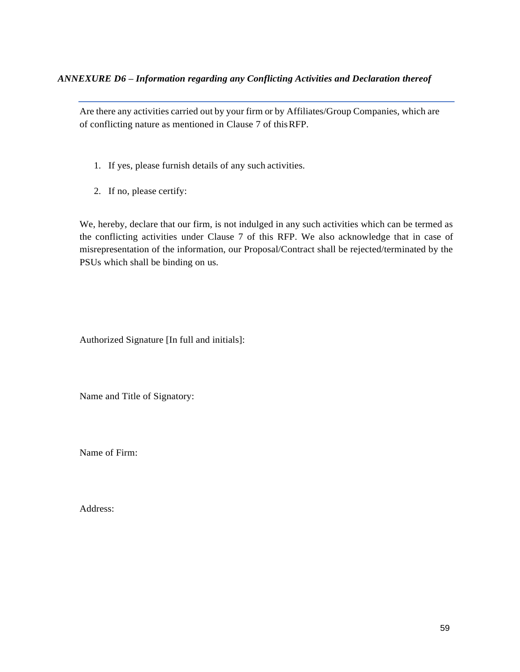Are there any activities carried out by your firm or by Affiliates/Group Companies, which are of conflicting nature as mentioned in Clause 7 of thisRFP.

- 1. If yes, please furnish details of any such activities.
- 2. If no, please certify:

We, hereby, declare that our firm, is not indulged in any such activities which can be termed as the conflicting activities under Clause 7 of this RFP. We also acknowledge that in case of misrepresentation of the information, our Proposal/Contract shall be rejected/terminated by the PSUs which shall be binding on us.

Authorized Signature [In full and initials]:

Name and Title of Signatory:

Name of Firm:

Address: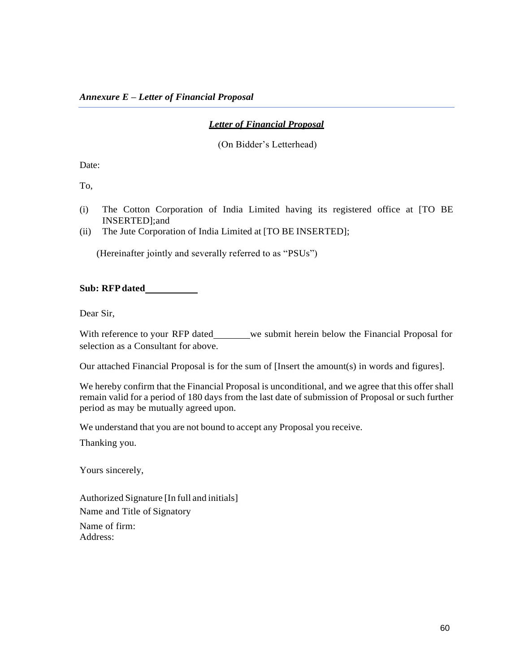## *Letter of Financial Proposal*

(On Bidder's Letterhead)

Date:

To,

- (i) The Cotton Corporation of India Limited having its registered office at [TO BE INSERTED];and
- (ii) The Jute Corporation of India Limited at [TO BE INSERTED];

(Hereinafter jointly and severally referred to as "PSUs")

**Sub: RFPdated**

Dear Sir,

With reference to your RFP dated we submit herein below the Financial Proposal for selection as a Consultant for above.

Our attached Financial Proposal is for the sum of [Insert the amount(s) in words and figures].

We hereby confirm that the Financial Proposal is unconditional, and we agree that this offer shall remain valid for a period of 180 days from the last date of submission of Proposal or such further period as may be mutually agreed upon.

We understand that you are not bound to accept any Proposal you receive.

Thanking you.

Yours sincerely,

Authorized Signature [In full and initials] Name and Title of Signatory Name of firm: Address: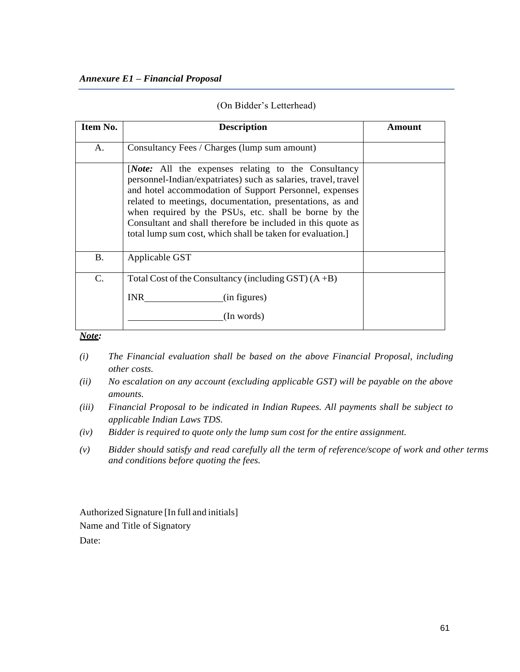#### *Annexure E1 – Financial Proposal*

| Item No.       | <b>Description</b>                                                                                                                                                                                                                                                                                                                                                                                                                      | Amount |
|----------------|-----------------------------------------------------------------------------------------------------------------------------------------------------------------------------------------------------------------------------------------------------------------------------------------------------------------------------------------------------------------------------------------------------------------------------------------|--------|
| A.             | Consultancy Fees / Charges (lump sum amount)                                                                                                                                                                                                                                                                                                                                                                                            |        |
|                | <i>Note:</i> All the expenses relating to the Consultancy<br>personnel-Indian/expatriates) such as salaries, travel, travel<br>and hotel accommodation of Support Personnel, expenses<br>related to meetings, documentation, presentations, as and<br>when required by the PSUs, etc. shall be borne by the<br>Consultant and shall therefore be included in this quote as<br>total lump sum cost, which shall be taken for evaluation. |        |
| <b>B.</b>      | Applicable GST                                                                                                                                                                                                                                                                                                                                                                                                                          |        |
| $\mathbf{C}$ . | Total Cost of the Consultancy (including GST) $(A + B)$                                                                                                                                                                                                                                                                                                                                                                                 |        |
|                | <b>INR</b><br>(in figures)                                                                                                                                                                                                                                                                                                                                                                                                              |        |
|                | (In words)                                                                                                                                                                                                                                                                                                                                                                                                                              |        |

*Note:*

- *(i) The Financial evaluation shall be based on the above Financial Proposal, including other costs.*
- *(ii) No escalation on any account (excluding applicable GST) will be payable on the above amounts.*
- *(iii) Financial Proposal to be indicated in Indian Rupees. All payments shall be subject to applicable Indian Laws TDS.*
- *(iv) Bidder is required to quote only the lump sum cost for the entire assignment.*
- *(v) Bidder should satisfy and read carefully all the term of reference/scope of work and other terms and conditions before quoting the fees.*

Authorized Signature [In full and initials] Name and Title of Signatory Date: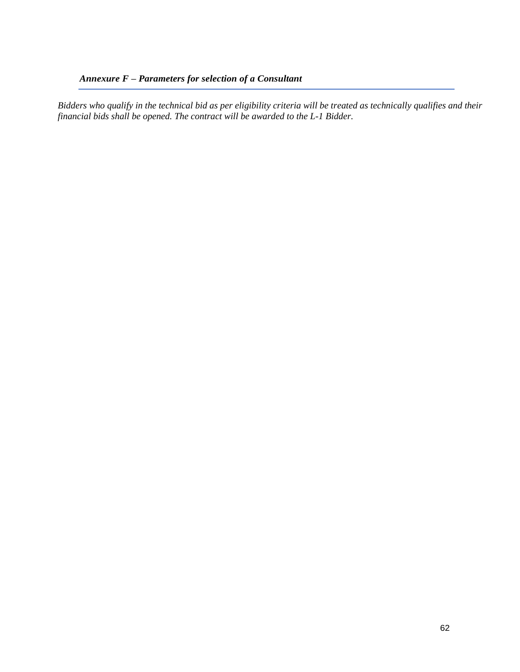# *Annexure F – Parameters for selection of a Consultant*

*Bidders who qualify in the technical bid as per eligibility criteria will be treated as technically qualifies and their financial bids shall be opened. The contract will be awarded to the L-1 Bidder.*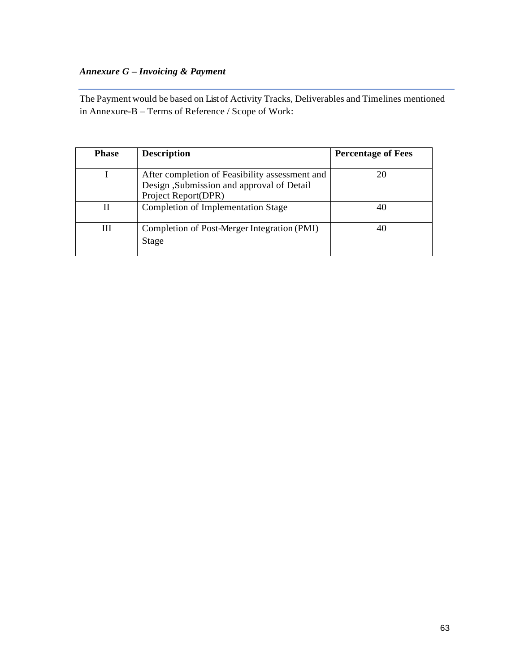# *Annexure G – Invoicing & Payment*

The Payment would be based on Listof Activity Tracks, Deliverables and Timelines mentioned in Annexure-B – Terms of Reference / Scope of Work:

| <b>Phase</b> | <b>Description</b>                                                                                                 | <b>Percentage of Fees</b> |
|--------------|--------------------------------------------------------------------------------------------------------------------|---------------------------|
|              | After completion of Feasibility assessment and<br>Design ,Submission and approval of Detail<br>Project Report(DPR) | 20                        |
| Н            | <b>Completion of Implementation Stage</b>                                                                          | 40                        |
| Ш            | Completion of Post-Merger Integration (PMI)<br>Stage                                                               | 40                        |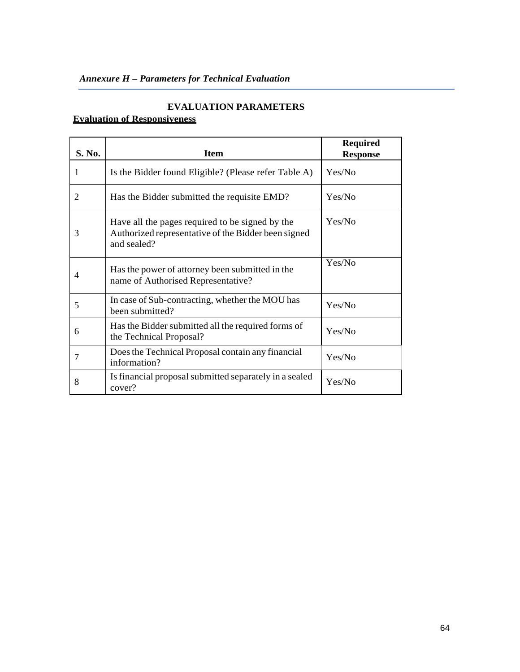# *Annexure H – Parameters for Technical Evaluation*

## **EVALUATION PARAMETERS**

# **Evaluation of Responsiveness**

| S. No. | <b>Item</b>                                                                                                           | <b>Required</b><br><b>Response</b> |
|--------|-----------------------------------------------------------------------------------------------------------------------|------------------------------------|
| 1      | Is the Bidder found Eligible? (Please refer Table A)                                                                  | Yes/No                             |
| 2      | Has the Bidder submitted the requisite EMD?                                                                           | Yes/No                             |
| 3      | Have all the pages required to be signed by the<br>Authorized representative of the Bidder been signed<br>and sealed? | Yes/No                             |
| 4      | Has the power of attorney been submitted in the<br>name of Authorised Representative?                                 | Yes/No                             |
| 5      | In case of Sub-contracting, whether the MOU has<br>been submitted?                                                    | Yes/No                             |
| 6      | Has the Bidder submitted all the required forms of<br>the Technical Proposal?                                         | Yes/No                             |
| 7      | Does the Technical Proposal contain any financial<br>information?                                                     | Yes/No                             |
| 8      | Is financial proposal submitted separately in a sealed<br>cover?                                                      | Yes/No                             |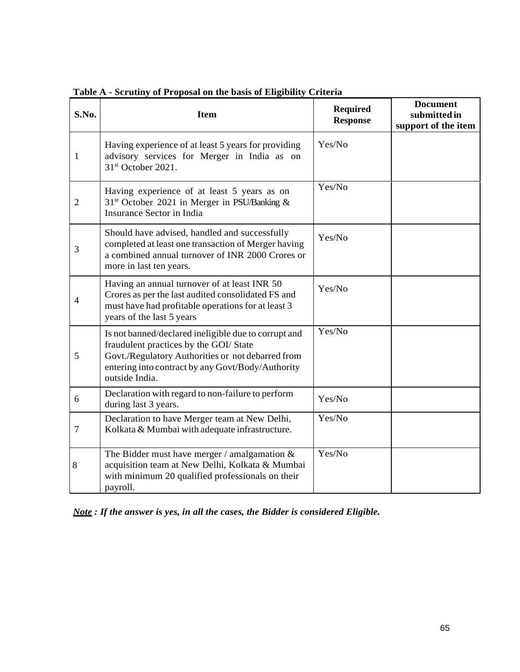| S.No.          | <b>Item</b>                                                                                                                                                                                                                | <b>Required</b><br><b>Response</b> | <b>Document</b><br>submitted in<br>support of the item |
|----------------|----------------------------------------------------------------------------------------------------------------------------------------------------------------------------------------------------------------------------|------------------------------------|--------------------------------------------------------|
| $\mathbf{1}$   | Having experience of at least 5 years for providing<br>advisory services for Merger in India as on<br>31 <sup>st</sup> October 2021.                                                                                       | Yes/No                             |                                                        |
| $\overline{2}$ | Having experience of at least 5 years as on<br>31 <sup>st</sup> October 2021 in Merger in PSU/Banking &<br>Insurance Sector in India                                                                                       | Yes/No                             |                                                        |
| 3              | Should have advised, handled and successfully<br>completed at least one transaction of Merger having<br>a combined annual turnover of INR 2000 Crores or<br>more in last ten years.                                        | Yes/No                             |                                                        |
| 4              | Having an annual turnover of at least INR 50<br>Crores as per the last audited consolidated FS and<br>must have had profitable operations for at least 3<br>years of the last 5 years                                      | Yes/No                             |                                                        |
| 5              | Is not banned/declared ineligible due to corrupt and<br>fraudulent practices by the GOI/ State<br>Govt./Regulatory Authorities or not debarred from<br>entering into contract by any Govt/Body/Authority<br>outside India. | Yes/No                             |                                                        |
| 6              | Declaration with regard to non-failure to perform<br>during last 3 years.                                                                                                                                                  | Yes/No                             |                                                        |
| $\tau$         | Declaration to have Merger team at New Delhi,<br>Kolkata & Mumbai with adequate infrastructure.                                                                                                                            | Yes/No                             |                                                        |
| 8              | The Bidder must have merger / amalgamation $&$<br>acquisition team at New Delhi, Kolkata & Mumbai<br>with minimum 20 qualified professionals on their<br>payroll.                                                          | Yes/No                             |                                                        |

**Table A - Scrutiny of Proposal on the basis of Eligibility Criteria**

*Note : If the answer is yes, in all the cases, the Bidder is considered Eligible.*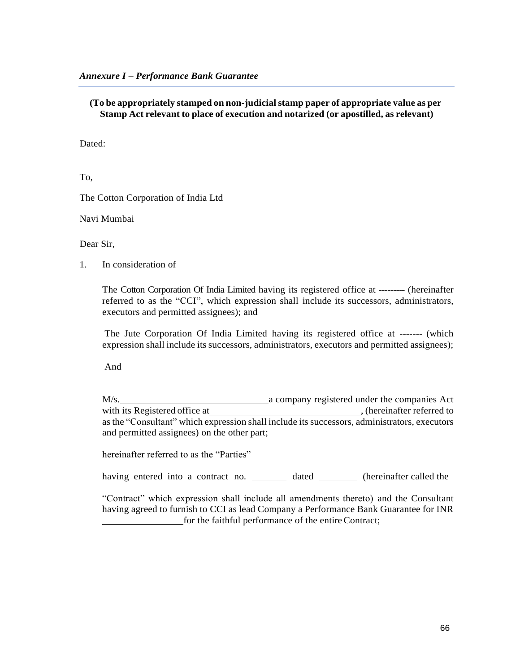**(To be appropriately stamped on non-judicialstamp paper of appropriate value as per Stamp Act relevant to place of execution and notarized (or apostilled, as relevant)**

Dated:

To,

The Cotton Corporation of India Ltd

Navi Mumbai

Dear Sir,

1. In consideration of

The Cotton Corporation Of India Limited having its registered office at --------- (hereinafter referred to as the "CCI", which expression shall include its successors, administrators, executors and permitted assignees); and

The Jute Corporation Of India Limited having its registered office at ------- (which expression shall include its successors, administrators, executors and permitted assignees);

And

M/s. a company registered under the companies Act with its Registered office at , (hereinafter referred to asthe "Consultant" which expression shall include its successors, administrators, executors and permitted assignees) on the other part;

hereinafter referred to as the "Parties"

having entered into a contract no. dated (hereinafter called the

"Contract" which expression shall include all amendments thereto) and the Consultant having agreed to furnish to CCI as lead Company a Performance Bank Guarantee for INR for the faithful performance of the entire Contract;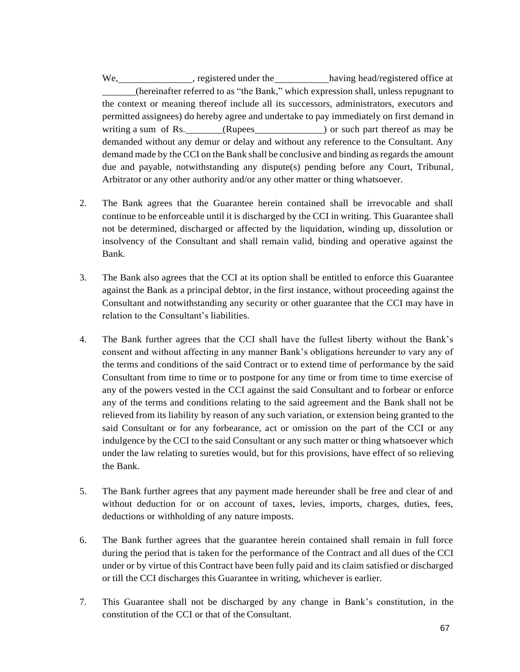We, registered under the having head/registered office at having head/registered office at (hereinafter referred to as "the Bank," which expression shall, unless repugnant to the context or meaning thereof include all its successors, administrators, executors and permitted assignees) do hereby agree and undertake to pay immediately on first demand in writing a sum of Rs. (Rupees ) or such part thereof as may be demanded without any demur or delay and without any reference to the Consultant. Any demand made by the CCI on the Bank shall be conclusive and binding as regards the amount due and payable, notwithstanding any dispute(s) pending before any Court, Tribunal, Arbitrator or any other authority and/or any other matter or thing whatsoever.

- 2. The Bank agrees that the Guarantee herein contained shall be irrevocable and shall continue to be enforceable until it is discharged by the CCI in writing. This Guarantee shall not be determined, discharged or affected by the liquidation, winding up, dissolution or insolvency of the Consultant and shall remain valid, binding and operative against the Bank.
- 3. The Bank also agrees that the CCI at its option shall be entitled to enforce this Guarantee against the Bank as a principal debtor, in the first instance, without proceeding against the Consultant and notwithstanding any security or other guarantee that the CCI may have in relation to the Consultant's liabilities.
- 4. The Bank further agrees that the CCI shall have the fullest liberty without the Bank's consent and without affecting in any manner Bank's obligations hereunder to vary any of the terms and conditions of the said Contract or to extend time of performance by the said Consultant from time to time or to postpone for any time or from time to time exercise of any of the powers vested in the CCI against the said Consultant and to forbear or enforce any of the terms and conditions relating to the said agreement and the Bank shall not be relieved from its liability by reason of any such variation, or extension being granted to the said Consultant or for any forbearance, act or omission on the part of the CCI or any indulgence by the CCI to the said Consultant or any such matter or thing whatsoever which under the law relating to sureties would, but for this provisions, have effect of so relieving the Bank.
- 5. The Bank further agrees that any payment made hereunder shall be free and clear of and without deduction for or on account of taxes, levies, imports, charges, duties, fees, deductions or withholding of any nature imposts.
- 6. The Bank further agrees that the guarantee herein contained shall remain in full force during the period that is taken for the performance of the Contract and all dues of the CCI under or by virtue of this Contract have been fully paid and its claim satisfied or discharged or till the CCI discharges this Guarantee in writing, whichever is earlier.
- 7. This Guarantee shall not be discharged by any change in Bank's constitution, in the constitution of the CCI or that of the Consultant.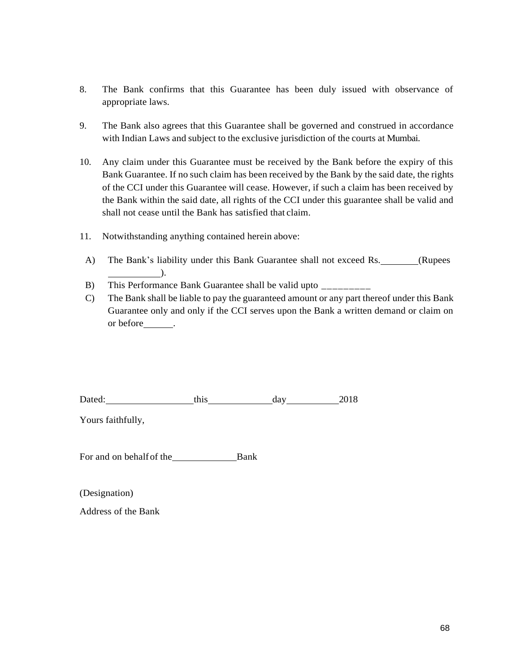- 8. The Bank confirms that this Guarantee has been duly issued with observance of appropriate laws.
- 9. The Bank also agrees that this Guarantee shall be governed and construed in accordance with Indian Laws and subject to the exclusive jurisdiction of the courts at Mumbai.
- 10. Any claim under this Guarantee must be received by the Bank before the expiry of this Bank Guarantee. If no such claim has been received by the Bank by the said date, the rights of the CCI under this Guarantee will cease. However, if such a claim has been received by the Bank within the said date, all rights of the CCI under this guarantee shall be valid and shall not cease until the Bank has satisfied that claim.
- 11. Notwithstanding anything contained herein above:
- A) The Bank's liability under this Bank Guarantee shall not exceed Rs. \_\_\_\_\_\_(Rupees ).
- B) This Performance Bank Guarantee shall be valid upto
- C) The Bank shall be liable to pay the guaranteed amount or any part thereof under this Bank Guarantee only and only if the CCI serves upon the Bank a written demand or claim on or before .

| Dated: | this | dav | 201 <sup>c</sup> |
|--------|------|-----|------------------|
|        |      |     |                  |

Yours faithfully,

For and on behalf of the Bank

(Designation)

Address of the Bank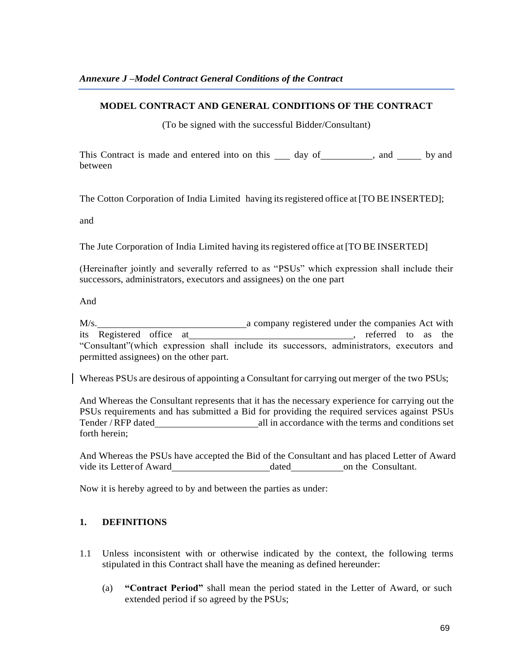### **MODEL CONTRACT AND GENERAL CONDITIONS OF THE CONTRACT**

(To be signed with the successful Bidder/Consultant)

This Contract is made and entered into on this  $\_\_\_$  day of  $\_\_\_\_$ , and  $\_\_\_$  by and between

The Cotton Corporation of India Limited having itsregistered office at [TO BE INSERTED];

and

The Jute Corporation of India Limited having itsregistered office at [TO BE INSERTED]

(Hereinafter jointly and severally referred to as "PSUs" which expression shall include their successors, administrators, executors and assignees) on the one part

And

M/s. **a** company registered under the companies Act with its Registered office at , referred to as the "Consultant"(which expression shall include its successors, administrators, executors and permitted assignees) on the other part.

Whereas PSUs are desirous of appointing a Consultant for carrying out merger of the two PSUs;

And Whereas the Consultant represents that it has the necessary experience for carrying out the PSUs requirements and has submitted a Bid for providing the required services against PSUs Tender / RFP dated all in accordance with the terms and conditions set forth herein;

And Whereas the PSUs have accepted the Bid of the Consultant and has placed Letter of Award vide its Letter of Award dated on the Consultant.

Now it is hereby agreed to by and between the parties as under:

## **1. DEFINITIONS**

- 1.1 Unless inconsistent with or otherwise indicated by the context, the following terms stipulated in this Contract shall have the meaning as defined hereunder:
	- (a) **"Contract Period"** shall mean the period stated in the Letter of Award, or such extended period if so agreed by the PSUs;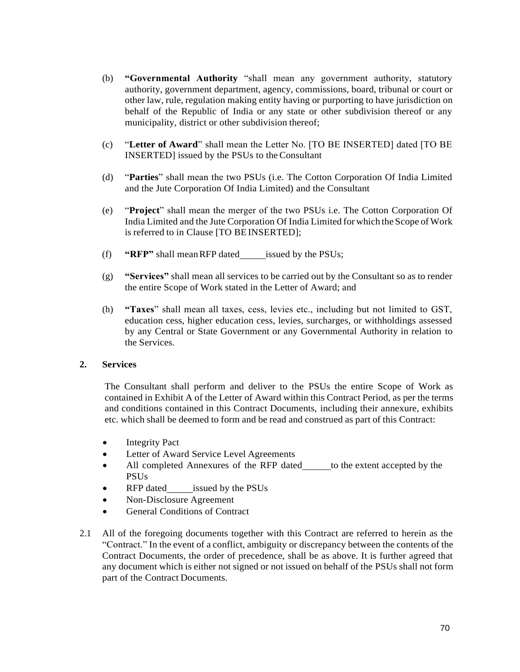- (b) **"Governmental Authority** "shall mean any government authority, statutory authority, government department, agency, commissions, board, tribunal or court or other law, rule, regulation making entity having or purporting to have jurisdiction on behalf of the Republic of India or any state or other subdivision thereof or any municipality, district or other subdivision thereof;
- (c) "**Letter of Award**" shall mean the Letter No. [TO BE INSERTED] dated [TO BE INSERTED] issued by the PSUs to theConsultant
- (d) "**Parties**" shall mean the two PSUs (i.e. The Cotton Corporation Of India Limited and the Jute Corporation Of India Limited) and the Consultant
- (e) "**Project**" shall mean the merger of the two PSUs i.e. The Cotton Corporation Of India Limited and the Jute Corporation Of India Limited for which the Scope of Work is referred to in Clause [TO BEINSERTED];
- (f) **"RFP"** shall meanRFP dated issued by the PSUs;
- (g) **"Services"** shall mean all services to be carried out by the Consultant so as to render the entire Scope of Work stated in the Letter of Award; and
- (h) **"Taxes**" shall mean all taxes, cess, levies etc., including but not limited to GST, education cess, higher education cess, levies, surcharges, or withholdings assessed by any Central or State Government or any Governmental Authority in relation to the Services.

### **2. Services**

The Consultant shall perform and deliver to the PSUs the entire Scope of Work as contained in Exhibit A of the Letter of Award within this Contract Period, as per the terms and conditions contained in this Contract Documents, including their annexure, exhibits etc. which shall be deemed to form and be read and construed as part of this Contract:

- Integrity Pact
- Letter of Award Service Level Agreements
- All completed Annexures of the RFP dated to the extent accepted by the PSUs
- RFP dated issued by the PSUs
- Non-Disclosure Agreement
- General Conditions of Contract
- 2.1 All of the foregoing documents together with this Contract are referred to herein as the "Contract." In the event of a conflict, ambiguity or discrepancy between the contents of the Contract Documents, the order of precedence, shall be as above. It is further agreed that any document which is either not signed or not issued on behalf of the PSUs shall not form part of the Contract Documents.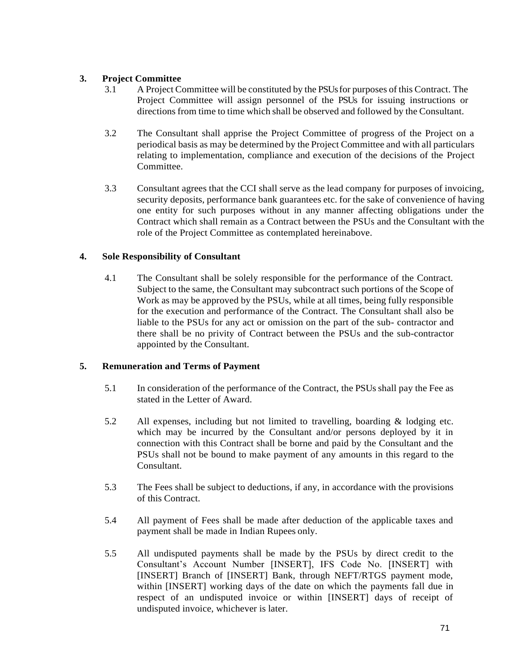## **3. Project Committee**

- 3.1 A Project Committee will be constituted by the PSUsfor purposes of this Contract. The Project Committee will assign personnel of the PSUs for issuing instructions or directions from time to time which shall be observed and followed by the Consultant.
- 3.2 The Consultant shall apprise the Project Committee of progress of the Project on a periodical basis as may be determined by the Project Committee and with all particulars relating to implementation, compliance and execution of the decisions of the Project Committee.
- 3.3 Consultant agrees that the CCI shall serve as the lead company for purposes of invoicing, security deposits, performance bank guarantees etc. for the sake of convenience of having one entity for such purposes without in any manner affecting obligations under the Contract which shall remain as a Contract between the PSUs and the Consultant with the role of the Project Committee as contemplated hereinabove.

### **4. Sole Responsibility of Consultant**

4.1 The Consultant shall be solely responsible for the performance of the Contract. Subject to the same, the Consultant may subcontract such portions of the Scope of Work as may be approved by the PSUs, while at all times, being fully responsible for the execution and performance of the Contract. The Consultant shall also be liable to the PSUs for any act or omission on the part of the sub- contractor and there shall be no privity of Contract between the PSUs and the sub-contractor appointed by the Consultant.

## **5. Remuneration and Terms of Payment**

- 5.1 In consideration of the performance of the Contract, the PSUsshall pay the Fee as stated in the Letter of Award.
- 5.2 All expenses, including but not limited to travelling, boarding & lodging etc. which may be incurred by the Consultant and/or persons deployed by it in connection with this Contract shall be borne and paid by the Consultant and the PSUs shall not be bound to make payment of any amounts in this regard to the Consultant.
- 5.3 The Fees shall be subject to deductions, if any, in accordance with the provisions of this Contract.
- 5.4 All payment of Fees shall be made after deduction of the applicable taxes and payment shall be made in Indian Rupees only.
- 5.5 All undisputed payments shall be made by the PSUs by direct credit to the Consultant's Account Number [INSERT], IFS Code No. [INSERT] with [INSERT] Branch of [INSERT] Bank, through NEFT/RTGS payment mode, within [INSERT] working days of the date on which the payments fall due in respect of an undisputed invoice or within [INSERT] days of receipt of undisputed invoice, whichever is later.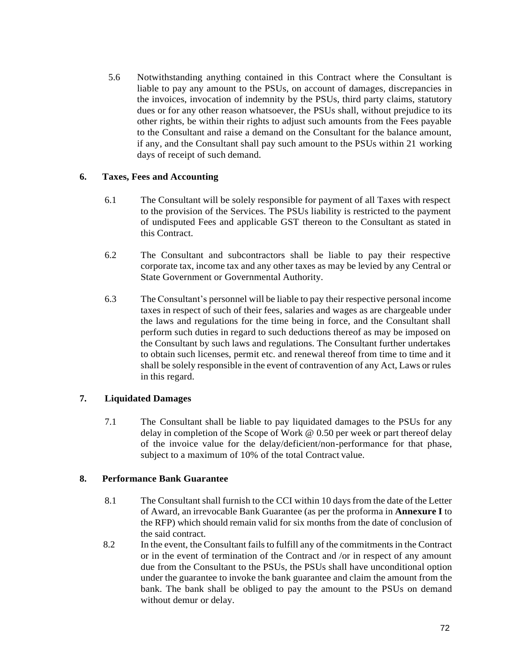5.6 Notwithstanding anything contained in this Contract where the Consultant is liable to pay any amount to the PSUs, on account of damages, discrepancies in the invoices, invocation of indemnity by the PSUs, third party claims, statutory dues or for any other reason whatsoever, the PSUs shall, without prejudice to its other rights, be within their rights to adjust such amounts from the Fees payable to the Consultant and raise a demand on the Consultant for the balance amount, if any, and the Consultant shall pay such amount to the PSUs within 21 working days of receipt of such demand.

### **6. Taxes, Fees and Accounting**

- 6.1 The Consultant will be solely responsible for payment of all Taxes with respect to the provision of the Services. The PSUs liability is restricted to the payment of undisputed Fees and applicable GST thereon to the Consultant as stated in this Contract.
- 6.2 The Consultant and subcontractors shall be liable to pay their respective corporate tax, income tax and any other taxes as may be levied by any Central or State Government or Governmental Authority.
- 6.3 The Consultant's personnel will be liable to pay their respective personal income taxes in respect of such of their fees, salaries and wages as are chargeable under the laws and regulations for the time being in force, and the Consultant shall perform such duties in regard to such deductions thereof as may be imposed on the Consultant by such laws and regulations. The Consultant further undertakes to obtain such licenses, permit etc. and renewal thereof from time to time and it shall be solely responsible in the event of contravention of any Act, Laws or rules in this regard.

## **7. Liquidated Damages**

7.1 The Consultant shall be liable to pay liquidated damages to the PSUs for any delay in completion of the Scope of Work @ 0.50 per week or part thereof delay of the invoice value for the delay/deficient/non-performance for that phase, subject to a maximum of 10% of the total Contract value.

### **8. Performance Bank Guarantee**

- 8.1 The Consultant shall furnish to the CCI within 10 daysfrom the date of the Letter of Award, an irrevocable Bank Guarantee (as per the proforma in **Annexure I** to the RFP) which should remain valid for six months from the date of conclusion of the said contract.
- 8.2 In the event, the Consultant fails to fulfill any of the commitments in the Contract or in the event of termination of the Contract and /or in respect of any amount due from the Consultant to the PSUs, the PSUs shall have unconditional option under the guarantee to invoke the bank guarantee and claim the amount from the bank. The bank shall be obliged to pay the amount to the PSUs on demand without demur or delay.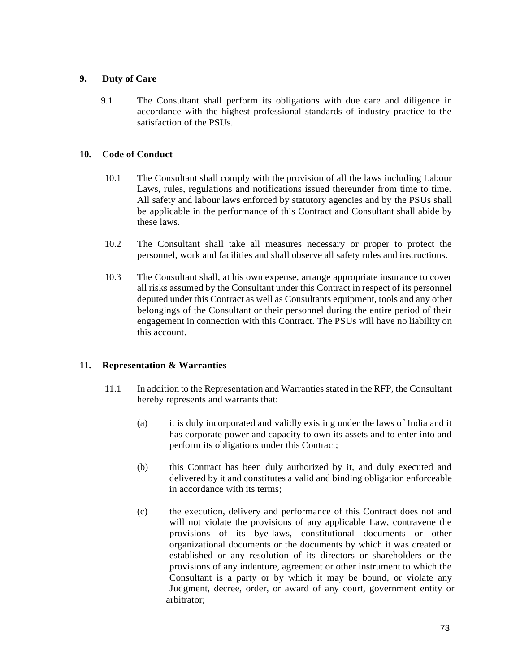# **9. Duty of Care**

9.1 The Consultant shall perform its obligations with due care and diligence in accordance with the highest professional standards of industry practice to the satisfaction of the PSUs.

# **10. Code of Conduct**

- 10.1 The Consultant shall comply with the provision of all the laws including Labour Laws, rules, regulations and notifications issued thereunder from time to time. All safety and labour laws enforced by statutory agencies and by the PSUs shall be applicable in the performance of this Contract and Consultant shall abide by these laws.
- 10.2 The Consultant shall take all measures necessary or proper to protect the personnel, work and facilities and shall observe all safety rules and instructions.
- 10.3 The Consultant shall, at his own expense, arrange appropriate insurance to cover all risks assumed by the Consultant under this Contract in respect of its personnel deputed under this Contract as well as Consultants equipment, tools and any other belongings of the Consultant or their personnel during the entire period of their engagement in connection with this Contract. The PSUs will have no liability on this account.

# **11. Representation & Warranties**

- 11.1 In addition to the Representation and Warranties stated in the RFP, the Consultant hereby represents and warrants that:
	- (a) it is duly incorporated and validly existing under the laws of India and it has corporate power and capacity to own its assets and to enter into and perform its obligations under this Contract;
	- (b) this Contract has been duly authorized by it, and duly executed and delivered by it and constitutes a valid and binding obligation enforceable in accordance with its terms;
	- (c) the execution, delivery and performance of this Contract does not and will not violate the provisions of any applicable Law, contravene the provisions of its bye-laws, constitutional documents or other organizational documents or the documents by which it was created or established or any resolution of its directors or shareholders or the provisions of any indenture, agreement or other instrument to which the Consultant is a party or by which it may be bound, or violate any Judgment, decree, order, or award of any court, government entity or arbitrator;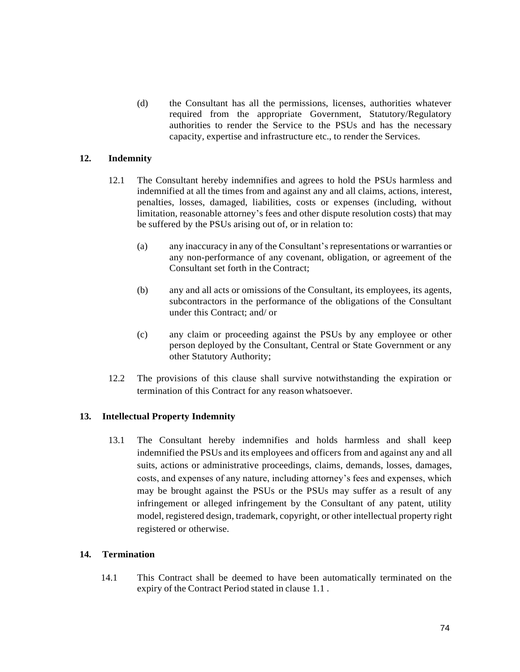(d) the Consultant has all the permissions, licenses, authorities whatever required from the appropriate Government, Statutory/Regulatory authorities to render the Service to the PSUs and has the necessary capacity, expertise and infrastructure etc., to render the Services.

# **12. Indemnity**

- 12.1 The Consultant hereby indemnifies and agrees to hold the PSUs harmless and indemnified at all the times from and against any and all claims, actions, interest, penalties, losses, damaged, liabilities, costs or expenses (including, without limitation, reasonable attorney's fees and other dispute resolution costs) that may be suffered by the PSUs arising out of, or in relation to:
	- (a) any inaccuracy in any of the Consultant's representations or warranties or any non-performance of any covenant, obligation, or agreement of the Consultant set forth in the Contract;
	- (b) any and all acts or omissions of the Consultant, its employees, its agents, subcontractors in the performance of the obligations of the Consultant under this Contract; and/ or
	- (c) any claim or proceeding against the PSUs by any employee or other person deployed by the Consultant, Central or State Government or any other Statutory Authority;
- 12.2 The provisions of this clause shall survive notwithstanding the expiration or termination of this Contract for any reason whatsoever.

## **13. Intellectual Property Indemnity**

13.1 The Consultant hereby indemnifies and holds harmless and shall keep indemnified the PSUs and its employees and officers from and against any and all suits, actions or administrative proceedings, claims, demands, losses, damages, costs, and expenses of any nature, including attorney's fees and expenses, which may be brought against the PSUs or the PSUs may suffer as a result of any infringement or alleged infringement by the Consultant of any patent, utility model, registered design, trademark, copyright, or other intellectual property right registered or otherwise.

#### **14. Termination**

14.1 This Contract shall be deemed to have been automatically terminated on the expiry of the Contract Period stated in clause 1.1 .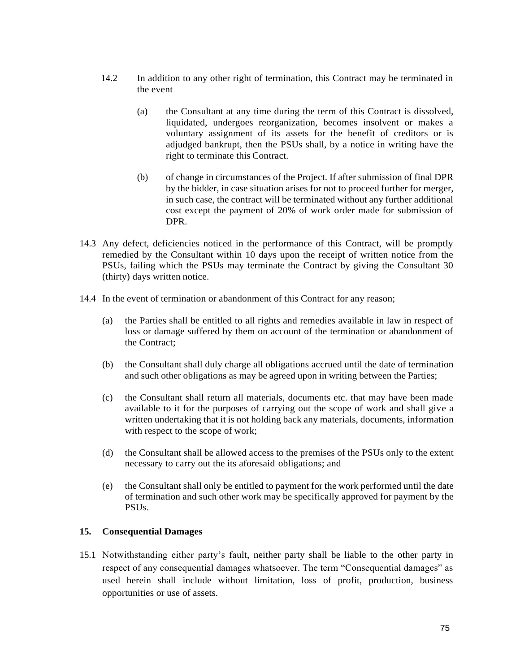- 14.2 In addition to any other right of termination, this Contract may be terminated in the event
	- (a) the Consultant at any time during the term of this Contract is dissolved, liquidated, undergoes reorganization, becomes insolvent or makes a voluntary assignment of its assets for the benefit of creditors or is adjudged bankrupt, then the PSUs shall, by a notice in writing have the right to terminate this Contract.
	- (b) of change in circumstances of the Project. If after submission of final DPR by the bidder, in case situation arises for not to proceed further for merger, in such case, the contract will be terminated without any further additional cost except the payment of 20% of work order made for submission of DPR.
- 14.3 Any defect, deficiencies noticed in the performance of this Contract, will be promptly remedied by the Consultant within 10 days upon the receipt of written notice from the PSUs, failing which the PSUs may terminate the Contract by giving the Consultant 30 (thirty) days written notice.
- 14.4 In the event of termination or abandonment of this Contract for any reason;
	- (a) the Parties shall be entitled to all rights and remedies available in law in respect of loss or damage suffered by them on account of the termination or abandonment of the Contract;
	- (b) the Consultant shall duly charge all obligations accrued until the date of termination and such other obligations as may be agreed upon in writing between the Parties;
	- (c) the Consultant shall return all materials, documents etc. that may have been made available to it for the purposes of carrying out the scope of work and shall give a written undertaking that it is not holding back any materials, documents, information with respect to the scope of work;
	- (d) the Consultant shall be allowed access to the premises of the PSUs only to the extent necessary to carry out the its aforesaid obligations; and
	- (e) the Consultant shall only be entitled to payment for the work performed until the date of termination and such other work may be specifically approved for payment by the PSUs.

# **15. Consequential Damages**

15.1 Notwithstanding either party's fault, neither party shall be liable to the other party in respect of any consequential damages whatsoever. The term "Consequential damages" as used herein shall include without limitation, loss of profit, production, business opportunities or use of assets.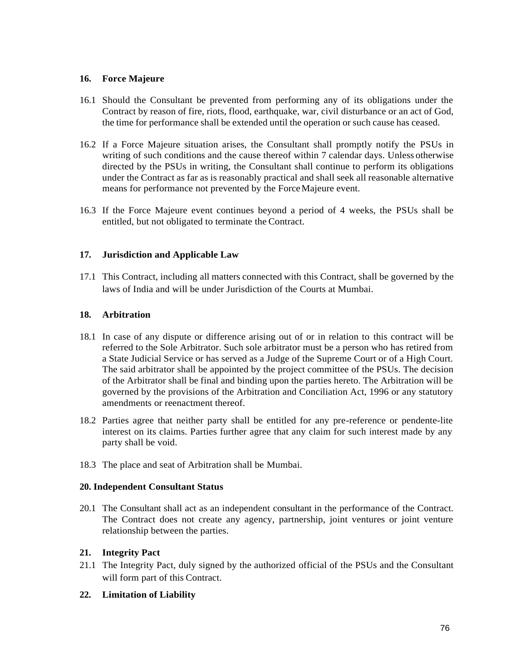## **16. Force Majeure**

- 16.1 Should the Consultant be prevented from performing any of its obligations under the Contract by reason of fire, riots, flood, earthquake, war, civil disturbance or an act of God, the time for performance shall be extended until the operation or such cause has ceased.
- 16.2 If a Force Majeure situation arises, the Consultant shall promptly notify the PSUs in writing of such conditions and the cause thereof within 7 calendar days. Unless otherwise directed by the PSUs in writing, the Consultant shall continue to perform its obligations under the Contract as far as is reasonably practical and shall seek all reasonable alternative means for performance not prevented by the ForceMajeure event.
- 16.3 If the Force Majeure event continues beyond a period of 4 weeks, the PSUs shall be entitled, but not obligated to terminate the Contract.

# **17. Jurisdiction and Applicable Law**

17.1 This Contract, including all matters connected with this Contract, shall be governed by the laws of India and will be under Jurisdiction of the Courts at Mumbai.

# **18. Arbitration**

- 18.1 In case of any dispute or difference arising out of or in relation to this contract will be referred to the Sole Arbitrator. Such sole arbitrator must be a person who has retired from a State Judicial Service or has served as a Judge of the Supreme Court or of a High Court. The said arbitrator shall be appointed by the project committee of the PSUs. The decision of the Arbitrator shall be final and binding upon the parties hereto. The Arbitration will be governed by the provisions of the Arbitration and Conciliation Act, 1996 or any statutory amendments or reenactment thereof.
- 18.2 Parties agree that neither party shall be entitled for any pre-reference or pendente-lite interest on its claims. Parties further agree that any claim for such interest made by any party shall be void.
- 18.3 The place and seat of Arbitration shall be Mumbai.

## **20. Independent Consultant Status**

20.1 The Consultant shall act as an independent consultant in the performance of the Contract. The Contract does not create any agency, partnership, joint ventures or joint venture relationship between the parties.

# **21. Integrity Pact**

21.1 The Integrity Pact, duly signed by the authorized official of the PSUs and the Consultant will form part of this Contract.

# **22. Limitation of Liability**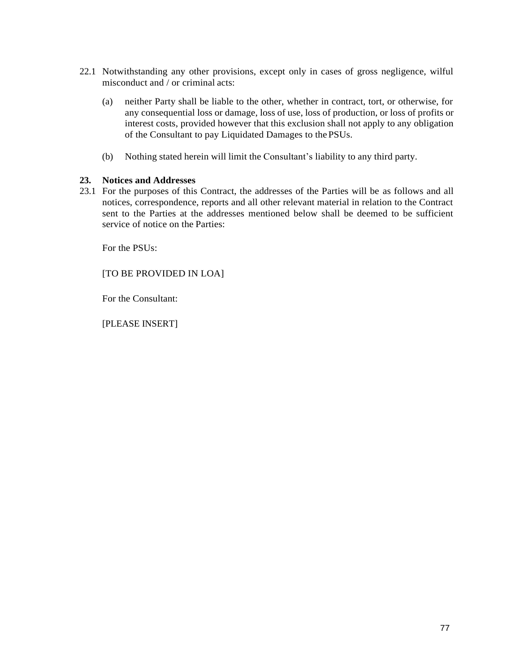- 22.1 Notwithstanding any other provisions, except only in cases of gross negligence, wilful misconduct and / or criminal acts:
	- (a) neither Party shall be liable to the other, whether in contract, tort, or otherwise, for any consequential loss or damage, loss of use, loss of production, or loss of profits or interest costs, provided however that this exclusion shall not apply to any obligation of the Consultant to pay Liquidated Damages to the PSUs.
	- (b) Nothing stated herein will limit the Consultant's liability to any third party.

## **23. Notices and Addresses**

23.1 For the purposes of this Contract, the addresses of the Parties will be as follows and all notices, correspondence, reports and all other relevant material in relation to the Contract sent to the Parties at the addresses mentioned below shall be deemed to be sufficient service of notice on the Parties:

For the PSUs:

[TO BE PROVIDED IN LOA]

For the Consultant:

[PLEASE INSERT]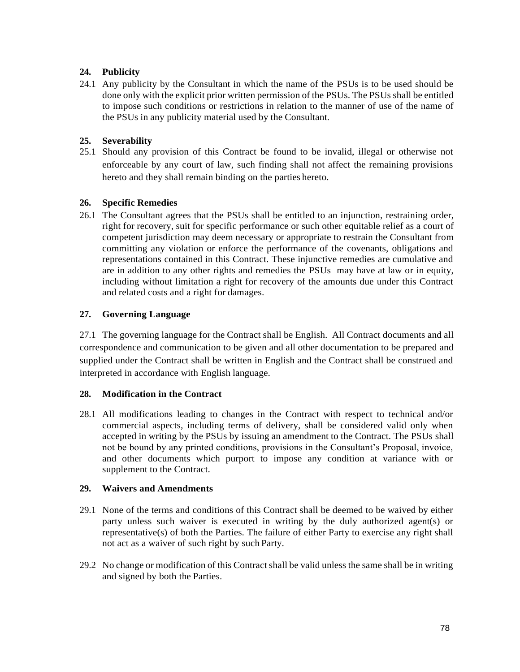# **24. Publicity**

24.1 Any publicity by the Consultant in which the name of the PSUs is to be used should be done only with the explicit prior written permission of the PSUs. The PSUs shall be entitled to impose such conditions or restrictions in relation to the manner of use of the name of the PSUs in any publicity material used by the Consultant.

# **25. Severability**

25.1 Should any provision of this Contract be found to be invalid, illegal or otherwise not enforceable by any court of law, such finding shall not affect the remaining provisions hereto and they shall remain binding on the parties hereto.

# **26. Specific Remedies**

26.1 The Consultant agrees that the PSUs shall be entitled to an injunction, restraining order, right for recovery, suit for specific performance or such other equitable relief as a court of competent jurisdiction may deem necessary or appropriate to restrain the Consultant from committing any violation or enforce the performance of the covenants, obligations and representations contained in this Contract. These injunctive remedies are cumulative and are in addition to any other rights and remedies the PSUs may have at law or in equity, including without limitation a right for recovery of the amounts due under this Contract and related costs and a right for damages.

# **27. Governing Language**

27.1 The governing language for the Contract shall be English. All Contract documents and all correspondence and communication to be given and all other documentation to be prepared and supplied under the Contract shall be written in English and the Contract shall be construed and interpreted in accordance with English language.

# **28. Modification in the Contract**

28.1 All modifications leading to changes in the Contract with respect to technical and/or commercial aspects, including terms of delivery, shall be considered valid only when accepted in writing by the PSUs by issuing an amendment to the Contract. The PSUs shall not be bound by any printed conditions, provisions in the Consultant's Proposal, invoice, and other documents which purport to impose any condition at variance with or supplement to the Contract.

# **29. Waivers and Amendments**

- 29.1 None of the terms and conditions of this Contract shall be deemed to be waived by either party unless such waiver is executed in writing by the duly authorized agent(s) or representative(s) of both the Parties. The failure of either Party to exercise any right shall not act as a waiver of such right by such Party.
- 29.2 No change or modification of this Contract shall be valid unless the same shall be in writing and signed by both the Parties.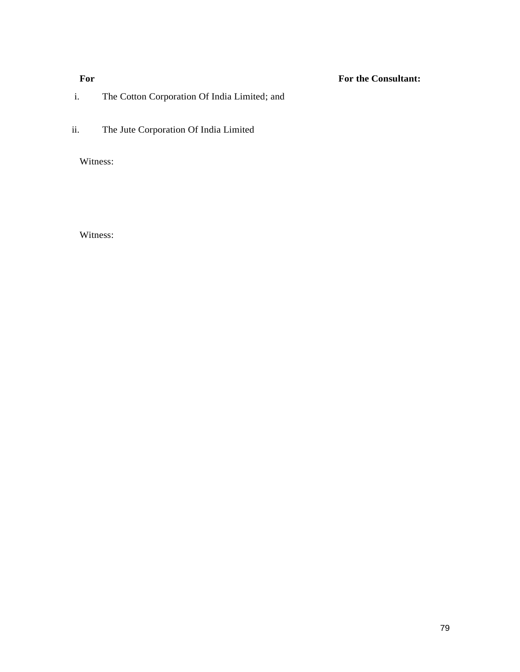# **For For the Consultant:**

# i. The Cotton Corporation Of India Limited; and

ii. The Jute Corporation Of India Limited

Witness:

Witness: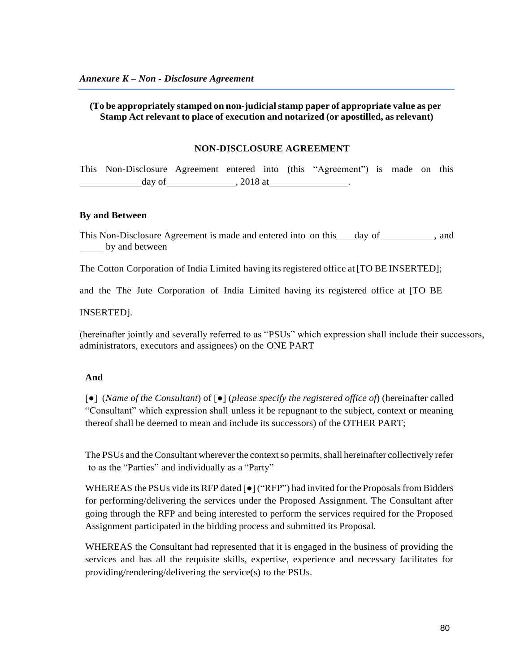# **(To be appropriately stamped on non-judicialstamp paper of appropriate value as per Stamp Act relevant to place of execution and notarized (or apostilled, as relevant)**

#### **NON-DISCLOSURE AGREEMENT**

This Non-Disclosure Agreement entered into (this "Agreement") is made on this day of  $, 2018$  at

#### **By and Between**

This Non-Disclosure Agreement is made and entered into on this day of , and by and between

The Cotton Corporation of India Limited having itsregistered office at [TO BE INSERTED];

and the The Jute Corporation of India Limited having its registered office at [TO BE

INSERTED].

(hereinafter jointly and severally referred to as "PSUs" which expression shall include their successors, administrators, executors and assignees) on the ONE PART

## **And**

[●] (*Name of the Consultant*) of [●] (*please specify the registered office of*) (hereinafter called "Consultant" which expression shall unless it be repugnant to the subject, context or meaning thereof shall be deemed to mean and include its successors) of the OTHER PART;

The PSUs and the Consultant wherever the context so permits, shall hereinafter collectively refer to as the "Parties" and individually as a "Party"

WHEREAS the PSUs vide its RFP dated  $\lceil \bullet \rceil$  ("RFP") had invited for the Proposals from Bidders for performing/delivering the services under the Proposed Assignment. The Consultant after going through the RFP and being interested to perform the services required for the Proposed Assignment participated in the bidding process and submitted its Proposal.

WHEREAS the Consultant had represented that it is engaged in the business of providing the services and has all the requisite skills, expertise, experience and necessary facilitates for providing/rendering/delivering the service(s) to the PSUs.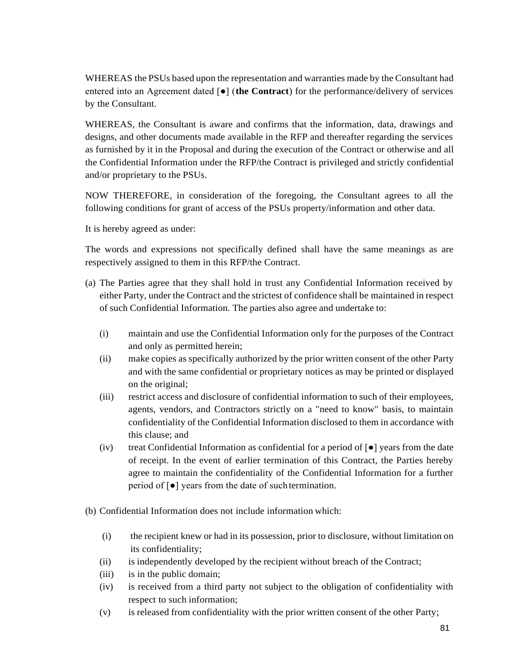WHEREAS the PSUs based upon the representation and warranties made by the Consultant had entered into an Agreement dated [●] (**the Contract**) for the performance/delivery of services by the Consultant.

WHEREAS, the Consultant is aware and confirms that the information, data, drawings and designs, and other documents made available in the RFP and thereafter regarding the services as furnished by it in the Proposal and during the execution of the Contract or otherwise and all the Confidential Information under the RFP/the Contract is privileged and strictly confidential and/or proprietary to the PSUs.

NOW THEREFORE, in consideration of the foregoing, the Consultant agrees to all the following conditions for grant of access of the PSUs property/information and other data.

It is hereby agreed as under:

The words and expressions not specifically defined shall have the same meanings as are respectively assigned to them in this RFP/the Contract.

- (a) The Parties agree that they shall hold in trust any Confidential Information received by either Party, under the Contract and the strictest of confidence shall be maintained in respect of such Confidential Information. The parties also agree and undertake to:
	- (i) maintain and use the Confidential Information only for the purposes of the Contract and only as permitted herein;
	- (ii) make copies as specifically authorized by the prior written consent of the other Party and with the same confidential or proprietary notices as may be printed or displayed on the original;
	- (iii) restrict access and disclosure of confidential information to such of their employees, agents, vendors, and Contractors strictly on a "need to know" basis, to maintain confidentiality of the Confidential Information disclosed to them in accordance with this clause; and
	- (iv) treat Confidential Information as confidential for a period of  $\lceil \bullet \rceil$  years from the date of receipt. In the event of earlier termination of this Contract, the Parties hereby agree to maintain the confidentiality of the Confidential Information for a further period of [●] years from the date of such termination.
- (b) Confidential Information does not include information which:
	- (i) the recipient knew or had in its possession, prior to disclosure, without limitation on its confidentiality;
	- (ii) is independently developed by the recipient without breach of the Contract;
	- (iii) is in the public domain;
	- (iv) is received from a third party not subject to the obligation of confidentiality with respect to such information;
	- (v) is released from confidentiality with the prior written consent of the other Party;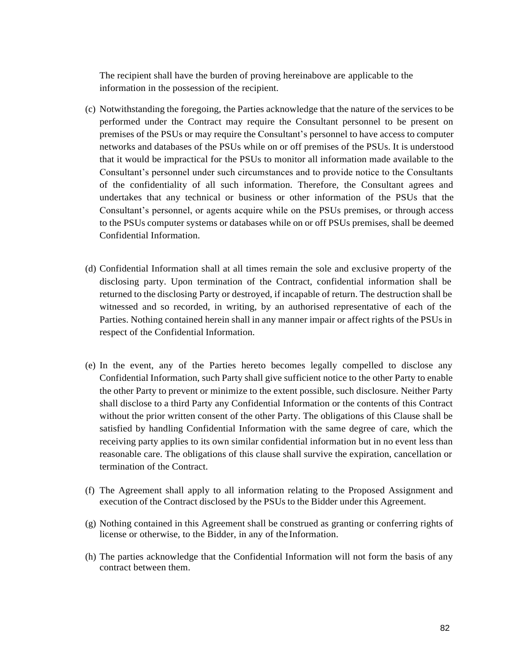The recipient shall have the burden of proving hereinabove are applicable to the information in the possession of the recipient.

- (c) Notwithstanding the foregoing, the Parties acknowledge that the nature of the services to be performed under the Contract may require the Consultant personnel to be present on premises of the PSUs or may require the Consultant's personnel to have access to computer networks and databases of the PSUs while on or off premises of the PSUs. It is understood that it would be impractical for the PSUs to monitor all information made available to the Consultant's personnel under such circumstances and to provide notice to the Consultants of the confidentiality of all such information. Therefore, the Consultant agrees and undertakes that any technical or business or other information of the PSUs that the Consultant's personnel, or agents acquire while on the PSUs premises, or through access to the PSUs computer systems or databases while on or off PSUs premises, shall be deemed Confidential Information.
- (d) Confidential Information shall at all times remain the sole and exclusive property of the disclosing party. Upon termination of the Contract, confidential information shall be returned to the disclosing Party or destroyed, if incapable of return. The destruction shall be witnessed and so recorded, in writing, by an authorised representative of each of the Parties. Nothing contained herein shall in any manner impair or affect rights of the PSUs in respect of the Confidential Information.
- (e) In the event, any of the Parties hereto becomes legally compelled to disclose any Confidential Information, such Party shall give sufficient notice to the other Party to enable the other Party to prevent or minimize to the extent possible, such disclosure. Neither Party shall disclose to a third Party any Confidential Information or the contents of this Contract without the prior written consent of the other Party. The obligations of this Clause shall be satisfied by handling Confidential Information with the same degree of care, which the receiving party applies to its own similar confidential information but in no event less than reasonable care. The obligations of this clause shall survive the expiration, cancellation or termination of the Contract.
- (f) The Agreement shall apply to all information relating to the Proposed Assignment and execution of the Contract disclosed by the PSUs to the Bidder under this Agreement.
- (g) Nothing contained in this Agreement shall be construed as granting or conferring rights of license or otherwise, to the Bidder, in any of the Information.
- (h) The parties acknowledge that the Confidential Information will not form the basis of any contract between them.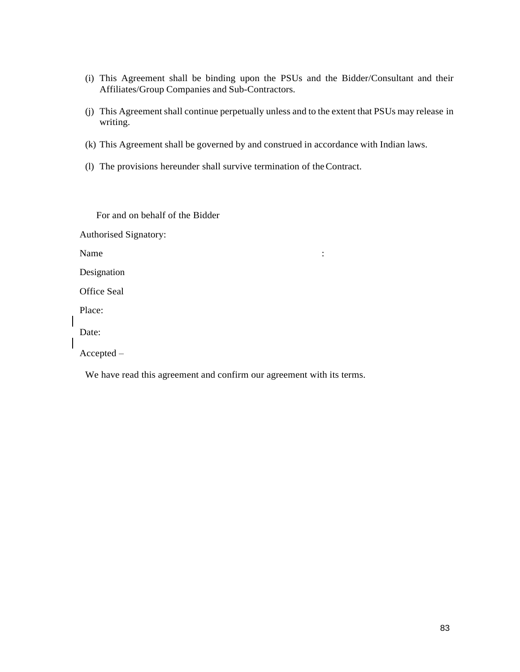- (i) This Agreement shall be binding upon the PSUs and the Bidder/Consultant and their Affiliates/Group Companies and Sub-Contractors.
- (j) This Agreement shall continue perpetually unless and to the extent that PSUs may release in writing.
- (k) This Agreement shall be governed by and construed in accordance with Indian laws.
- (l) The provisions hereunder shall survive termination of theContract.

For and on behalf of the Bidder

Authorised Signatory:

Name  $\blacksquare$ 

Designation

Office Seal

Place:

Date:

Accepted –

We have read this agreement and confirm our agreement with its terms.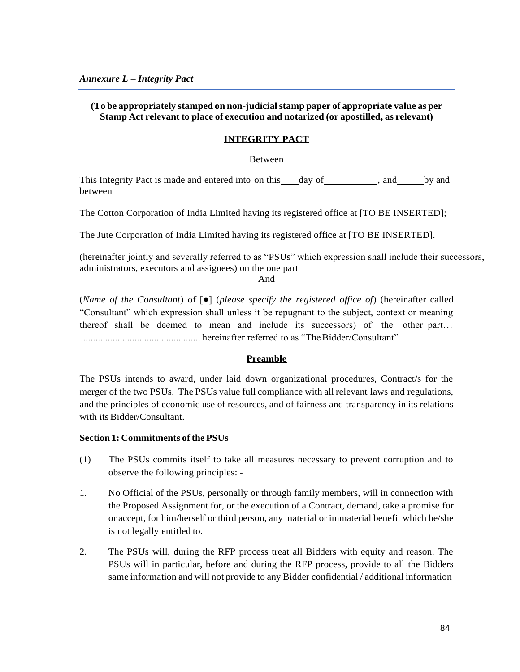# **(To be appropriately stamped on non-judicialstamp paper of appropriate value as per Stamp Act relevant to place of execution and notarized (or apostilled, as relevant)**

#### **INTEGRITY PACT**

Between

This Integrity Pact is made and entered into on this day of , and by and between

The Cotton Corporation of India Limited having its registered office at [TO BE INSERTED];

The Jute Corporation of India Limited having its registered office at [TO BE INSERTED].

(hereinafter jointly and severally referred to as "PSUs" which expression shall include their successors, administrators, executors and assignees) on the one part

And

(*Name of the Consultant*) of [●] (*please specify the registered office of*) (hereinafter called "Consultant" which expression shall unless it be repugnant to the subject, context or meaning thereof shall be deemed to mean and include its successors) of the other part… ................................................. hereinafter referred to as "TheBidder/Consultant"

#### **Preamble**

The PSUs intends to award, under laid down organizational procedures, Contract/s for the merger of the two PSUs. The PSUs value full compliance with all relevant laws and regulations, and the principles of economic use of resources, and of fairness and transparency in its relations with its Bidder/Consultant.

#### $Section 1:$  **Commitments** of the **PSUs**

- (1) The PSUs commits itself to take all measures necessary to prevent corruption and to observe the following principles: -
- 1. No Official of the PSUs, personally or through family members, will in connection with the Proposed Assignment for, or the execution of a Contract, demand, take a promise for or accept, for him/herself or third person, any material or immaterial benefit which he/she is not legally entitled to.
- 2. The PSUs will, during the RFP process treat all Bidders with equity and reason. The PSUs will in particular, before and during the RFP process, provide to all the Bidders same information and will not provide to any Bidder confidential / additional information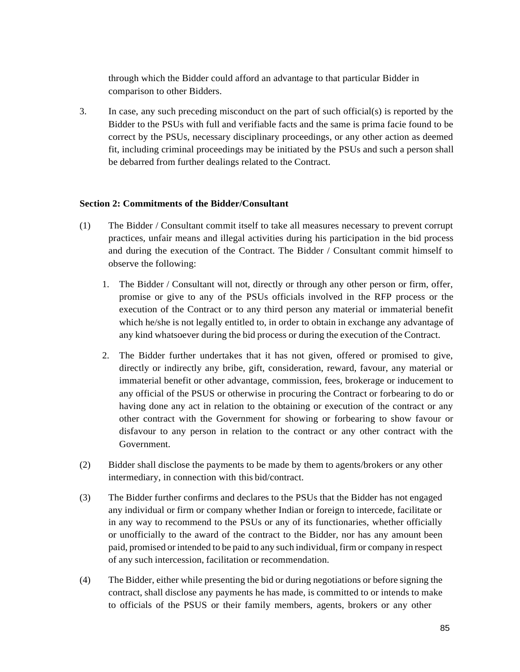through which the Bidder could afford an advantage to that particular Bidder in comparison to other Bidders.

3. In case, any such preceding misconduct on the part of such official(s) is reported by the Bidder to the PSUs with full and verifiable facts and the same is prima facie found to be correct by the PSUs, necessary disciplinary proceedings, or any other action as deemed fit, including criminal proceedings may be initiated by the PSUs and such a person shall be debarred from further dealings related to the Contract.

# **Section 2: Commitments of the Bidder/Consultant**

- (1) The Bidder / Consultant commit itself to take all measures necessary to prevent corrupt practices, unfair means and illegal activities during his participation in the bid process and during the execution of the Contract. The Bidder / Consultant commit himself to observe the following:
	- 1. The Bidder / Consultant will not, directly or through any other person or firm, offer, promise or give to any of the PSUs officials involved in the RFP process or the execution of the Contract or to any third person any material or immaterial benefit which he/she is not legally entitled to, in order to obtain in exchange any advantage of any kind whatsoever during the bid process or during the execution of the Contract.
	- 2. The Bidder further undertakes that it has not given, offered or promised to give, directly or indirectly any bribe, gift, consideration, reward, favour, any material or immaterial benefit or other advantage, commission, fees, brokerage or inducement to any official of the PSUS or otherwise in procuring the Contract or forbearing to do or having done any act in relation to the obtaining or execution of the contract or any other contract with the Government for showing or forbearing to show favour or disfavour to any person in relation to the contract or any other contract with the Government.
- (2) Bidder shall disclose the payments to be made by them to agents/brokers or any other intermediary, in connection with this bid/contract.
- (3) The Bidder further confirms and declares to the PSUs that the Bidder has not engaged any individual or firm or company whether Indian or foreign to intercede, facilitate or in any way to recommend to the PSUs or any of its functionaries, whether officially or unofficially to the award of the contract to the Bidder, nor has any amount been paid, promised or intended to be paid to any such individual, firm or company in respect of any such intercession, facilitation or recommendation.
- (4) The Bidder, either while presenting the bid or during negotiations or before signing the contract, shall disclose any payments he has made, is committed to or intends to make to officials of the PSUS or their family members, agents, brokers or any other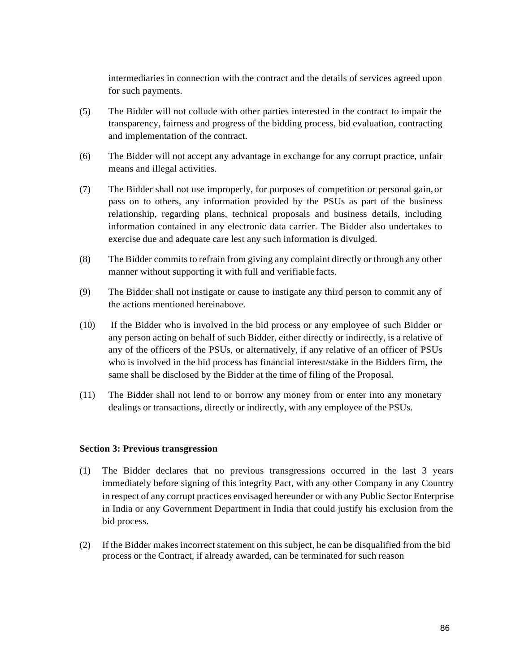intermediaries in connection with the contract and the details of services agreed upon for such payments.

- (5) The Bidder will not collude with other parties interested in the contract to impair the transparency, fairness and progress of the bidding process, bid evaluation, contracting and implementation of the contract.
- (6) The Bidder will not accept any advantage in exchange for any corrupt practice, unfair means and illegal activities.
- (7) The Bidder shall not use improperly, for purposes of competition or personal gain,or pass on to others, any information provided by the PSUs as part of the business relationship, regarding plans, technical proposals and business details, including information contained in any electronic data carrier. The Bidder also undertakes to exercise due and adequate care lest any such information is divulged.
- (8) The Bidder commits to refrain from giving any complaint directly or through any other manner without supporting it with full and verifiable facts.
- (9) The Bidder shall not instigate or cause to instigate any third person to commit any of the actions mentioned hereinabove.
- (10) If the Bidder who is involved in the bid process or any employee of such Bidder or any person acting on behalf of such Bidder, either directly or indirectly, is a relative of any of the officers of the PSUs, or alternatively, if any relative of an officer of PSUs who is involved in the bid process has financial interest/stake in the Bidders firm, the same shall be disclosed by the Bidder at the time of filing of the Proposal.
- (11) The Bidder shall not lend to or borrow any money from or enter into any monetary dealings or transactions, directly or indirectly, with any employee of the PSUs.

## **Section 3: Previous transgression**

- (1) The Bidder declares that no previous transgressions occurred in the last 3 years immediately before signing of this integrity Pact, with any other Company in any Country in respect of any corrupt practices envisaged hereunder or with any Public Sector Enterprise in India or any Government Department in India that could justify his exclusion from the bid process.
- (2) If the Bidder makes incorrect statement on this subject, he can be disqualified from the bid process or the Contract, if already awarded, can be terminated for such reason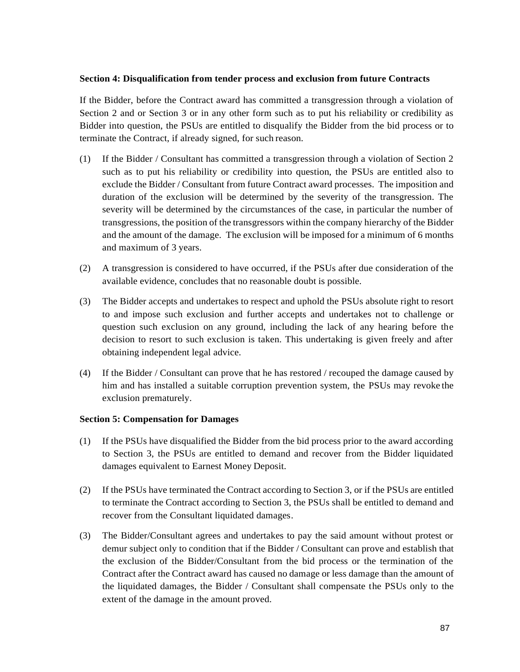## **Section 4: Disqualification from tender process and exclusion from future Contracts**

If the Bidder, before the Contract award has committed a transgression through a violation of Section 2 and or Section 3 or in any other form such as to put his reliability or credibility as Bidder into question, the PSUs are entitled to disqualify the Bidder from the bid process or to terminate the Contract, if already signed, for such reason.

- (1) If the Bidder / Consultant has committed a transgression through a violation of Section 2 such as to put his reliability or credibility into question, the PSUs are entitled also to exclude the Bidder / Consultant from future Contract award processes. The imposition and duration of the exclusion will be determined by the severity of the transgression. The severity will be determined by the circumstances of the case, in particular the number of transgressions, the position of the transgressors within the company hierarchy of the Bidder and the amount of the damage. The exclusion will be imposed for a minimum of 6 months and maximum of 3 years.
- (2) A transgression is considered to have occurred, if the PSUs after due consideration of the available evidence, concludes that no reasonable doubt is possible.
- (3) The Bidder accepts and undertakes to respect and uphold the PSUs absolute right to resort to and impose such exclusion and further accepts and undertakes not to challenge or question such exclusion on any ground, including the lack of any hearing before the decision to resort to such exclusion is taken. This undertaking is given freely and after obtaining independent legal advice.
- (4) If the Bidder / Consultant can prove that he has restored / recouped the damage caused by him and has installed a suitable corruption prevention system, the PSUs may revoke the exclusion prematurely.

## **Section 5: Compensation for Damages**

- (1) If the PSUs have disqualified the Bidder from the bid process prior to the award according to Section 3, the PSUs are entitled to demand and recover from the Bidder liquidated damages equivalent to Earnest Money Deposit.
- (2) If the PSUs have terminated the Contract according to Section 3, or if the PSUs are entitled to terminate the Contract according to Section 3, the PSUs shall be entitled to demand and recover from the Consultant liquidated damages.
- (3) The Bidder/Consultant agrees and undertakes to pay the said amount without protest or demur subject only to condition that if the Bidder / Consultant can prove and establish that the exclusion of the Bidder/Consultant from the bid process or the termination of the Contract after the Contract award has caused no damage or less damage than the amount of the liquidated damages, the Bidder / Consultant shall compensate the PSUs only to the extent of the damage in the amount proved.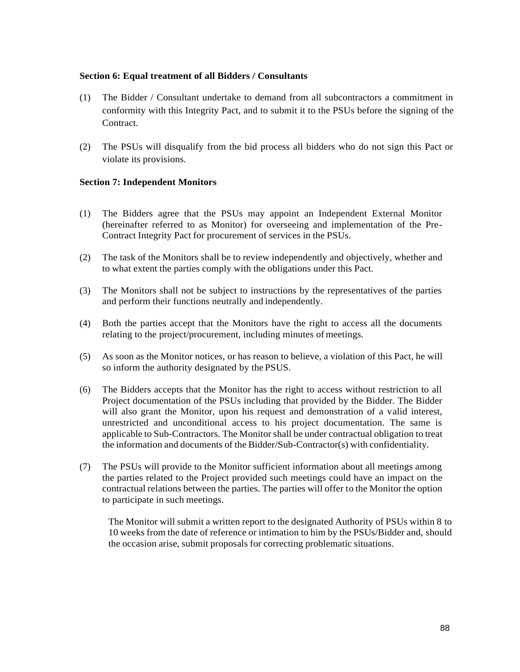## **Section 6: Equal treatment of all Bidders / Consultants**

- (1) The Bidder / Consultant undertake to demand from all subcontractors a commitment in conformity with this Integrity Pact, and to submit it to the PSUs before the signing of the Contract.
- (2) The PSUs will disqualify from the bid process all bidders who do not sign this Pact or violate its provisions.

# **Section 7: Independent Monitors**

- (1) The Bidders agree that the PSUs may appoint an Independent External Monitor (hereinafter referred to as Monitor) for overseeing and implementation of the Pre-Contract Integrity Pact for procurement of services in the PSUs.
- (2) The task of the Monitors shall be to review independently and objectively, whether and to what extent the parties comply with the obligations under this Pact.
- (3) The Monitors shall not be subject to instructions by the representatives of the parties and perform their functions neutrally and independently.
- (4) Both the parties accept that the Monitors have the right to access all the documents relating to the project/procurement, including minutes of meetings.
- (5) As soon as the Monitor notices, or has reason to believe, a violation of this Pact, he will so inform the authority designated by the PSUS.
- (6) The Bidders accepts that the Monitor has the right to access without restriction to all Project documentation of the PSUs including that provided by the Bidder. The Bidder will also grant the Monitor, upon his request and demonstration of a valid interest, unrestricted and unconditional access to his project documentation. The same is applicable to Sub-Contractors. The Monitorshall be under contractual obligation to treat the information and documents of the Bidder/Sub-Contractor(s) with confidentiality.
- (7) The PSUs will provide to the Monitor sufficient information about all meetings among the parties related to the Project provided such meetings could have an impact on the contractual relations between the parties. The parties will offer to the Monitor the option to participate in such meetings.

The Monitor will submit a written report to the designated Authority of PSUs within 8 to 10 weeks from the date of reference or intimation to him by the PSUs/Bidder and, should the occasion arise, submit proposals for correcting problematic situations.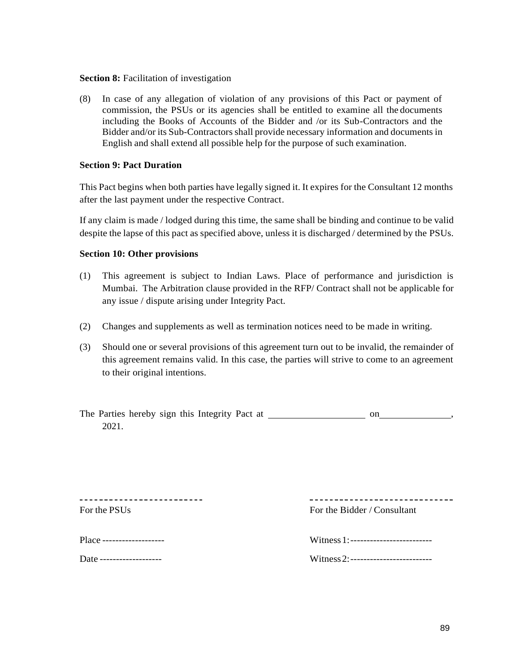### **Section 8:** Facilitation of investigation

(8) In case of any allegation of violation of any provisions of this Pact or payment of commission, the PSUs or its agencies shall be entitled to examine all the documents including the Books of Accounts of the Bidder and /or its Sub-Contractors and the Bidder and/or its Sub-Contractors shall provide necessary information and documents in English and shall extend all possible help for the purpose of such examination.

## **Section 9: Pact Duration**

This Pact begins when both parties have legally signed it. It expires for the Consultant 12 months after the last payment under the respective Contract.

If any claim is made / lodged during this time, the same shall be binding and continue to be valid despite the lapse of this pact as specified above, unless it is discharged / determined by the PSUs.

# **Section 10: Other provisions**

- (1) This agreement is subject to Indian Laws. Place of performance and jurisdiction is Mumbai. The Arbitration clause provided in the RFP/ Contract shall not be applicable for any issue / dispute arising under Integrity Pact.
- (2) Changes and supplements as well as termination notices need to be made in writing.
- (3) Should one or several provisions of this agreement turn out to be invalid, the remainder of this agreement remains valid. In this case, the parties will strive to come to an agreement to their original intentions.

| The Parties hereby sign this Integrity Pact at |  |  |  |
|------------------------------------------------|--|--|--|
| 2021.                                          |  |  |  |

--------------------------For the PSUs For the Bidder / Consultant

Place ---------------------

------------------------------

|  | Witness 1:------------- |
|--|-------------------------|
|  |                         |

Date ------------------- Witness2:-------------------------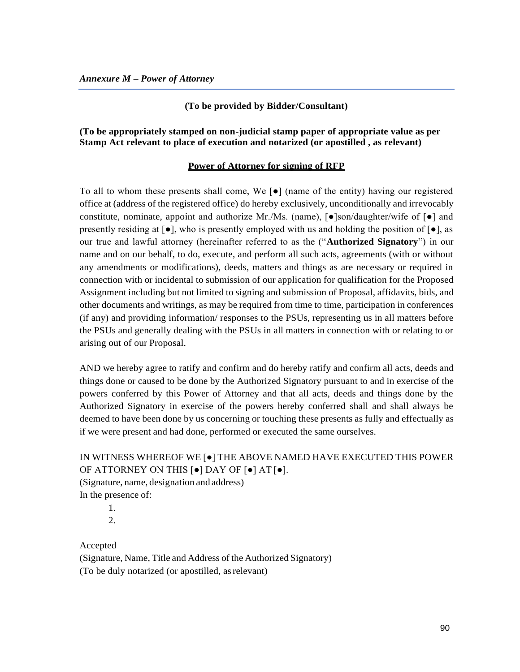#### **(To be provided by Bidder/Consultant)**

# **(To be appropriately stamped on non-judicial stamp paper of appropriate value as per Stamp Act relevant to place of execution and notarized (or apostilled , as relevant)**

#### **Power of Attorney for signing of RFP**

To all to whom these presents shall come, We [●] (name of the entity) having our registered office at (address of the registered office) do hereby exclusively, unconditionally and irrevocably constitute, nominate, appoint and authorize Mr./Ms. (name),  $\lceil \bullet \rceil$  son/daughter/wife of  $\lceil \bullet \rceil$  and presently residing at  $[\bullet]$ , who is presently employed with us and holding the position of  $[\bullet]$ , as our true and lawful attorney (hereinafter referred to as the ("**Authorized Signatory**") in our name and on our behalf, to do, execute, and perform all such acts, agreements (with or without any amendments or modifications), deeds, matters and things as are necessary or required in connection with or incidental to submission of our application for qualification for the Proposed Assignment including but not limited to signing and submission of Proposal, affidavits, bids, and other documents and writings, as may be required from time to time, participation in conferences (if any) and providing information/ responses to the PSUs, representing us in all matters before the PSUs and generally dealing with the PSUs in all matters in connection with or relating to or arising out of our Proposal.

AND we hereby agree to ratify and confirm and do hereby ratify and confirm all acts, deeds and things done or caused to be done by the Authorized Signatory pursuant to and in exercise of the powers conferred by this Power of Attorney and that all acts, deeds and things done by the Authorized Signatory in exercise of the powers hereby conferred shall and shall always be deemed to have been done by us concerning or touching these presents as fully and effectually as if we were present and had done, performed or executed the same ourselves.

# IN WITNESS WHEREOF WE [●] THE ABOVE NAMED HAVE EXECUTED THIS POWER OF ATTORNEY ON THIS [●] DAY OF [●] AT [●]. (Signature, name, designation and address)

In the presence of:

1.  $2<sup>2</sup>$ 

Accepted

(Signature, Name, Title and Address of the Authorized Signatory) (To be duly notarized (or apostilled, asrelevant)